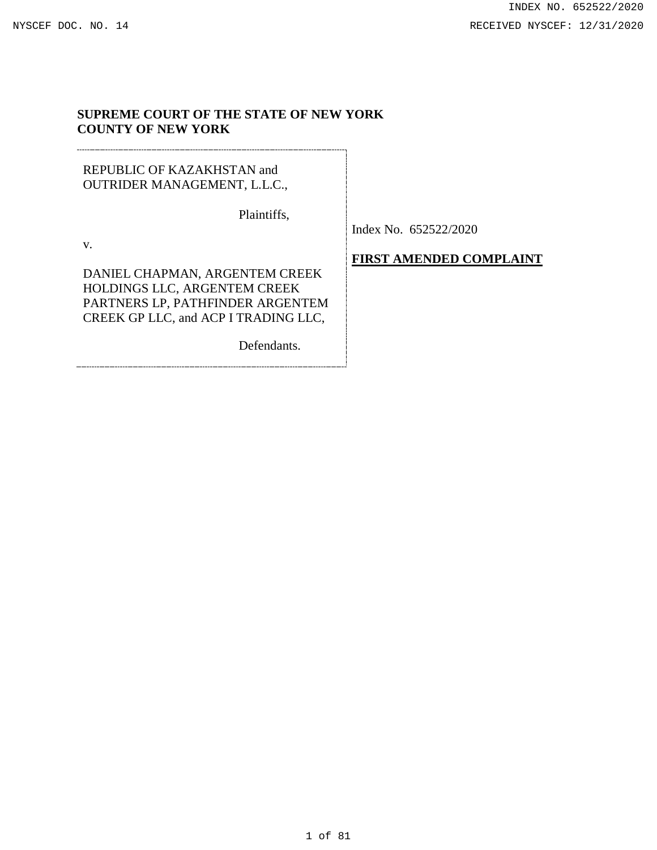# **SUPREME COURT OF THE STATE OF NEW YORK COUNTY OF NEW YORK**

# REPUBLIC OF KAZAKHSTAN and OUTRIDER MANAGEMENT, L.L.C.,

Plaintiffs,

v.

DANIEL CHAPMAN, ARGENTEM CREEK HOLDINGS LLC, ARGENTEM CREEK PARTNERS LP, PATHFINDER ARGENTEM CREEK GP LLC, and ACP I TRADING LLC,

**FIRST AMENDED COMPLAINT**

Index No. 652522/2020

Defendants.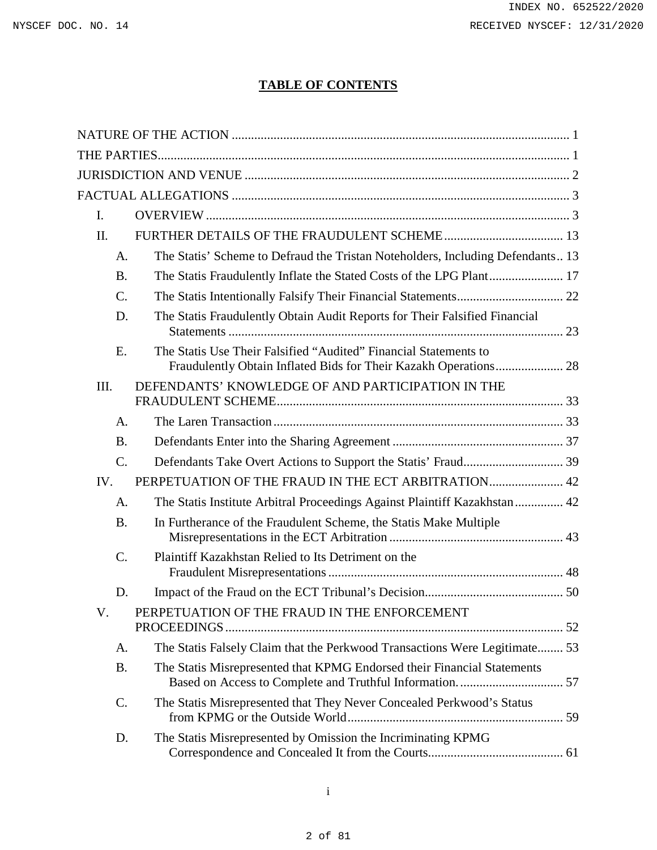# **TABLE OF CONTENTS**

| I.              |                                                                                                                                      |  |
|-----------------|--------------------------------------------------------------------------------------------------------------------------------------|--|
| II.             |                                                                                                                                      |  |
| A.              | The Statis' Scheme to Defraud the Tristan Noteholders, Including Defendants13                                                        |  |
| <b>B.</b>       |                                                                                                                                      |  |
| $\mathcal{C}$ . |                                                                                                                                      |  |
| D.              | The Statis Fraudulently Obtain Audit Reports for Their Falsified Financial                                                           |  |
| E.              | The Statis Use Their Falsified "Audited" Financial Statements to<br>Fraudulently Obtain Inflated Bids for Their Kazakh Operations 28 |  |
| III.            | DEFENDANTS' KNOWLEDGE OF AND PARTICIPATION IN THE                                                                                    |  |
| A.              |                                                                                                                                      |  |
| <b>B.</b>       |                                                                                                                                      |  |
| $\mathcal{C}$ . |                                                                                                                                      |  |
| IV.             | PERPETUATION OF THE FRAUD IN THE ECT ARBITRATION 42                                                                                  |  |
| A.              | The Statis Institute Arbitral Proceedings Against Plaintiff Kazakhstan 42                                                            |  |
| <b>B.</b>       | In Furtherance of the Fraudulent Scheme, the Statis Make Multiple                                                                    |  |
| $C$ .           | Plaintiff Kazakhstan Relied to Its Detriment on the                                                                                  |  |
| D.              |                                                                                                                                      |  |
| V.              | PERPETUATION OF THE FRAUD IN THE ENFORCEMENT                                                                                         |  |
| А.              | The Statis Falsely Claim that the Perkwood Transactions Were Legitimate 53                                                           |  |
| <b>B.</b>       | The Statis Misrepresented that KPMG Endorsed their Financial Statements                                                              |  |
| C.              | The Statis Misrepresented that They Never Concealed Perkwood's Status                                                                |  |
| D.              | The Statis Misrepresented by Omission the Incriminating KPMG                                                                         |  |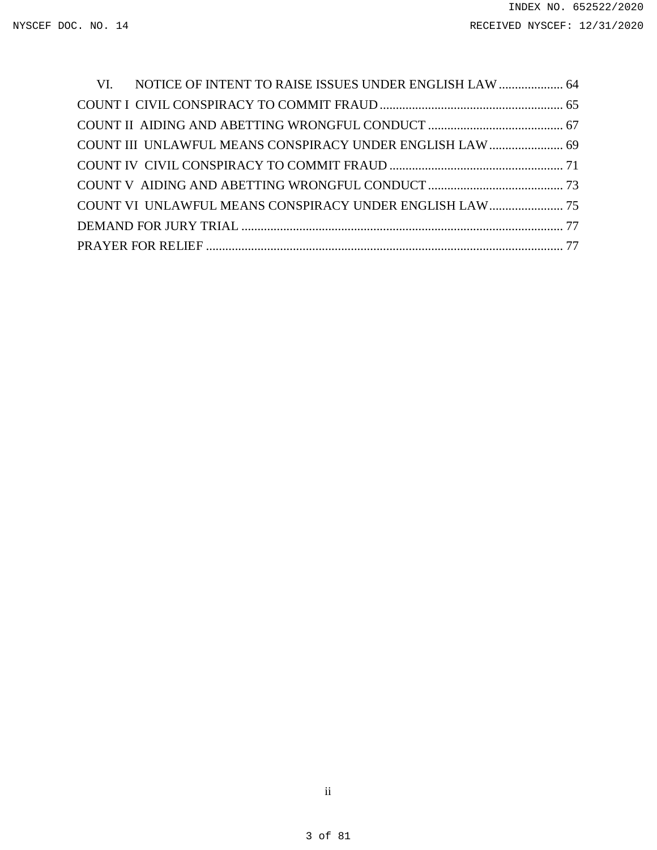| VI. NOTICE OF INTENT TO RAISE ISSUES UNDER ENGLISH LAW  64 |  |
|------------------------------------------------------------|--|
|                                                            |  |
|                                                            |  |
|                                                            |  |
|                                                            |  |
|                                                            |  |
| COUNT VI UNLAWFUL MEANS CONSPIRACY UNDER ENGLISH LAW  75   |  |
|                                                            |  |
|                                                            |  |

ii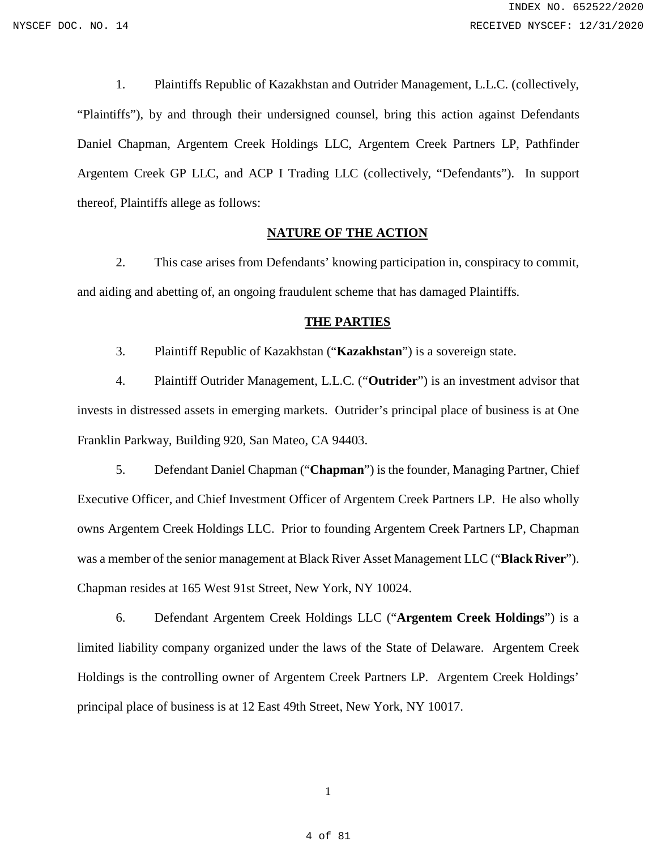1. Plaintiffs Republic of Kazakhstan and Outrider Management, L.L.C. (collectively, "Plaintiffs"), by and through their undersigned counsel, bring this action against Defendants Daniel Chapman, Argentem Creek Holdings LLC, Argentem Creek Partners LP, Pathfinder Argentem Creek GP LLC, and ACP I Trading LLC (collectively, "Defendants"). In support thereof, Plaintiffs allege as follows:

#### **NATURE OF THE ACTION**

<span id="page-3-0"></span>2. This case arises from Defendants' knowing participation in, conspiracy to commit, and aiding and abetting of, an ongoing fraudulent scheme that has damaged Plaintiffs.

#### **THE PARTIES**

<span id="page-3-1"></span>3. Plaintiff Republic of Kazakhstan ("**Kazakhstan**") is a sovereign state.

4. Plaintiff Outrider Management, L.L.C. ("**Outrider**") is an investment advisor that invests in distressed assets in emerging markets. Outrider's principal place of business is at One Franklin Parkway, Building 920, San Mateo, CA 94403.

5. Defendant Daniel Chapman ("**Chapman**") is the founder, Managing Partner, Chief Executive Officer, and Chief Investment Officer of Argentem Creek Partners LP. He also wholly owns Argentem Creek Holdings LLC. Prior to founding Argentem Creek Partners LP, Chapman was a member of the senior management at Black River Asset Management LLC ("**Black River**"). Chapman resides at 165 West 91st Street, New York, NY 10024.

6. Defendant Argentem Creek Holdings LLC ("**Argentem Creek Holdings**") is a limited liability company organized under the laws of the State of Delaware. Argentem Creek Holdings is the controlling owner of Argentem Creek Partners LP. Argentem Creek Holdings' principal place of business is at 12 East 49th Street, New York, NY 10017.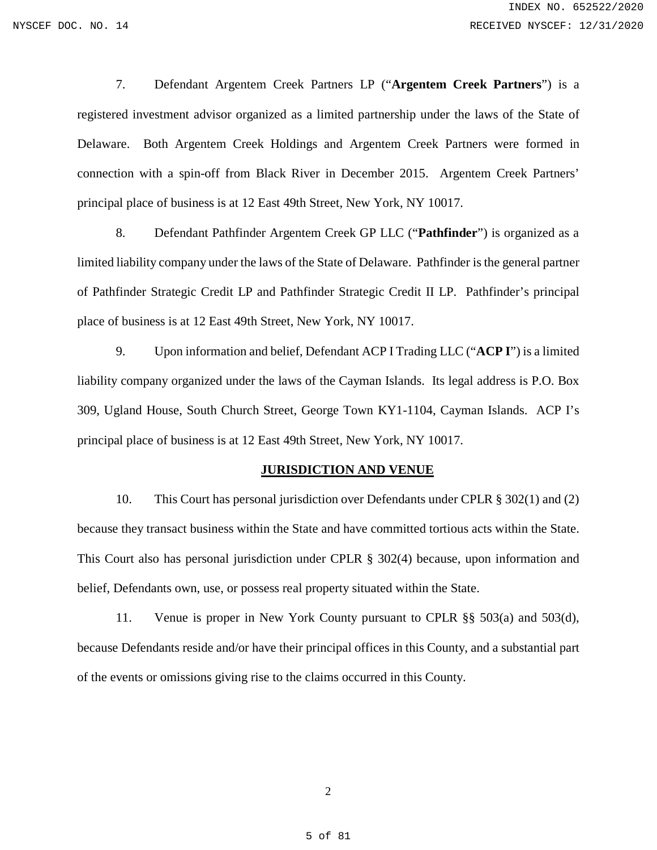7. Defendant Argentem Creek Partners LP ("**Argentem Creek Partners**") is a registered investment advisor organized as a limited partnership under the laws of the State of Delaware. Both Argentem Creek Holdings and Argentem Creek Partners were formed in connection with a spin-off from Black River in December 2015. Argentem Creek Partners' principal place of business is at 12 East 49th Street, New York, NY 10017.

8. Defendant Pathfinder Argentem Creek GP LLC ("**Pathfinder**") is organized as a limited liability company under the laws of the State of Delaware. Pathfinder is the general partner of Pathfinder Strategic Credit LP and Pathfinder Strategic Credit II LP. Pathfinder's principal place of business is at 12 East 49th Street, New York, NY 10017.

9. Upon information and belief, Defendant ACP I Trading LLC ("**ACP I**") is a limited liability company organized under the laws of the Cayman Islands. Its legal address is P.O. Box 309, Ugland House, South Church Street, George Town KY1-1104, Cayman Islands. ACP I's principal place of business is at 12 East 49th Street, New York, NY 10017.

#### **JURISDICTION AND VENUE**

<span id="page-4-0"></span>10. This Court has personal jurisdiction over Defendants under CPLR § 302(1) and (2) because they transact business within the State and have committed tortious acts within the State. This Court also has personal jurisdiction under CPLR § 302(4) because, upon information and belief, Defendants own, use, or possess real property situated within the State.

11. Venue is proper in New York County pursuant to CPLR §§ 503(a) and 503(d), because Defendants reside and/or have their principal offices in this County, and a substantial part of the events or omissions giving rise to the claims occurred in this County.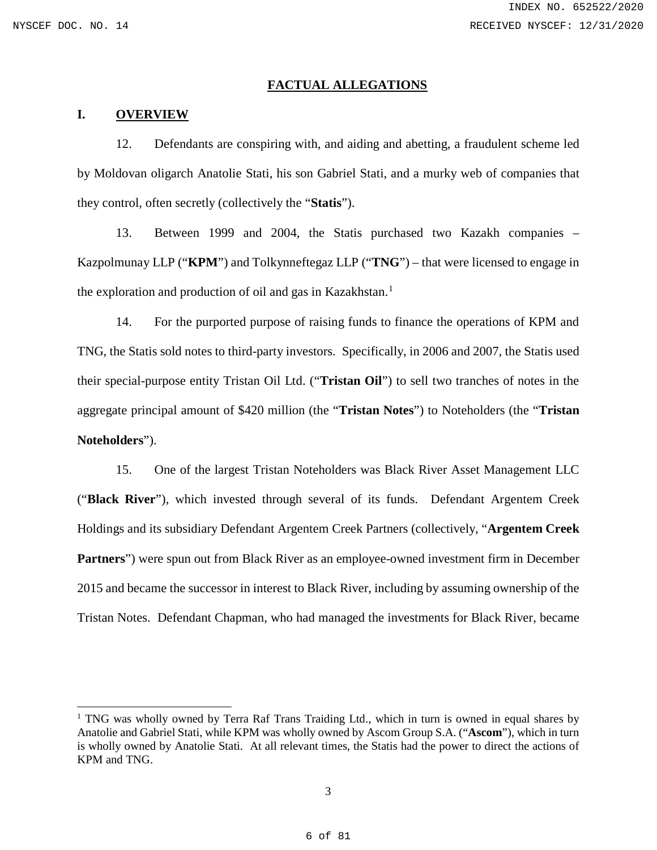$\overline{a}$ 

#### **FACTUAL ALLEGATIONS**

#### <span id="page-5-1"></span><span id="page-5-0"></span>**I. OVERVIEW**

12. Defendants are conspiring with, and aiding and abetting, a fraudulent scheme led by Moldovan oligarch Anatolie Stati, his son Gabriel Stati, and a murky web of companies that they control, often secretly (collectively the "**Statis**").

13. Between 1999 and 2004, the Statis purchased two Kazakh companies – Kazpolmunay LLP ("**KPM**") and Tolkynneftegaz LLP ("**TNG**") – that were licensed to engage in the exploration and production of oil and gas in Kazakhstan.<sup>[1](#page-5-2)</sup>

14. For the purported purpose of raising funds to finance the operations of KPM and TNG, the Statis sold notes to third-party investors. Specifically, in 2006 and 2007, the Statis used their special-purpose entity Tristan Oil Ltd. ("**Tristan Oil**") to sell two tranches of notes in the aggregate principal amount of \$420 million (the "**Tristan Notes**") to Noteholders (the "**Tristan Noteholders**").

15. One of the largest Tristan Noteholders was Black River Asset Management LLC ("**Black River**"), which invested through several of its funds. Defendant Argentem Creek Holdings and its subsidiary Defendant Argentem Creek Partners (collectively, "**Argentem Creek Partners**") were spun out from Black River as an employee-owned investment firm in December 2015 and became the successor in interest to Black River, including by assuming ownership of the Tristan Notes. Defendant Chapman, who had managed the investments for Black River, became

<span id="page-5-2"></span><sup>&</sup>lt;sup>1</sup> TNG was wholly owned by Terra Raf Trans Traiding Ltd., which in turn is owned in equal shares by Anatolie and Gabriel Stati, while KPM was wholly owned by Ascom Group S.A. ("**Ascom**"), which in turn is wholly owned by Anatolie Stati. At all relevant times, the Statis had the power to direct the actions of KPM and TNG.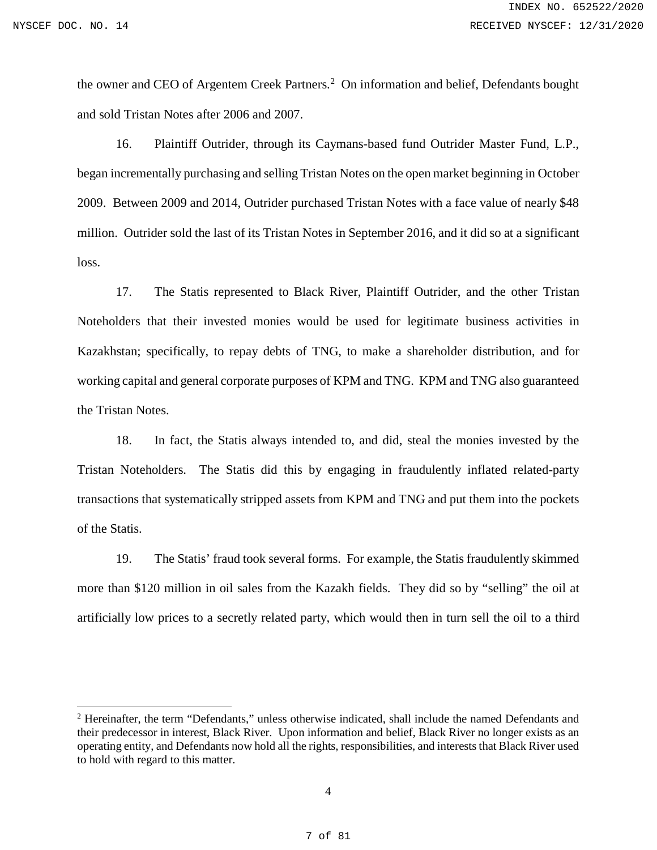$\overline{a}$ 

the owner and CEO of Argentem Creek Partners.<sup>[2](#page-6-0)</sup> On information and belief, Defendants bought and sold Tristan Notes after 2006 and 2007.

16. Plaintiff Outrider, through its Caymans-based fund Outrider Master Fund, L.P., began incrementally purchasing and selling Tristan Notes on the open market beginning in October 2009. Between 2009 and 2014, Outrider purchased Tristan Notes with a face value of nearly \$48 million. Outrider sold the last of its Tristan Notes in September 2016, and it did so at a significant loss.

17. The Statis represented to Black River, Plaintiff Outrider, and the other Tristan Noteholders that their invested monies would be used for legitimate business activities in Kazakhstan; specifically, to repay debts of TNG, to make a shareholder distribution, and for working capital and general corporate purposes of KPM and TNG. KPM and TNG also guaranteed the Tristan Notes.

18. In fact, the Statis always intended to, and did, steal the monies invested by the Tristan Noteholders. The Statis did this by engaging in fraudulently inflated related-party transactions that systematically stripped assets from KPM and TNG and put them into the pockets of the Statis.

19. The Statis' fraud took several forms. For example, the Statis fraudulently skimmed more than \$120 million in oil sales from the Kazakh fields. They did so by "selling" the oil at artificially low prices to a secretly related party, which would then in turn sell the oil to a third

<span id="page-6-0"></span><sup>2</sup> Hereinafter, the term "Defendants," unless otherwise indicated, shall include the named Defendants and their predecessor in interest, Black River. Upon information and belief, Black River no longer exists as an operating entity, and Defendants now hold all the rights, responsibilities, and interests that Black River used to hold with regard to this matter.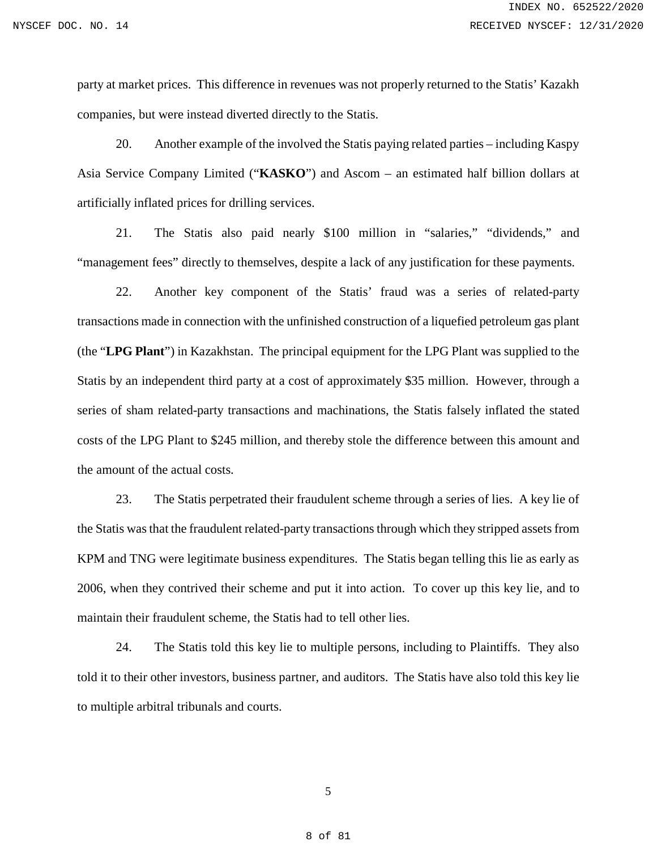party at market prices. This difference in revenues was not properly returned to the Statis' Kazakh companies, but were instead diverted directly to the Statis.

20. Another example of the involved the Statis paying related parties – including Kaspy Asia Service Company Limited ("**KASKO**") and Ascom – an estimated half billion dollars at artificially inflated prices for drilling services.

21. The Statis also paid nearly \$100 million in "salaries," "dividends," and "management fees" directly to themselves, despite a lack of any justification for these payments.

22. Another key component of the Statis' fraud was a series of related-party transactions made in connection with the unfinished construction of a liquefied petroleum gas plant (the "**LPG Plant**") in Kazakhstan. The principal equipment for the LPG Plant was supplied to the Statis by an independent third party at a cost of approximately \$35 million. However, through a series of sham related-party transactions and machinations, the Statis falsely inflated the stated costs of the LPG Plant to \$245 million, and thereby stole the difference between this amount and the amount of the actual costs.

23. The Statis perpetrated their fraudulent scheme through a series of lies. A key lie of the Statis was that the fraudulent related-party transactions through which they stripped assets from KPM and TNG were legitimate business expenditures. The Statis began telling this lie as early as 2006, when they contrived their scheme and put it into action. To cover up this key lie, and to maintain their fraudulent scheme, the Statis had to tell other lies.

24. The Statis told this key lie to multiple persons, including to Plaintiffs. They also told it to their other investors, business partner, and auditors. The Statis have also told this key lie to multiple arbitral tribunals and courts.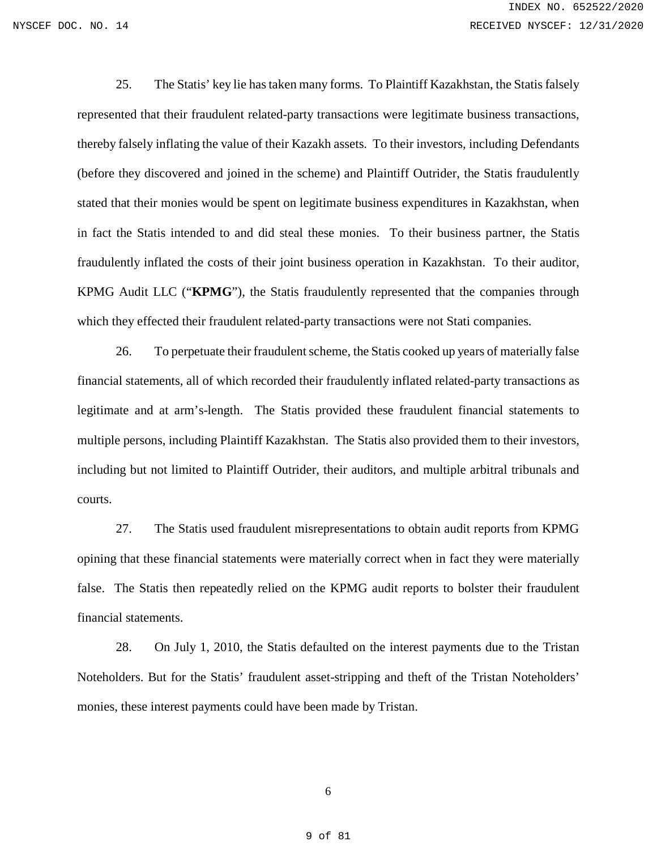25. The Statis' key lie has taken many forms. To Plaintiff Kazakhstan, the Statis falsely represented that their fraudulent related-party transactions were legitimate business transactions, thereby falsely inflating the value of their Kazakh assets. To their investors, including Defendants (before they discovered and joined in the scheme) and Plaintiff Outrider, the Statis fraudulently stated that their monies would be spent on legitimate business expenditures in Kazakhstan, when in fact the Statis intended to and did steal these monies. To their business partner, the Statis fraudulently inflated the costs of their joint business operation in Kazakhstan. To their auditor, KPMG Audit LLC ("**KPMG**"), the Statis fraudulently represented that the companies through which they effected their fraudulent related-party transactions were not Stati companies.

26. To perpetuate their fraudulent scheme, the Statis cooked up years of materially false financial statements, all of which recorded their fraudulently inflated related-party transactions as legitimate and at arm's-length. The Statis provided these fraudulent financial statements to multiple persons, including Plaintiff Kazakhstan. The Statis also provided them to their investors, including but not limited to Plaintiff Outrider, their auditors, and multiple arbitral tribunals and courts.

27. The Statis used fraudulent misrepresentations to obtain audit reports from KPMG opining that these financial statements were materially correct when in fact they were materially false. The Statis then repeatedly relied on the KPMG audit reports to bolster their fraudulent financial statements.

28. On July 1, 2010, the Statis defaulted on the interest payments due to the Tristan Noteholders. But for the Statis' fraudulent asset-stripping and theft of the Tristan Noteholders' monies, these interest payments could have been made by Tristan.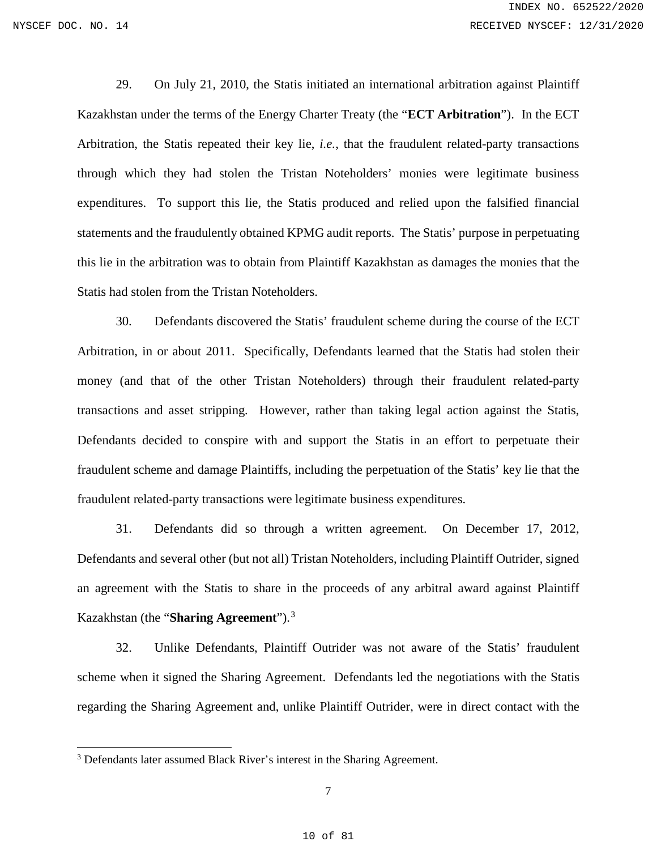$\overline{a}$ 

29. On July 21, 2010, the Statis initiated an international arbitration against Plaintiff Kazakhstan under the terms of the Energy Charter Treaty (the "**ECT Arbitration**"). In the ECT Arbitration, the Statis repeated their key lie, *i.e.*, that the fraudulent related-party transactions through which they had stolen the Tristan Noteholders' monies were legitimate business expenditures. To support this lie, the Statis produced and relied upon the falsified financial statements and the fraudulently obtained KPMG audit reports. The Statis' purpose in perpetuating this lie in the arbitration was to obtain from Plaintiff Kazakhstan as damages the monies that the Statis had stolen from the Tristan Noteholders.

30. Defendants discovered the Statis' fraudulent scheme during the course of the ECT Arbitration, in or about 2011. Specifically, Defendants learned that the Statis had stolen their money (and that of the other Tristan Noteholders) through their fraudulent related-party transactions and asset stripping. However, rather than taking legal action against the Statis, Defendants decided to conspire with and support the Statis in an effort to perpetuate their fraudulent scheme and damage Plaintiffs, including the perpetuation of the Statis' key lie that the fraudulent related-party transactions were legitimate business expenditures.

31. Defendants did so through a written agreement. On December 17, 2012, Defendants and several other (but not all) Tristan Noteholders, including Plaintiff Outrider, signed an agreement with the Statis to share in the proceeds of any arbitral award against Plaintiff Kazakhstan (the "**Sharing Agreement**").[3](#page-9-0)

32. Unlike Defendants, Plaintiff Outrider was not aware of the Statis' fraudulent scheme when it signed the Sharing Agreement. Defendants led the negotiations with the Statis regarding the Sharing Agreement and, unlike Plaintiff Outrider, were in direct contact with the

<span id="page-9-0"></span><sup>&</sup>lt;sup>3</sup> Defendants later assumed Black River's interest in the Sharing Agreement.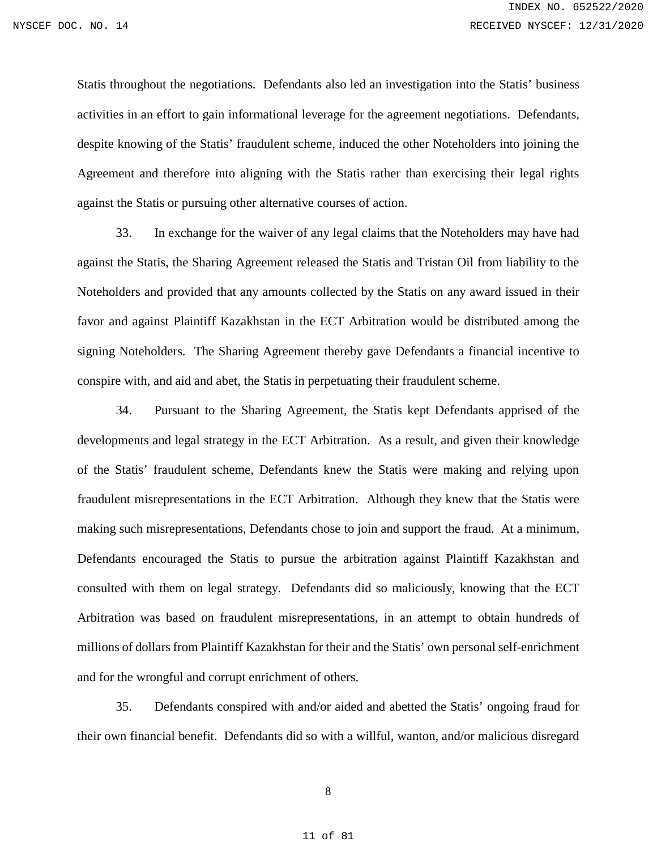Statis throughout the negotiations. Defendants also led an investigation into the Statis' business activities in an effort to gain informational leverage for the agreement negotiations. Defendants, despite knowing of the Statis' fraudulent scheme, induced the other Noteholders into joining the Agreement and therefore into aligning with the Statis rather than exercising their legal rights against the Statis or pursuing other alternative courses of action.

33. In exchange for the waiver of any legal claims that the Noteholders may have had against the Statis, the Sharing Agreement released the Statis and Tristan Oil from liability to the Noteholders and provided that any amounts collected by the Statis on any award issued in their favor and against Plaintiff Kazakhstan in the ECT Arbitration would be distributed among the signing Noteholders. The Sharing Agreement thereby gave Defendants a financial incentive to conspire with, and aid and abet, the Statis in perpetuating their fraudulent scheme.

34. Pursuant to the Sharing Agreement, the Statis kept Defendants apprised of the developments and legal strategy in the ECT Arbitration. As a result, and given their knowledge of the Statis' fraudulent scheme, Defendants knew the Statis were making and relying upon fraudulent misrepresentations in the ECT Arbitration. Although they knew that the Statis were making such misrepresentations, Defendants chose to join and support the fraud. At a minimum, Defendants encouraged the Statis to pursue the arbitration against Plaintiff Kazakhstan and consulted with them on legal strategy. Defendants did so maliciously, knowing that the ECT Arbitration was based on fraudulent misrepresentations, in an attempt to obtain hundreds of millions of dollars from Plaintiff Kazakhstan for their and the Statis' own personal self-enrichment and for the wrongful and corrupt enrichment of others.

35. Defendants conspired with and/or aided and abetted the Statis' ongoing fraud for their own financial benefit. Defendants did so with a willful, wanton, and/or malicious disregard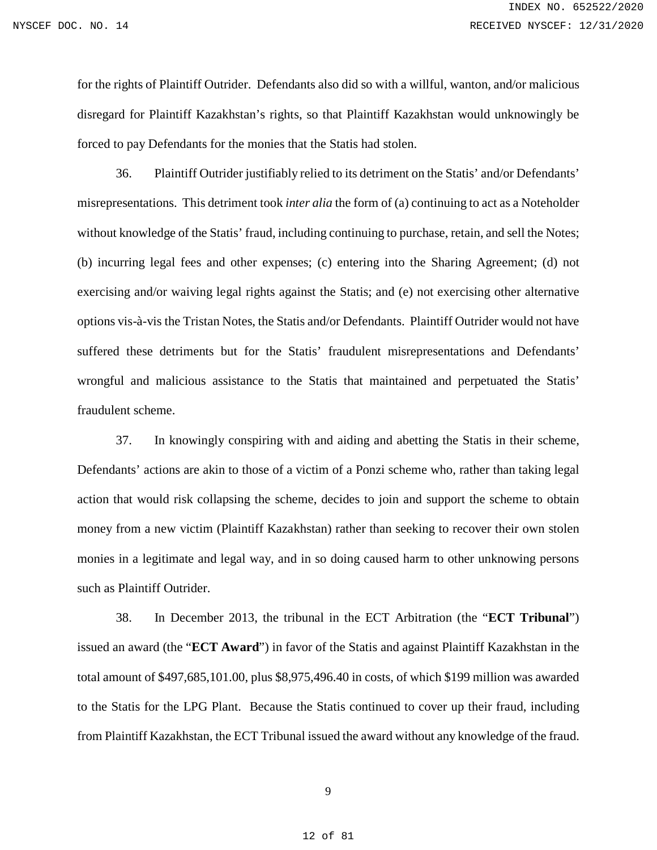for the rights of Plaintiff Outrider. Defendants also did so with a willful, wanton, and/or malicious disregard for Plaintiff Kazakhstan's rights, so that Plaintiff Kazakhstan would unknowingly be forced to pay Defendants for the monies that the Statis had stolen.

36. Plaintiff Outrider justifiably relied to its detriment on the Statis' and/or Defendants' misrepresentations. This detriment took *inter alia* the form of (a) continuing to act as a Noteholder without knowledge of the Statis' fraud, including continuing to purchase, retain, and sell the Notes; (b) incurring legal fees and other expenses; (c) entering into the Sharing Agreement; (d) not exercising and/or waiving legal rights against the Statis; and (e) not exercising other alternative options vis-à-vis the Tristan Notes, the Statis and/or Defendants. Plaintiff Outrider would not have suffered these detriments but for the Statis' fraudulent misrepresentations and Defendants' wrongful and malicious assistance to the Statis that maintained and perpetuated the Statis' fraudulent scheme.

37. In knowingly conspiring with and aiding and abetting the Statis in their scheme, Defendants' actions are akin to those of a victim of a Ponzi scheme who, rather than taking legal action that would risk collapsing the scheme, decides to join and support the scheme to obtain money from a new victim (Plaintiff Kazakhstan) rather than seeking to recover their own stolen monies in a legitimate and legal way, and in so doing caused harm to other unknowing persons such as Plaintiff Outrider.

38. In December 2013, the tribunal in the ECT Arbitration (the "**ECT Tribunal**") issued an award (the "**ECT Award**") in favor of the Statis and against Plaintiff Kazakhstan in the total amount of \$497,685,101.00, plus \$8,975,496.40 in costs, of which \$199 million was awarded to the Statis for the LPG Plant. Because the Statis continued to cover up their fraud, including from Plaintiff Kazakhstan, the ECT Tribunal issued the award without any knowledge of the fraud.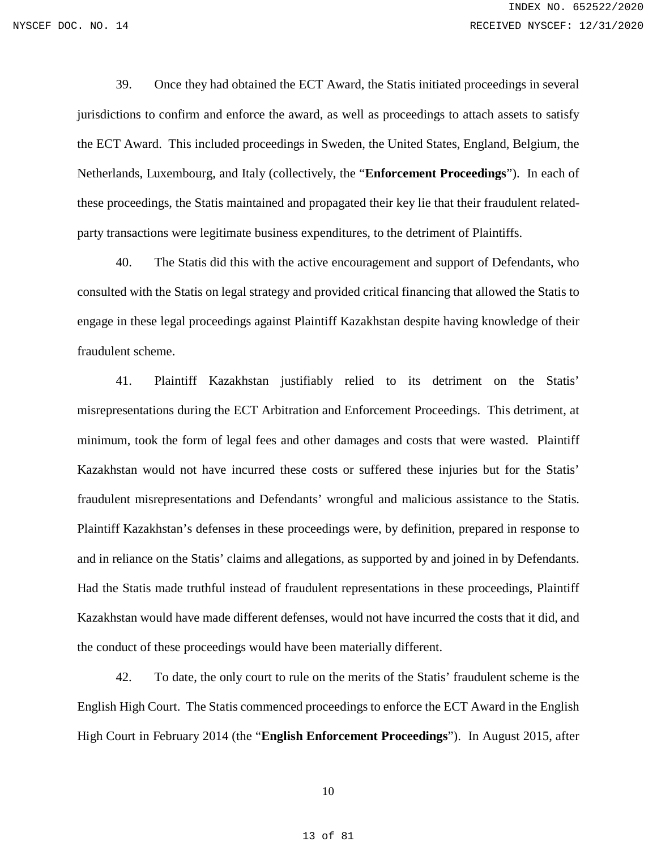39. Once they had obtained the ECT Award, the Statis initiated proceedings in several jurisdictions to confirm and enforce the award, as well as proceedings to attach assets to satisfy the ECT Award. This included proceedings in Sweden, the United States, England, Belgium, the Netherlands, Luxembourg, and Italy (collectively, the "**Enforcement Proceedings**"). In each of these proceedings, the Statis maintained and propagated their key lie that their fraudulent relatedparty transactions were legitimate business expenditures, to the detriment of Plaintiffs.

40. The Statis did this with the active encouragement and support of Defendants, who consulted with the Statis on legal strategy and provided critical financing that allowed the Statis to engage in these legal proceedings against Plaintiff Kazakhstan despite having knowledge of their fraudulent scheme.

41. Plaintiff Kazakhstan justifiably relied to its detriment on the Statis' misrepresentations during the ECT Arbitration and Enforcement Proceedings. This detriment, at minimum, took the form of legal fees and other damages and costs that were wasted. Plaintiff Kazakhstan would not have incurred these costs or suffered these injuries but for the Statis' fraudulent misrepresentations and Defendants' wrongful and malicious assistance to the Statis. Plaintiff Kazakhstan's defenses in these proceedings were, by definition, prepared in response to and in reliance on the Statis' claims and allegations, as supported by and joined in by Defendants. Had the Statis made truthful instead of fraudulent representations in these proceedings, Plaintiff Kazakhstan would have made different defenses, would not have incurred the costs that it did, and the conduct of these proceedings would have been materially different.

42. To date, the only court to rule on the merits of the Statis' fraudulent scheme is the English High Court. The Statis commenced proceedings to enforce the ECT Award in the English High Court in February 2014 (the "**English Enforcement Proceedings**"). In August 2015, after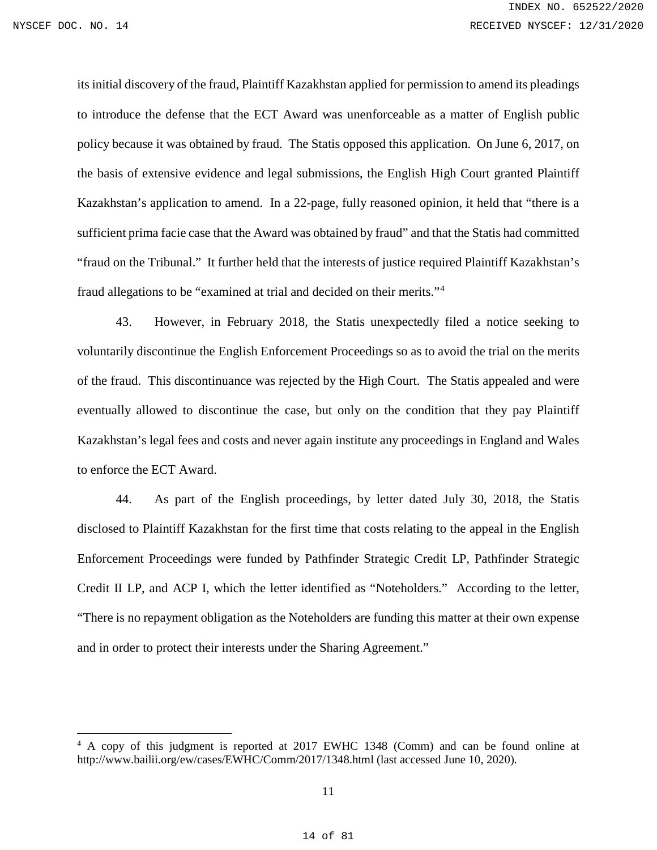$\overline{a}$ 

its initial discovery of the fraud, Plaintiff Kazakhstan applied for permission to amend its pleadings to introduce the defense that the ECT Award was unenforceable as a matter of English public policy because it was obtained by fraud. The Statis opposed this application. On June 6, 2017, on the basis of extensive evidence and legal submissions, the English High Court granted Plaintiff Kazakhstan's application to amend. In a 22-page, fully reasoned opinion, it held that "there is a sufficient prima facie case that the Award was obtained by fraud" and that the Statis had committed "fraud on the Tribunal." It further held that the interests of justice required Plaintiff Kazakhstan's fraud allegations to be "examined at trial and decided on their merits."[4](#page-13-0)

43. However, in February 2018, the Statis unexpectedly filed a notice seeking to voluntarily discontinue the English Enforcement Proceedings so as to avoid the trial on the merits of the fraud. This discontinuance was rejected by the High Court. The Statis appealed and were eventually allowed to discontinue the case, but only on the condition that they pay Plaintiff Kazakhstan's legal fees and costs and never again institute any proceedings in England and Wales to enforce the ECT Award.

44. As part of the English proceedings, by letter dated July 30, 2018, the Statis disclosed to Plaintiff Kazakhstan for the first time that costs relating to the appeal in the English Enforcement Proceedings were funded by Pathfinder Strategic Credit LP, Pathfinder Strategic Credit II LP, and ACP I, which the letter identified as "Noteholders." According to the letter, "There is no repayment obligation as the Noteholders are funding this matter at their own expense and in order to protect their interests under the Sharing Agreement."

<span id="page-13-0"></span><sup>4</sup> A copy of this judgment is reported at 2017 EWHC 1348 (Comm) and can be found online at <http://www.bailii.org/ew/cases/EWHC/Comm/2017/1348.html> (last accessed June 10, 2020).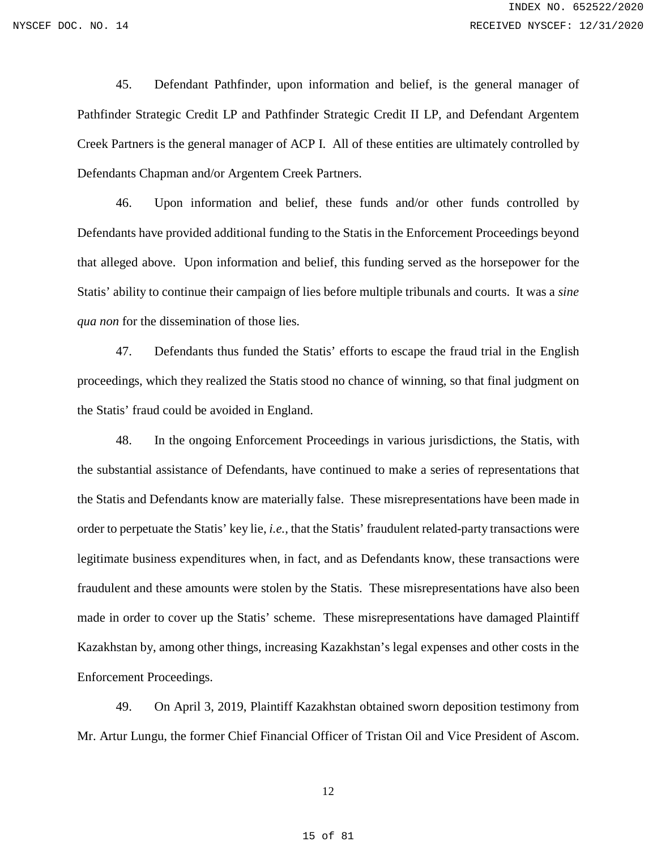45. Defendant Pathfinder, upon information and belief, is the general manager of Pathfinder Strategic Credit LP and Pathfinder Strategic Credit II LP, and Defendant Argentem Creek Partners is the general manager of ACP I. All of these entities are ultimately controlled by Defendants Chapman and/or Argentem Creek Partners.

46. Upon information and belief, these funds and/or other funds controlled by Defendants have provided additional funding to the Statis in the Enforcement Proceedings beyond that alleged above. Upon information and belief, this funding served as the horsepower for the Statis' ability to continue their campaign of lies before multiple tribunals and courts. It was a *sine qua non* for the dissemination of those lies.

47. Defendants thus funded the Statis' efforts to escape the fraud trial in the English proceedings, which they realized the Statis stood no chance of winning, so that final judgment on the Statis' fraud could be avoided in England.

48. In the ongoing Enforcement Proceedings in various jurisdictions, the Statis, with the substantial assistance of Defendants, have continued to make a series of representations that the Statis and Defendants know are materially false. These misrepresentations have been made in order to perpetuate the Statis' key lie, *i.e.*, that the Statis' fraudulent related-party transactions were legitimate business expenditures when, in fact, and as Defendants know, these transactions were fraudulent and these amounts were stolen by the Statis. These misrepresentations have also been made in order to cover up the Statis' scheme. These misrepresentations have damaged Plaintiff Kazakhstan by, among other things, increasing Kazakhstan's legal expenses and other costs in the Enforcement Proceedings.

49. On April 3, 2019, Plaintiff Kazakhstan obtained sworn deposition testimony from Mr. Artur Lungu, the former Chief Financial Officer of Tristan Oil and Vice President of Ascom.

12

15 of 81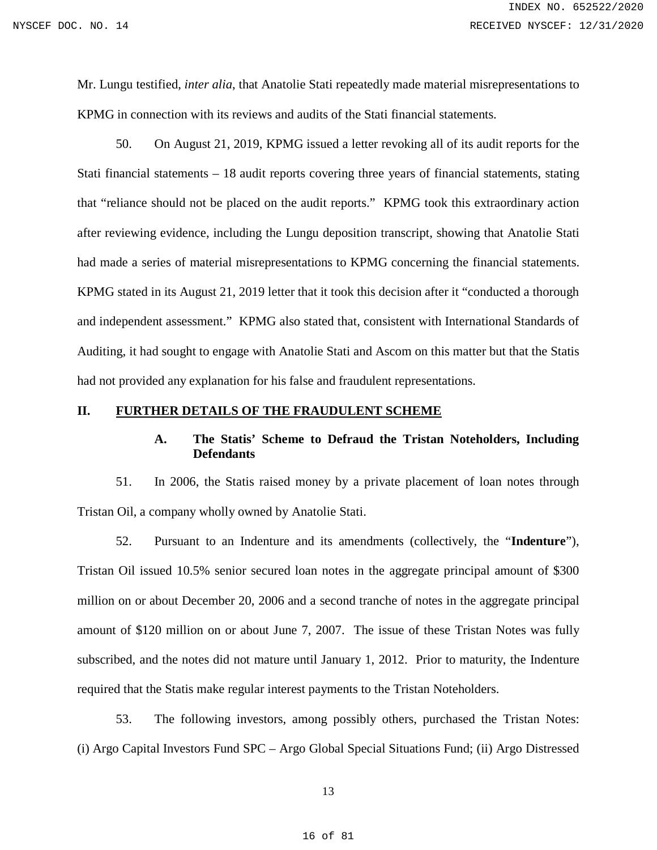Mr. Lungu testified, *inter alia*, that Anatolie Stati repeatedly made material misrepresentations to KPMG in connection with its reviews and audits of the Stati financial statements.

50. On August 21, 2019, KPMG issued a letter revoking all of its audit reports for the Stati financial statements – 18 audit reports covering three years of financial statements, stating that "reliance should not be placed on the audit reports." KPMG took this extraordinary action after reviewing evidence, including the Lungu deposition transcript, showing that Anatolie Stati had made a series of material misrepresentations to KPMG concerning the financial statements. KPMG stated in its August 21, 2019 letter that it took this decision after it "conducted a thorough and independent assessment." KPMG also stated that, consistent with International Standards of Auditing, it had sought to engage with Anatolie Stati and Ascom on this matter but that the Statis had not provided any explanation for his false and fraudulent representations.

### <span id="page-15-1"></span><span id="page-15-0"></span>**II. FURTHER DETAILS OF THE FRAUDULENT SCHEME**

# **A. The Statis' Scheme to Defraud the Tristan Noteholders, Including Defendants**

51. In 2006, the Statis raised money by a private placement of loan notes through Tristan Oil, a company wholly owned by Anatolie Stati.

52. Pursuant to an Indenture and its amendments (collectively, the "**Indenture**"), Tristan Oil issued 10.5% senior secured loan notes in the aggregate principal amount of \$300 million on or about December 20, 2006 and a second tranche of notes in the aggregate principal amount of \$120 million on or about June 7, 2007. The issue of these Tristan Notes was fully subscribed, and the notes did not mature until January 1, 2012. Prior to maturity, the Indenture required that the Statis make regular interest payments to the Tristan Noteholders.

53. The following investors, among possibly others, purchased the Tristan Notes: (i) Argo Capital Investors Fund SPC – Argo Global Special Situations Fund; (ii) Argo Distressed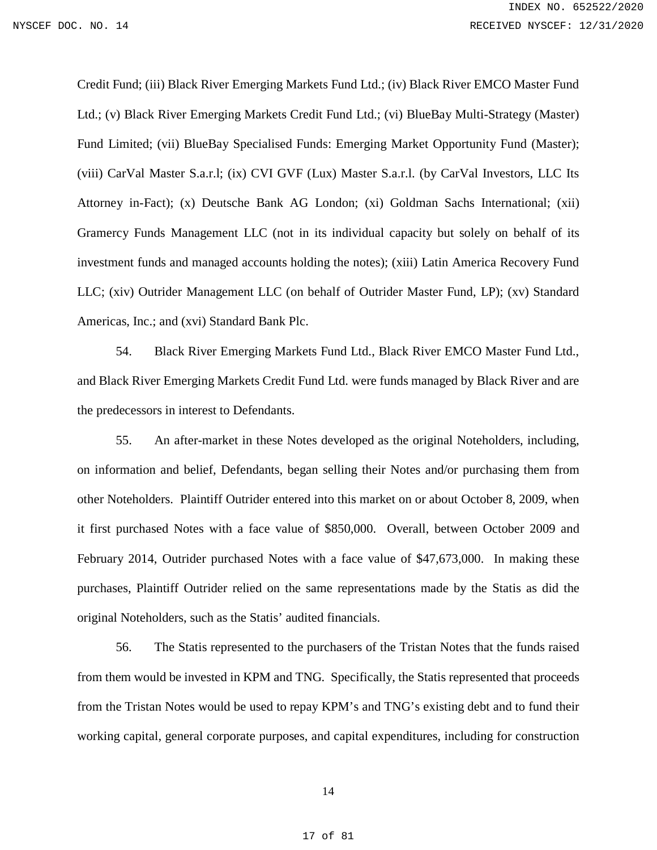Credit Fund; (iii) Black River Emerging Markets Fund Ltd.; (iv) Black River EMCO Master Fund Ltd.; (v) Black River Emerging Markets Credit Fund Ltd.; (vi) BlueBay Multi-Strategy (Master) Fund Limited; (vii) BlueBay Specialised Funds: Emerging Market Opportunity Fund (Master); (viii) CarVal Master S.a.r.l; (ix) CVI GVF (Lux) Master S.a.r.l. (by CarVal Investors, LLC Its Attorney in-Fact); (x) Deutsche Bank AG London; (xi) Goldman Sachs International; (xii) Gramercy Funds Management LLC (not in its individual capacity but solely on behalf of its investment funds and managed accounts holding the notes); (xiii) Latin America Recovery Fund LLC; (xiv) Outrider Management LLC (on behalf of Outrider Master Fund, LP); (xv) Standard Americas, Inc.; and (xvi) Standard Bank Plc.

54. Black River Emerging Markets Fund Ltd., Black River EMCO Master Fund Ltd., and Black River Emerging Markets Credit Fund Ltd. were funds managed by Black River and are the predecessors in interest to Defendants.

55. An after-market in these Notes developed as the original Noteholders, including, on information and belief, Defendants, began selling their Notes and/or purchasing them from other Noteholders. Plaintiff Outrider entered into this market on or about October 8, 2009, when it first purchased Notes with a face value of \$850,000. Overall, between October 2009 and February 2014, Outrider purchased Notes with a face value of \$47,673,000. In making these purchases, Plaintiff Outrider relied on the same representations made by the Statis as did the original Noteholders, such as the Statis' audited financials.

56. The Statis represented to the purchasers of the Tristan Notes that the funds raised from them would be invested in KPM and TNG. Specifically, the Statis represented that proceeds from the Tristan Notes would be used to repay KPM's and TNG's existing debt and to fund their working capital, general corporate purposes, and capital expenditures, including for construction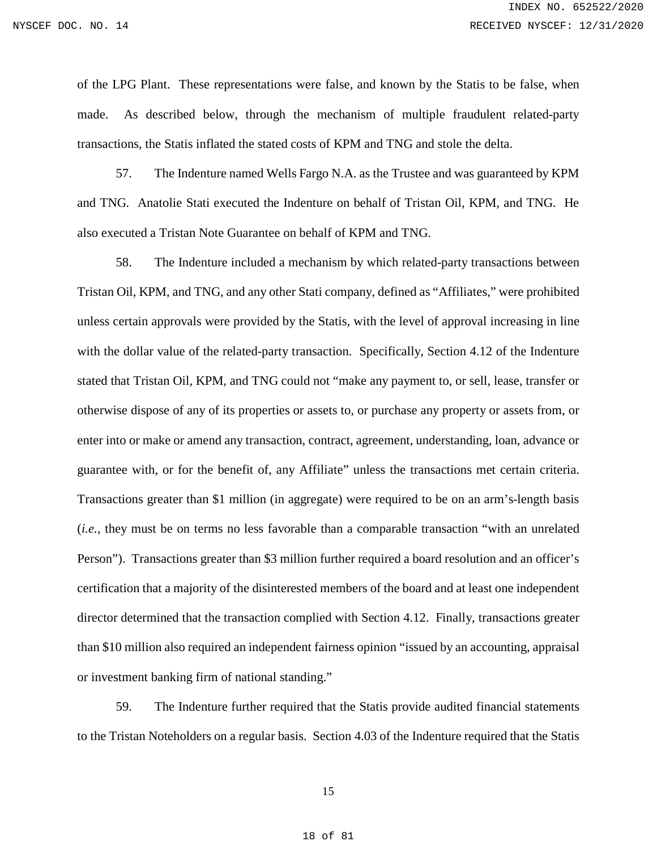of the LPG Plant. These representations were false, and known by the Statis to be false, when made. As described below, through the mechanism of multiple fraudulent related-party transactions, the Statis inflated the stated costs of KPM and TNG and stole the delta.

57. The Indenture named Wells Fargo N.A. as the Trustee and was guaranteed by KPM and TNG. Anatolie Stati executed the Indenture on behalf of Tristan Oil, KPM, and TNG. He also executed a Tristan Note Guarantee on behalf of KPM and TNG.

58. The Indenture included a mechanism by which related-party transactions between Tristan Oil, KPM, and TNG, and any other Stati company, defined as "Affiliates," were prohibited unless certain approvals were provided by the Statis, with the level of approval increasing in line with the dollar value of the related-party transaction. Specifically, Section 4.12 of the Indenture stated that Tristan Oil, KPM, and TNG could not "make any payment to, or sell, lease, transfer or otherwise dispose of any of its properties or assets to, or purchase any property or assets from, or enter into or make or amend any transaction, contract, agreement, understanding, loan, advance or guarantee with, or for the benefit of, any Affiliate" unless the transactions met certain criteria. Transactions greater than \$1 million (in aggregate) were required to be on an arm's-length basis (*i.e.*, they must be on terms no less favorable than a comparable transaction "with an unrelated Person"). Transactions greater than \$3 million further required a board resolution and an officer's certification that a majority of the disinterested members of the board and at least one independent director determined that the transaction complied with Section 4.12. Finally, transactions greater than \$10 million also required an independent fairness opinion "issued by an accounting, appraisal or investment banking firm of national standing."

59. The Indenture further required that the Statis provide audited financial statements to the Tristan Noteholders on a regular basis. Section 4.03 of the Indenture required that the Statis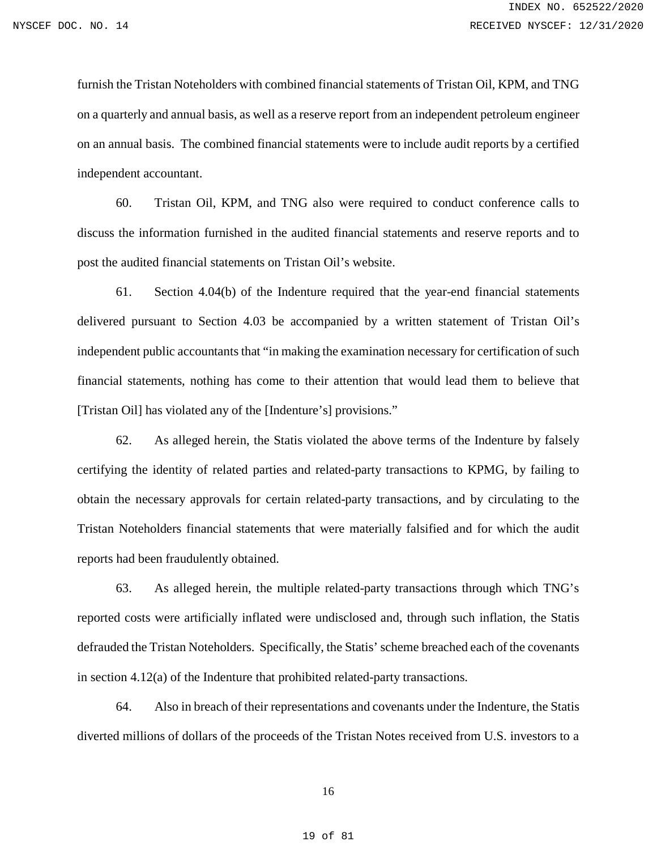furnish the Tristan Noteholders with combined financial statements of Tristan Oil, KPM, and TNG on a quarterly and annual basis, as well as a reserve report from an independent petroleum engineer on an annual basis. The combined financial statements were to include audit reports by a certified independent accountant.

60. Tristan Oil, KPM, and TNG also were required to conduct conference calls to discuss the information furnished in the audited financial statements and reserve reports and to post the audited financial statements on Tristan Oil's website.

61. Section 4.04(b) of the Indenture required that the year-end financial statements delivered pursuant to Section 4.03 be accompanied by a written statement of Tristan Oil's independent public accountants that "in making the examination necessary for certification of such financial statements, nothing has come to their attention that would lead them to believe that [Tristan Oil] has violated any of the [Indenture's] provisions."

62. As alleged herein, the Statis violated the above terms of the Indenture by falsely certifying the identity of related parties and related-party transactions to KPMG, by failing to obtain the necessary approvals for certain related-party transactions, and by circulating to the Tristan Noteholders financial statements that were materially falsified and for which the audit reports had been fraudulently obtained.

63. As alleged herein, the multiple related-party transactions through which TNG's reported costs were artificially inflated were undisclosed and, through such inflation, the Statis defrauded the Tristan Noteholders. Specifically, the Statis' scheme breached each of the covenants in section 4.12(a) of the Indenture that prohibited related-party transactions.

64. Also in breach of their representations and covenants under the Indenture, the Statis diverted millions of dollars of the proceeds of the Tristan Notes received from U.S. investors to a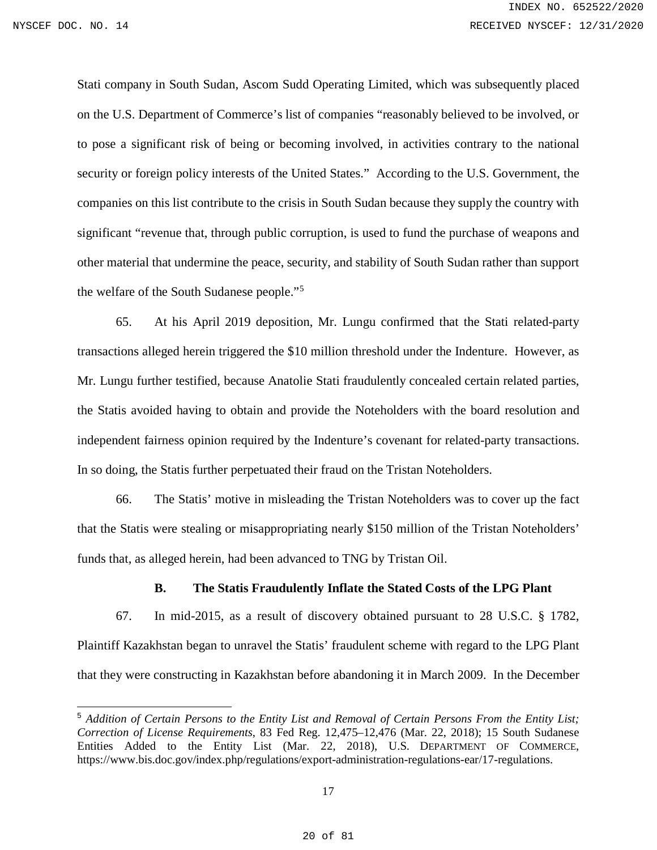Stati company in South Sudan, Ascom Sudd Operating Limited, which was subsequently placed on the U.S. Department of Commerce's list of companies "reasonably believed to be involved, or to pose a significant risk of being or becoming involved, in activities contrary to the national security or foreign policy interests of the United States." According to the U.S. Government, the companies on this list contribute to the crisis in South Sudan because they supply the country with significant "revenue that, through public corruption, is used to fund the purchase of weapons and other material that undermine the peace, security, and stability of South Sudan rather than support the welfare of the South Sudanese people."[5](#page-19-1)

65. At his April 2019 deposition, Mr. Lungu confirmed that the Stati related-party transactions alleged herein triggered the \$10 million threshold under the Indenture. However, as Mr. Lungu further testified, because Anatolie Stati fraudulently concealed certain related parties, the Statis avoided having to obtain and provide the Noteholders with the board resolution and independent fairness opinion required by the Indenture's covenant for related-party transactions. In so doing, the Statis further perpetuated their fraud on the Tristan Noteholders.

66. The Statis' motive in misleading the Tristan Noteholders was to cover up the fact that the Statis were stealing or misappropriating nearly \$150 million of the Tristan Noteholders' funds that, as alleged herein, had been advanced to TNG by Tristan Oil.

### **B. The Statis Fraudulently Inflate the Stated Costs of the LPG Plant**

<span id="page-19-0"></span>67. In mid-2015, as a result of discovery obtained pursuant to 28 U.S.C. § 1782, Plaintiff Kazakhstan began to unravel the Statis' fraudulent scheme with regard to the LPG Plant that they were constructing in Kazakhstan before abandoning it in March 2009. In the December

<span id="page-19-1"></span> <sup>5</sup> *Addition of Certain Persons to the Entity List and Removal of Certain Persons From the Entity List; Correction of License Requirements*, 83 Fed Reg. 12,475–12,476 (Mar. 22, 2018); 15 South Sudanese Entities Added to the Entity List (Mar. 22, 2018), U.S. DEPARTMENT OF COMMERCE, https://www.bis.doc.gov/index.php/regulations/export-administration-regulations-ear/17-regulations.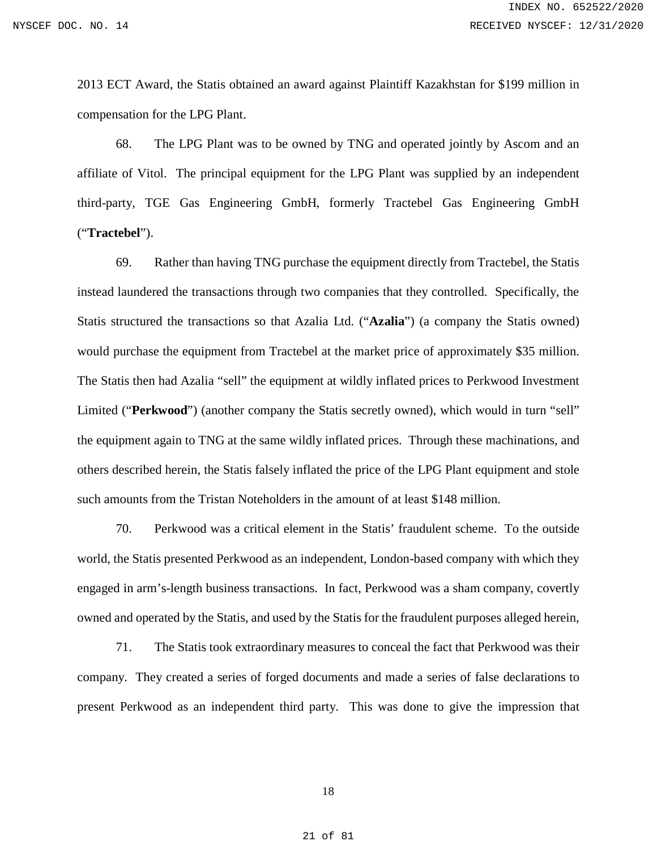2013 ECT Award, the Statis obtained an award against Plaintiff Kazakhstan for \$199 million in compensation for the LPG Plant.

68. The LPG Plant was to be owned by TNG and operated jointly by Ascom and an affiliate of Vitol. The principal equipment for the LPG Plant was supplied by an independent third-party, TGE Gas Engineering GmbH, formerly Tractebel Gas Engineering GmbH ("**Tractebel**").

69. Rather than having TNG purchase the equipment directly from Tractebel, the Statis instead laundered the transactions through two companies that they controlled. Specifically, the Statis structured the transactions so that Azalia Ltd. ("**Azalia**") (a company the Statis owned) would purchase the equipment from Tractebel at the market price of approximately \$35 million. The Statis then had Azalia "sell" the equipment at wildly inflated prices to Perkwood Investment Limited ("**Perkwood**") (another company the Statis secretly owned), which would in turn "sell" the equipment again to TNG at the same wildly inflated prices. Through these machinations, and others described herein, the Statis falsely inflated the price of the LPG Plant equipment and stole such amounts from the Tristan Noteholders in the amount of at least \$148 million.

70. Perkwood was a critical element in the Statis' fraudulent scheme. To the outside world, the Statis presented Perkwood as an independent, London-based company with which they engaged in arm's-length business transactions. In fact, Perkwood was a sham company, covertly owned and operated by the Statis, and used by the Statis for the fraudulent purposes alleged herein,

71. The Statis took extraordinary measures to conceal the fact that Perkwood was their company. They created a series of forged documents and made a series of false declarations to present Perkwood as an independent third party. This was done to give the impression that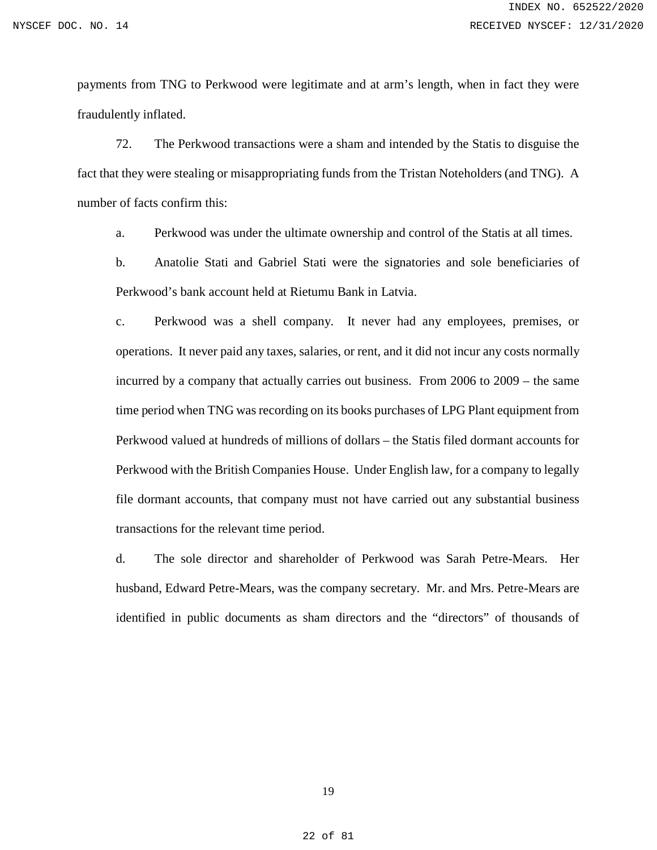payments from TNG to Perkwood were legitimate and at arm's length, when in fact they were fraudulently inflated.

72. The Perkwood transactions were a sham and intended by the Statis to disguise the fact that they were stealing or misappropriating funds from the Tristan Noteholders (and TNG). A number of facts confirm this:

a. Perkwood was under the ultimate ownership and control of the Statis at all times.

b. Anatolie Stati and Gabriel Stati were the signatories and sole beneficiaries of Perkwood's bank account held at Rietumu Bank in Latvia.

c. Perkwood was a shell company. It never had any employees, premises, or operations. It never paid any taxes, salaries, or rent, and it did not incur any costs normally incurred by a company that actually carries out business. From 2006 to 2009 – the same time period when TNG was recording on its books purchases of LPG Plant equipment from Perkwood valued at hundreds of millions of dollars – the Statis filed dormant accounts for Perkwood with the British Companies House. Under English law, for a company to legally file dormant accounts, that company must not have carried out any substantial business transactions for the relevant time period.

d. The sole director and shareholder of Perkwood was Sarah Petre-Mears. Her husband, Edward Petre-Mears, was the company secretary. Mr. and Mrs. Petre-Mears are identified in public documents as sham directors and the "directors" of thousands of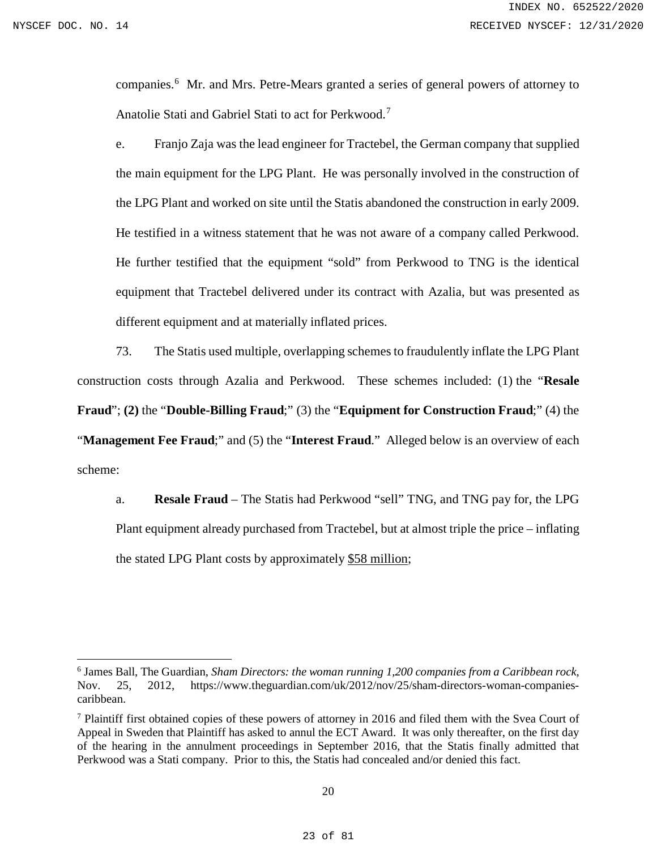$\overline{a}$ 

companies.<sup>[6](#page-22-0)</sup> Mr. and Mrs. Petre-Mears granted a series of general powers of attorney to Anatolie Stati and Gabriel Stati to act for Perkwood.<sup>[7](#page-22-1)</sup>

e. Franjo Zaja was the lead engineer for Tractebel, the German company that supplied the main equipment for the LPG Plant. He was personally involved in the construction of the LPG Plant and worked on site until the Statis abandoned the construction in early 2009. He testified in a witness statement that he was not aware of a company called Perkwood. He further testified that the equipment "sold" from Perkwood to TNG is the identical equipment that Tractebel delivered under its contract with Azalia, but was presented as different equipment and at materially inflated prices.

73. The Statis used multiple, overlapping schemes to fraudulently inflate the LPG Plant construction costs through Azalia and Perkwood. These schemes included: (1) the "**Resale Fraud**"; **(2)** the "**Double-Billing Fraud**;" (3) the "**Equipment for Construction Fraud**;" (4) the "**Management Fee Fraud**;" and (5) the "**Interest Fraud**." Alleged below is an overview of each scheme:

a. **Resale Fraud** – The Statis had Perkwood "sell" TNG, and TNG pay for, the LPG Plant equipment already purchased from Tractebel, but at almost triple the price – inflating the stated LPG Plant costs by approximately \$58 million;

<span id="page-22-0"></span><sup>6</sup> James Ball, The Guardian, *Sham Directors: the woman running 1,200 companies from a Caribbean rock,*  Nov. 25, 2012, [https://www.theguardian.com/uk/2012/nov/25/sham-directors-woman-companies](https://www.theguardian.com/uk/2012/nov/25/sham-directors-woman-companies-caribbean)[caribbean.](https://www.theguardian.com/uk/2012/nov/25/sham-directors-woman-companies-caribbean)

<span id="page-22-1"></span><sup>7</sup> Plaintiff first obtained copies of these powers of attorney in 2016 and filed them with the Svea Court of Appeal in Sweden that Plaintiff has asked to annul the ECT Award. It was only thereafter, on the first day of the hearing in the annulment proceedings in September 2016, that the Statis finally admitted that Perkwood was a Stati company. Prior to this, the Statis had concealed and/or denied this fact.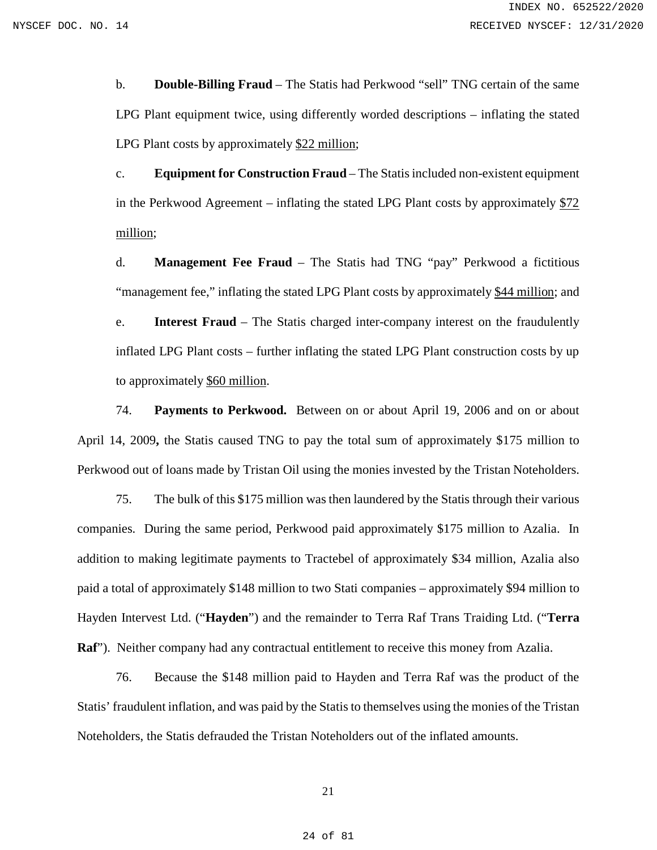b. **Double-Billing Fraud** – The Statis had Perkwood "sell" TNG certain of the same LPG Plant equipment twice, using differently worded descriptions – inflating the stated LPG Plant costs by approximately \$22 million;

c. **Equipment for Construction Fraud** – The Statis included non-existent equipment in the Perkwood Agreement – inflating the stated LPG Plant costs by approximately \$72 million;

d. **Management Fee Fraud** – The Statis had TNG "pay" Perkwood a fictitious "management fee," inflating the stated LPG Plant costs by approximately \$44 million; and

e. **Interest Fraud** – The Statis charged inter-company interest on the fraudulently inflated LPG Plant costs – further inflating the stated LPG Plant construction costs by up to approximately \$60 million.

74. **Payments to Perkwood.** Between on or about April 19, 2006 and on or about April 14, 2009**,** the Statis caused TNG to pay the total sum of approximately \$175 million to Perkwood out of loans made by Tristan Oil using the monies invested by the Tristan Noteholders.

75. The bulk of this \$175 million was then laundered by the Statis through their various companies. During the same period, Perkwood paid approximately \$175 million to Azalia. In addition to making legitimate payments to Tractebel of approximately \$34 million, Azalia also paid a total of approximately \$148 million to two Stati companies – approximately \$94 million to Hayden Intervest Ltd. ("**Hayden**") and the remainder to Terra Raf Trans Traiding Ltd. ("**Terra Raf**"). Neither company had any contractual entitlement to receive this money from Azalia.

76. Because the \$148 million paid to Hayden and Terra Raf was the product of the Statis' fraudulent inflation, and was paid by the Statis to themselves using the monies of the Tristan Noteholders, the Statis defrauded the Tristan Noteholders out of the inflated amounts.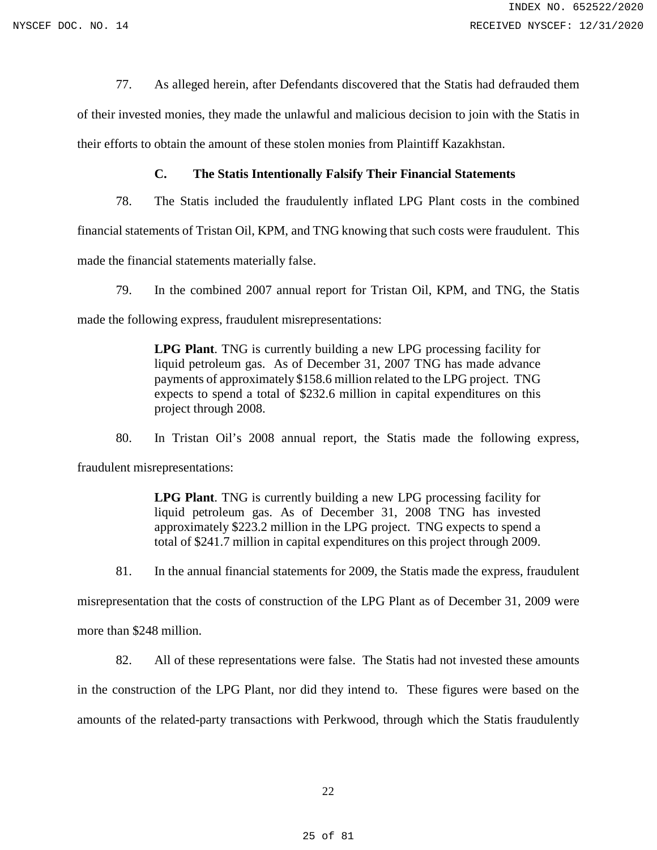77. As alleged herein, after Defendants discovered that the Statis had defrauded them

of their invested monies, they made the unlawful and malicious decision to join with the Statis in their efforts to obtain the amount of these stolen monies from Plaintiff Kazakhstan.

### **C. The Statis Intentionally Falsify Their Financial Statements**

<span id="page-24-0"></span>78. The Statis included the fraudulently inflated LPG Plant costs in the combined

financial statements of Tristan Oil, KPM, and TNG knowing that such costs were fraudulent. This

made the financial statements materially false.

79. In the combined 2007 annual report for Tristan Oil, KPM, and TNG, the Statis

made the following express, fraudulent misrepresentations:

**LPG Plant**. TNG is currently building a new LPG processing facility for liquid petroleum gas. As of December 31, 2007 TNG has made advance payments of approximately \$158.6 million related to the LPG project. TNG expects to spend a total of \$232.6 million in capital expenditures on this project through 2008.

80. In Tristan Oil's 2008 annual report, the Statis made the following express, fraudulent misrepresentations:

> **LPG Plant**. TNG is currently building a new LPG processing facility for liquid petroleum gas. As of December 31, 2008 TNG has invested approximately \$223.2 million in the LPG project. TNG expects to spend a total of \$241.7 million in capital expenditures on this project through 2009.

81. In the annual financial statements for 2009, the Statis made the express, fraudulent

misrepresentation that the costs of construction of the LPG Plant as of December 31, 2009 were

more than \$248 million.

82. All of these representations were false. The Statis had not invested these amounts in the construction of the LPG Plant, nor did they intend to. These figures were based on the amounts of the related-party transactions with Perkwood, through which the Statis fraudulently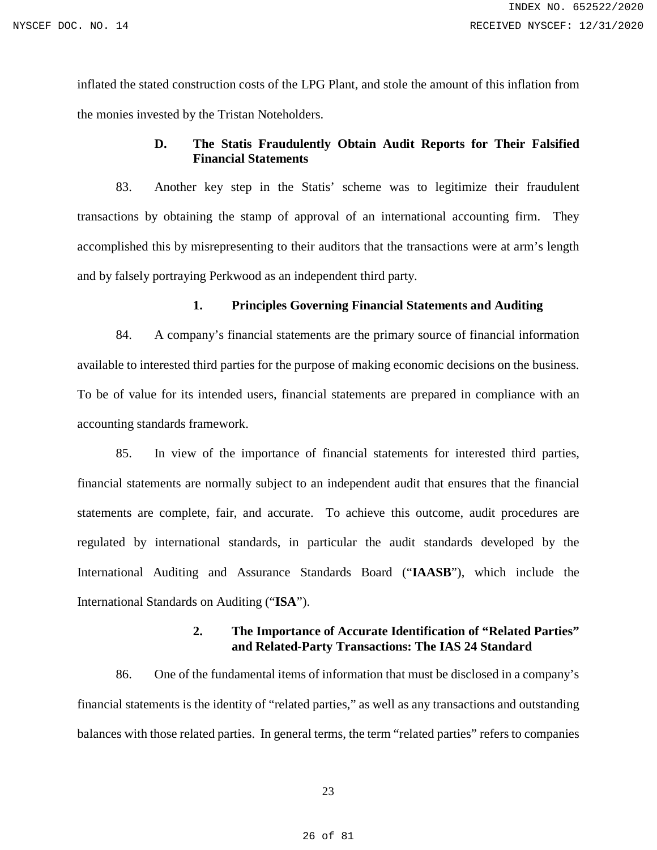inflated the stated construction costs of the LPG Plant, and stole the amount of this inflation from the monies invested by the Tristan Noteholders.

# **D. The Statis Fraudulently Obtain Audit Reports for Their Falsified Financial Statements**

<span id="page-25-0"></span>83. Another key step in the Statis' scheme was to legitimize their fraudulent transactions by obtaining the stamp of approval of an international accounting firm. They accomplished this by misrepresenting to their auditors that the transactions were at arm's length and by falsely portraying Perkwood as an independent third party.

### **1. Principles Governing Financial Statements and Auditing**

84. A company's financial statements are the primary source of financial information available to interested third parties for the purpose of making economic decisions on the business. To be of value for its intended users, financial statements are prepared in compliance with an accounting standards framework.

85. In view of the importance of financial statements for interested third parties, financial statements are normally subject to an independent audit that ensures that the financial statements are complete, fair, and accurate. To achieve this outcome, audit procedures are regulated by international standards, in particular the audit standards developed by the International Auditing and Assurance Standards Board ("**IAASB**"), which include the International Standards on Auditing ("**ISA**").

### **2. The Importance of Accurate Identification of "Related Parties" and Related-Party Transactions: The IAS 24 Standard**

86. One of the fundamental items of information that must be disclosed in a company's financial statements is the identity of "related parties," as well as any transactions and outstanding balances with those related parties. In general terms, the term "related parties" refers to companies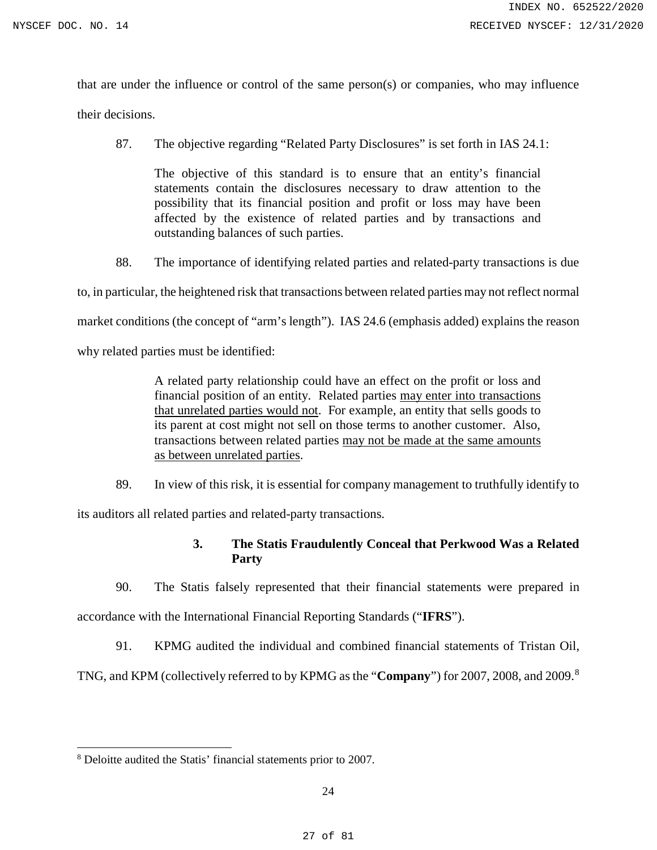that are under the influence or control of the same person(s) or companies, who may influence

their decisions.

87. The objective regarding "Related Party Disclosures" is set forth in IAS 24.1:

The objective of this standard is to ensure that an entity's financial statements contain the disclosures necessary to draw attention to the possibility that its financial position and profit or loss may have been affected by the existence of related parties and by transactions and outstanding balances of such parties.

88. The importance of identifying related parties and related-party transactions is due

to, in particular, the heightened risk that transactions between related parties may not reflect normal market conditions (the concept of "arm's length"). IAS 24.6 (emphasis added) explains the reason

why related parties must be identified:

A related party relationship could have an effect on the profit or loss and financial position of an entity. Related parties may enter into transactions that unrelated parties would not. For example, an entity that sells goods to its parent at cost might not sell on those terms to another customer. Also, transactions between related parties may not be made at the same amounts as between unrelated parties.

89. In view of this risk, it is essential for company management to truthfully identify to

its auditors all related parties and related-party transactions.

# **3. The Statis Fraudulently Conceal that Perkwood Was a Related Party**

90. The Statis falsely represented that their financial statements were prepared in accordance with the International Financial Reporting Standards ("**IFRS**").

91. KPMG audited the individual and combined financial statements of Tristan Oil,

TNG, and KPM (collectively referred to by KPMG as the "**Company**") for 2007, 2008, and 2009.[8](#page-26-0)

 $\overline{a}$ 

<span id="page-26-0"></span><sup>8</sup> Deloitte audited the Statis' financial statements prior to 2007.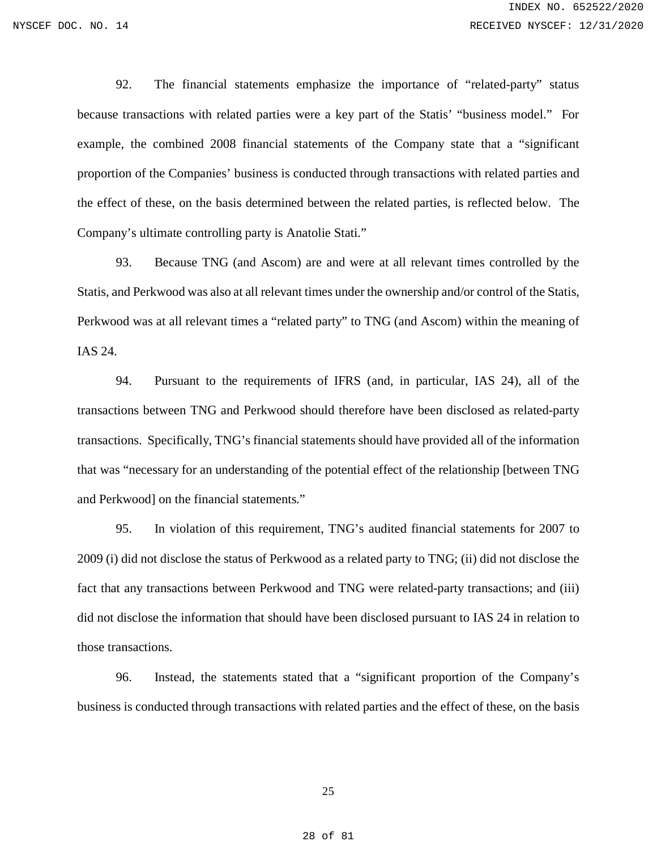92. The financial statements emphasize the importance of "related-party" status because transactions with related parties were a key part of the Statis' "business model." For example, the combined 2008 financial statements of the Company state that a "significant proportion of the Companies' business is conducted through transactions with related parties and the effect of these, on the basis determined between the related parties, is reflected below. The Company's ultimate controlling party is Anatolie Stati."

93. Because TNG (and Ascom) are and were at all relevant times controlled by the Statis, and Perkwood was also at all relevant times under the ownership and/or control of the Statis, Perkwood was at all relevant times a "related party" to TNG (and Ascom) within the meaning of IAS 24.

94. Pursuant to the requirements of IFRS (and, in particular, IAS 24), all of the transactions between TNG and Perkwood should therefore have been disclosed as related-party transactions. Specifically, TNG's financial statements should have provided all of the information that was "necessary for an understanding of the potential effect of the relationship [between TNG and Perkwood] on the financial statements."

95. In violation of this requirement, TNG's audited financial statements for 2007 to 2009 (i) did not disclose the status of Perkwood as a related party to TNG; (ii) did not disclose the fact that any transactions between Perkwood and TNG were related-party transactions; and (iii) did not disclose the information that should have been disclosed pursuant to IAS 24 in relation to those transactions.

96. Instead, the statements stated that a "significant proportion of the Company's business is conducted through transactions with related parties and the effect of these, on the basis

25

28 of 81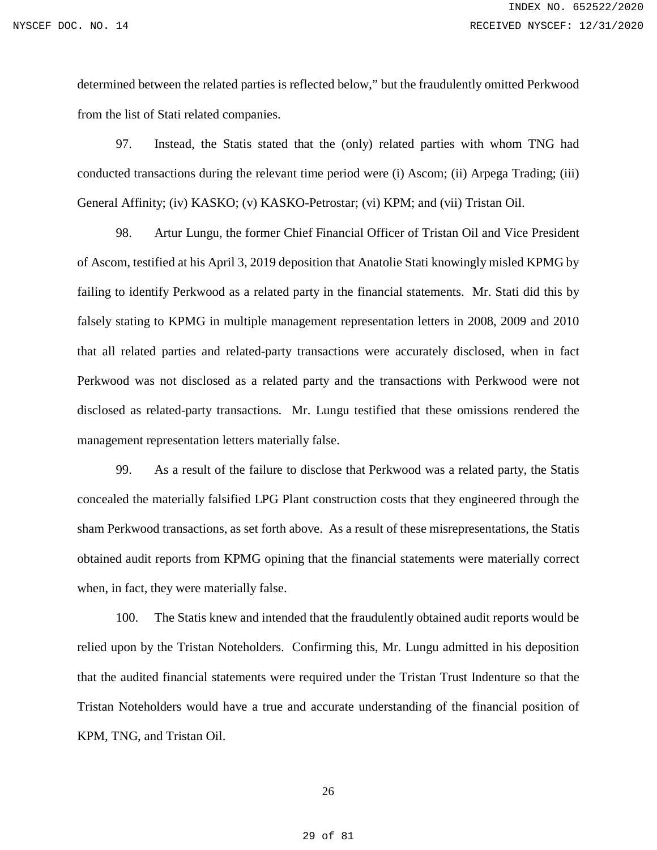determined between the related parties is reflected below," but the fraudulently omitted Perkwood from the list of Stati related companies.

97. Instead, the Statis stated that the (only) related parties with whom TNG had conducted transactions during the relevant time period were (i) Ascom; (ii) Arpega Trading; (iii) General Affinity; (iv) KASKO; (v) KASKO-Petrostar; (vi) KPM; and (vii) Tristan Oil.

98. Artur Lungu, the former Chief Financial Officer of Tristan Oil and Vice President of Ascom, testified at his April 3, 2019 deposition that Anatolie Stati knowingly misled KPMG by failing to identify Perkwood as a related party in the financial statements. Mr. Stati did this by falsely stating to KPMG in multiple management representation letters in 2008, 2009 and 2010 that all related parties and related-party transactions were accurately disclosed, when in fact Perkwood was not disclosed as a related party and the transactions with Perkwood were not disclosed as related-party transactions. Mr. Lungu testified that these omissions rendered the management representation letters materially false.

99. As a result of the failure to disclose that Perkwood was a related party, the Statis concealed the materially falsified LPG Plant construction costs that they engineered through the sham Perkwood transactions, as set forth above. As a result of these misrepresentations, the Statis obtained audit reports from KPMG opining that the financial statements were materially correct when, in fact, they were materially false.

100. The Statis knew and intended that the fraudulently obtained audit reports would be relied upon by the Tristan Noteholders. Confirming this, Mr. Lungu admitted in his deposition that the audited financial statements were required under the Tristan Trust Indenture so that the Tristan Noteholders would have a true and accurate understanding of the financial position of KPM, TNG, and Tristan Oil.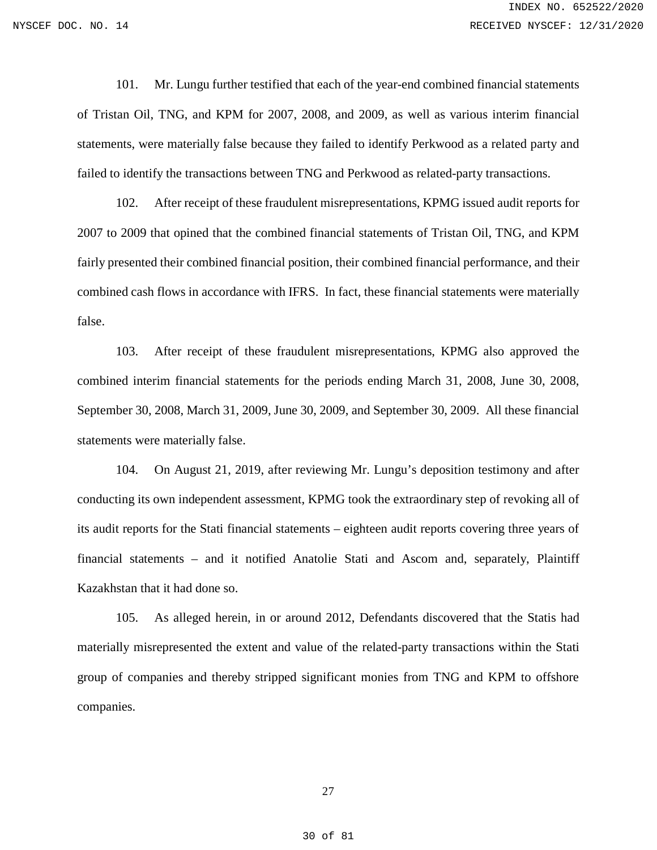101. Mr. Lungu further testified that each of the year-end combined financial statements of Tristan Oil, TNG, and KPM for 2007, 2008, and 2009, as well as various interim financial statements, were materially false because they failed to identify Perkwood as a related party and failed to identify the transactions between TNG and Perkwood as related-party transactions.

102. After receipt of these fraudulent misrepresentations, KPMG issued audit reports for 2007 to 2009 that opined that the combined financial statements of Tristan Oil, TNG, and KPM fairly presented their combined financial position, their combined financial performance, and their combined cash flows in accordance with IFRS. In fact, these financial statements were materially false.

103. After receipt of these fraudulent misrepresentations, KPMG also approved the combined interim financial statements for the periods ending March 31, 2008, June 30, 2008, September 30, 2008, March 31, 2009, June 30, 2009, and September 30, 2009. All these financial statements were materially false.

104. On August 21, 2019, after reviewing Mr. Lungu's deposition testimony and after conducting its own independent assessment, KPMG took the extraordinary step of revoking all of its audit reports for the Stati financial statements – eighteen audit reports covering three years of financial statements – and it notified Anatolie Stati and Ascom and, separately, Plaintiff Kazakhstan that it had done so.

105. As alleged herein, in or around 2012, Defendants discovered that the Statis had materially misrepresented the extent and value of the related-party transactions within the Stati group of companies and thereby stripped significant monies from TNG and KPM to offshore companies.

27

30 of 81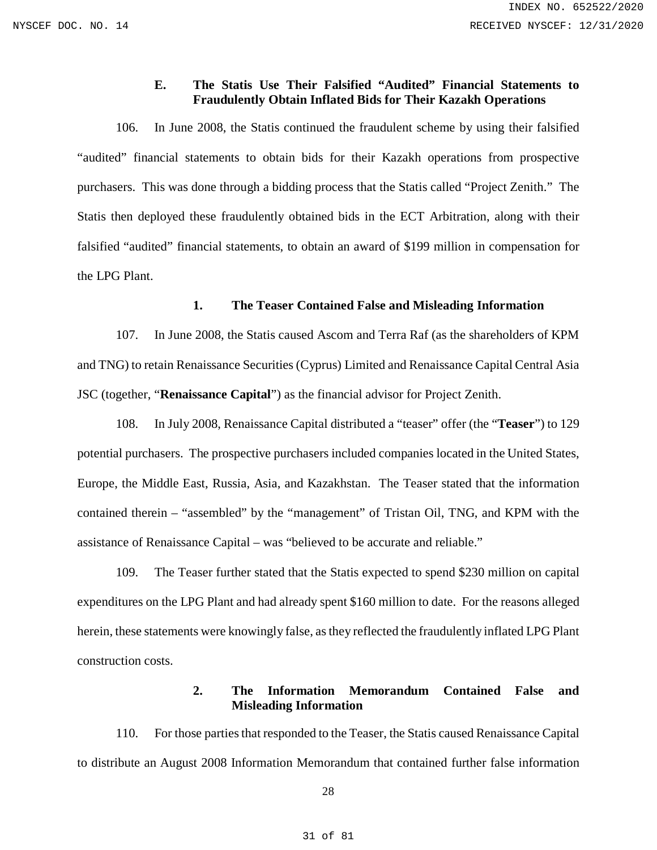# **E. The Statis Use Their Falsified "Audited" Financial Statements to Fraudulently Obtain Inflated Bids for Their Kazakh Operations**

<span id="page-30-0"></span>106. In June 2008, the Statis continued the fraudulent scheme by using their falsified "audited" financial statements to obtain bids for their Kazakh operations from prospective purchasers. This was done through a bidding process that the Statis called "Project Zenith." The Statis then deployed these fraudulently obtained bids in the ECT Arbitration, along with their falsified "audited" financial statements, to obtain an award of \$199 million in compensation for the LPG Plant.

### **1. The Teaser Contained False and Misleading Information**

107. In June 2008, the Statis caused Ascom and Terra Raf (as the shareholders of KPM and TNG) to retain Renaissance Securities (Cyprus) Limited and Renaissance Capital Central Asia JSC (together, "**Renaissance Capital**") as the financial advisor for Project Zenith.

108. In July 2008, Renaissance Capital distributed a "teaser" offer (the "**Teaser**") to 129 potential purchasers. The prospective purchasers included companies located in the United States, Europe, the Middle East, Russia, Asia, and Kazakhstan. The Teaser stated that the information contained therein – "assembled" by the "management" of Tristan Oil, TNG, and KPM with the assistance of Renaissance Capital – was "believed to be accurate and reliable."

109. The Teaser further stated that the Statis expected to spend \$230 million on capital expenditures on the LPG Plant and had already spent \$160 million to date. For the reasons alleged herein, these statements were knowingly false, as they reflected the fraudulently inflated LPG Plant construction costs.

# **2. The Information Memorandum Contained False and Misleading Information**

110. For those parties that responded to the Teaser, the Statis caused Renaissance Capital to distribute an August 2008 Information Memorandum that contained further false information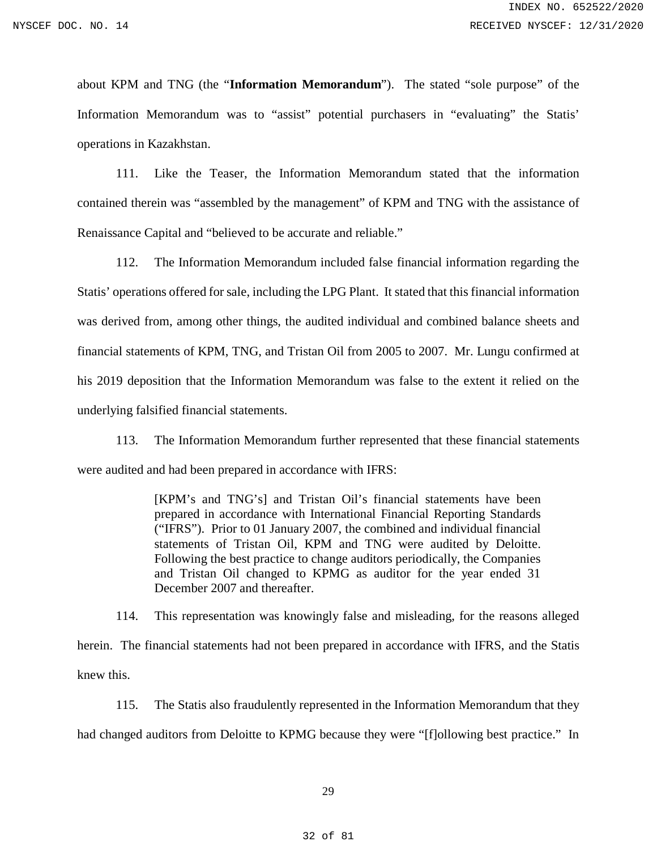about KPM and TNG (the "**Information Memorandum**"). The stated "sole purpose" of the Information Memorandum was to "assist" potential purchasers in "evaluating" the Statis' operations in Kazakhstan.

111. Like the Teaser, the Information Memorandum stated that the information contained therein was "assembled by the management" of KPM and TNG with the assistance of Renaissance Capital and "believed to be accurate and reliable."

112. The Information Memorandum included false financial information regarding the Statis' operations offered for sale, including the LPG Plant. It stated that this financial information was derived from, among other things, the audited individual and combined balance sheets and financial statements of KPM, TNG, and Tristan Oil from 2005 to 2007. Mr. Lungu confirmed at his 2019 deposition that the Information Memorandum was false to the extent it relied on the underlying falsified financial statements.

113. The Information Memorandum further represented that these financial statements were audited and had been prepared in accordance with IFRS:

> [KPM's and TNG's] and Tristan Oil's financial statements have been prepared in accordance with International Financial Reporting Standards ("IFRS"). Prior to 01 January 2007, the combined and individual financial statements of Tristan Oil, KPM and TNG were audited by Deloitte. Following the best practice to change auditors periodically, the Companies and Tristan Oil changed to KPMG as auditor for the year ended 31 December 2007 and thereafter.

114. This representation was knowingly false and misleading, for the reasons alleged herein. The financial statements had not been prepared in accordance with IFRS, and the Statis knew this.

115. The Statis also fraudulently represented in the Information Memorandum that they had changed auditors from Deloitte to KPMG because they were "[f]ollowing best practice." In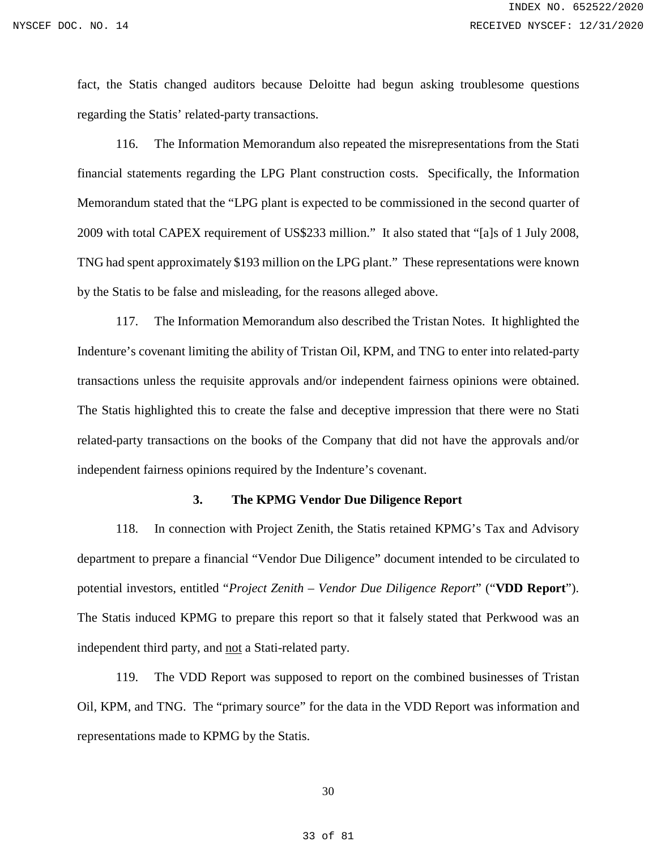fact, the Statis changed auditors because Deloitte had begun asking troublesome questions regarding the Statis' related-party transactions.

116. The Information Memorandum also repeated the misrepresentations from the Stati financial statements regarding the LPG Plant construction costs. Specifically, the Information Memorandum stated that the "LPG plant is expected to be commissioned in the second quarter of 2009 with total CAPEX requirement of US\$233 million." It also stated that "[a]s of 1 July 2008, TNG had spent approximately \$193 million on the LPG plant." These representations were known by the Statis to be false and misleading, for the reasons alleged above.

117. The Information Memorandum also described the Tristan Notes. It highlighted the Indenture's covenant limiting the ability of Tristan Oil, KPM, and TNG to enter into related-party transactions unless the requisite approvals and/or independent fairness opinions were obtained. The Statis highlighted this to create the false and deceptive impression that there were no Stati related-party transactions on the books of the Company that did not have the approvals and/or independent fairness opinions required by the Indenture's covenant.

#### **3. The KPMG Vendor Due Diligence Report**

118. In connection with Project Zenith, the Statis retained KPMG's Tax and Advisory department to prepare a financial "Vendor Due Diligence" document intended to be circulated to potential investors, entitled "*Project Zenith – Vendor Due Diligence Report*" ("**VDD Report**"). The Statis induced KPMG to prepare this report so that it falsely stated that Perkwood was an independent third party, and not a Stati-related party.

119. The VDD Report was supposed to report on the combined businesses of Tristan Oil, KPM, and TNG. The "primary source" for the data in the VDD Report was information and representations made to KPMG by the Statis.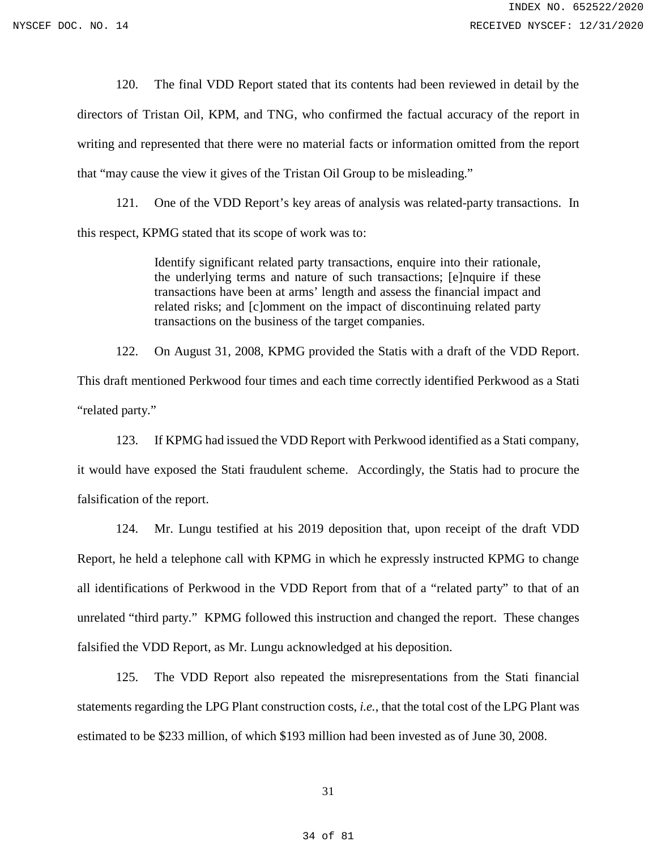120. The final VDD Report stated that its contents had been reviewed in detail by the directors of Tristan Oil, KPM, and TNG, who confirmed the factual accuracy of the report in writing and represented that there were no material facts or information omitted from the report that "may cause the view it gives of the Tristan Oil Group to be misleading."

121. One of the VDD Report's key areas of analysis was related-party transactions. In this respect, KPMG stated that its scope of work was to:

> Identify significant related party transactions, enquire into their rationale, the underlying terms and nature of such transactions; [e]nquire if these transactions have been at arms' length and assess the financial impact and related risks; and [c]omment on the impact of discontinuing related party transactions on the business of the target companies.

122. On August 31, 2008, KPMG provided the Statis with a draft of the VDD Report. This draft mentioned Perkwood four times and each time correctly identified Perkwood as a Stati "related party."

123. If KPMG had issued the VDD Report with Perkwood identified as a Stati company, it would have exposed the Stati fraudulent scheme. Accordingly, the Statis had to procure the falsification of the report.

124. Mr. Lungu testified at his 2019 deposition that, upon receipt of the draft VDD Report, he held a telephone call with KPMG in which he expressly instructed KPMG to change all identifications of Perkwood in the VDD Report from that of a "related party" to that of an unrelated "third party." KPMG followed this instruction and changed the report. These changes falsified the VDD Report, as Mr. Lungu acknowledged at his deposition.

125. The VDD Report also repeated the misrepresentations from the Stati financial statements regarding the LPG Plant construction costs, *i.e.*, that the total cost of the LPG Plant was estimated to be \$233 million, of which \$193 million had been invested as of June 30, 2008.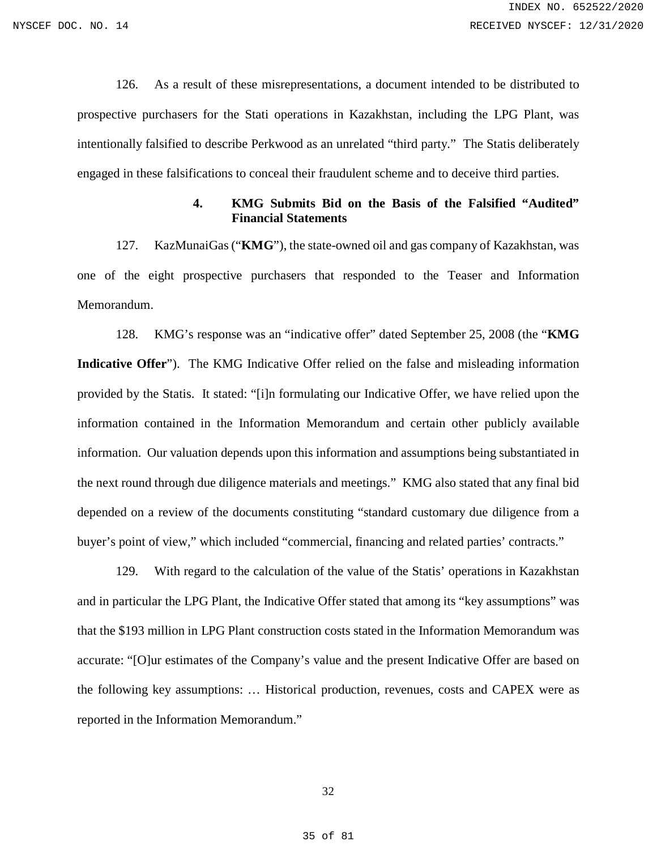126. As a result of these misrepresentations, a document intended to be distributed to prospective purchasers for the Stati operations in Kazakhstan, including the LPG Plant, was intentionally falsified to describe Perkwood as an unrelated "third party." The Statis deliberately engaged in these falsifications to conceal their fraudulent scheme and to deceive third parties.

### **4. KMG Submits Bid on the Basis of the Falsified "Audited" Financial Statements**

127. KazMunaiGas ("**KMG**"), the state-owned oil and gas company of Kazakhstan, was one of the eight prospective purchasers that responded to the Teaser and Information Memorandum.

128. KMG's response was an "indicative offer" dated September 25, 2008 (the "**KMG Indicative Offer**"). The KMG Indicative Offer relied on the false and misleading information provided by the Statis. It stated: "[i]n formulating our Indicative Offer, we have relied upon the information contained in the Information Memorandum and certain other publicly available information. Our valuation depends upon this information and assumptions being substantiated in the next round through due diligence materials and meetings." KMG also stated that any final bid depended on a review of the documents constituting "standard customary due diligence from a buyer's point of view," which included "commercial, financing and related parties' contracts."

129. With regard to the calculation of the value of the Statis' operations in Kazakhstan and in particular the LPG Plant, the Indicative Offer stated that among its "key assumptions" was that the \$193 million in LPG Plant construction costs stated in the Information Memorandum was accurate: "[O]ur estimates of the Company's value and the present Indicative Offer are based on the following key assumptions: … Historical production, revenues, costs and CAPEX were as reported in the Information Memorandum."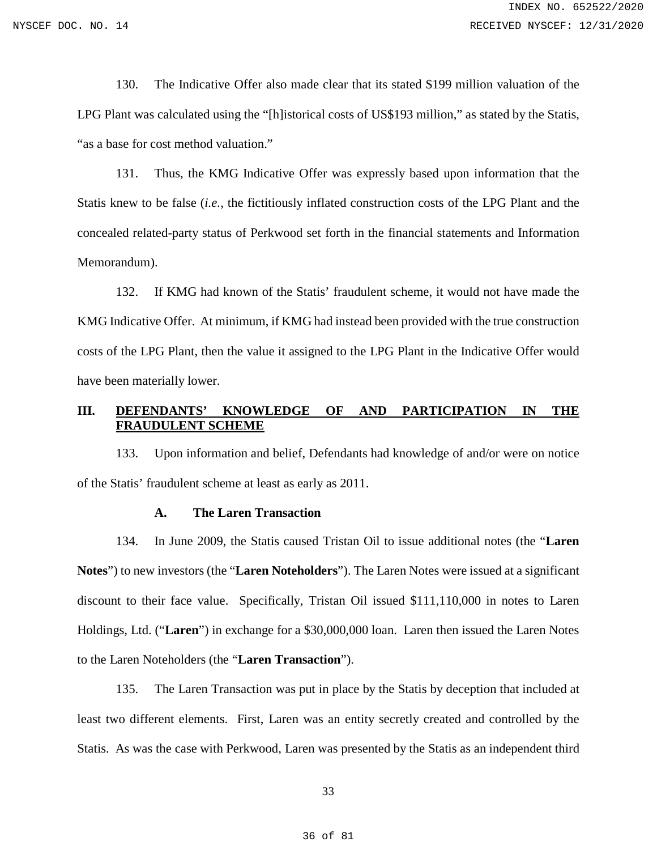130. The Indicative Offer also made clear that its stated \$199 million valuation of the LPG Plant was calculated using the "[h]istorical costs of US\$193 million," as stated by the Statis, "as a base for cost method valuation."

131. Thus, the KMG Indicative Offer was expressly based upon information that the Statis knew to be false (*i.e.*, the fictitiously inflated construction costs of the LPG Plant and the concealed related-party status of Perkwood set forth in the financial statements and Information Memorandum).

132. If KMG had known of the Statis' fraudulent scheme, it would not have made the KMG Indicative Offer. At minimum, if KMG had instead been provided with the true construction costs of the LPG Plant, then the value it assigned to the LPG Plant in the Indicative Offer would have been materially lower.

# <span id="page-35-0"></span>**III. DEFENDANTS' KNOWLEDGE OF AND PARTICIPATION IN THE FRAUDULENT SCHEME**

133. Upon information and belief, Defendants had knowledge of and/or were on notice of the Statis' fraudulent scheme at least as early as 2011.

#### **A. The Laren Transaction**

<span id="page-35-1"></span>134. In June 2009, the Statis caused Tristan Oil to issue additional notes (the "**Laren Notes**") to new investors (the "**Laren Noteholders**"). The Laren Notes were issued at a significant discount to their face value. Specifically, Tristan Oil issued \$111,110,000 in notes to Laren Holdings, Ltd. ("**Laren**") in exchange for a \$30,000,000 loan. Laren then issued the Laren Notes to the Laren Noteholders (the "**Laren Transaction**").

135. The Laren Transaction was put in place by the Statis by deception that included at least two different elements. First, Laren was an entity secretly created and controlled by the Statis. As was the case with Perkwood, Laren was presented by the Statis as an independent third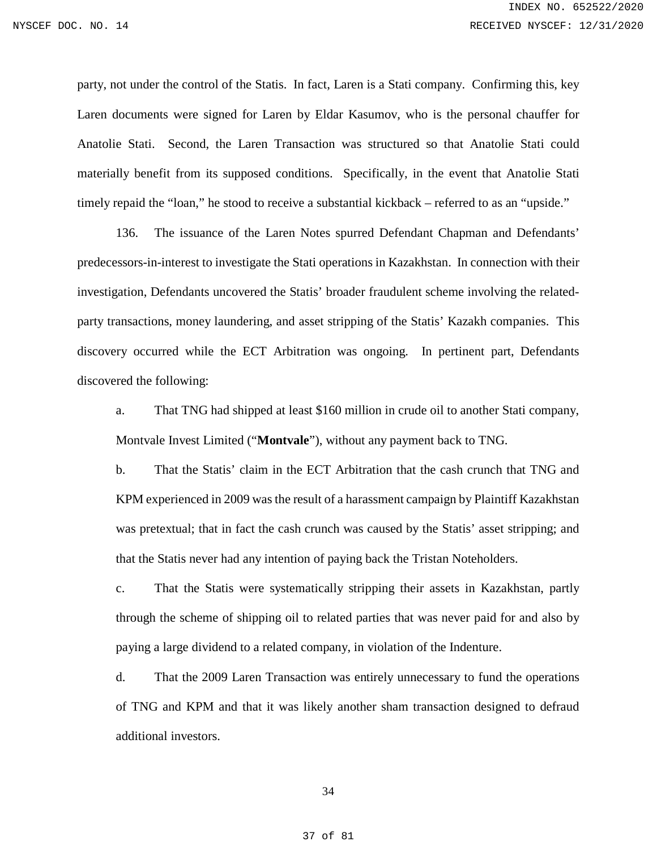party, not under the control of the Statis. In fact, Laren is a Stati company. Confirming this, key Laren documents were signed for Laren by Eldar Kasumov, who is the personal chauffer for Anatolie Stati. Second, the Laren Transaction was structured so that Anatolie Stati could materially benefit from its supposed conditions. Specifically, in the event that Anatolie Stati timely repaid the "loan," he stood to receive a substantial kickback – referred to as an "upside."

136. The issuance of the Laren Notes spurred Defendant Chapman and Defendants' predecessors-in-interest to investigate the Stati operations in Kazakhstan. In connection with their investigation, Defendants uncovered the Statis' broader fraudulent scheme involving the relatedparty transactions, money laundering, and asset stripping of the Statis' Kazakh companies. This discovery occurred while the ECT Arbitration was ongoing. In pertinent part, Defendants discovered the following:

a. That TNG had shipped at least \$160 million in crude oil to another Stati company, Montvale Invest Limited ("**Montvale**"), without any payment back to TNG.

b. That the Statis' claim in the ECT Arbitration that the cash crunch that TNG and KPM experienced in 2009 was the result of a harassment campaign by Plaintiff Kazakhstan was pretextual; that in fact the cash crunch was caused by the Statis' asset stripping; and that the Statis never had any intention of paying back the Tristan Noteholders.

c. That the Statis were systematically stripping their assets in Kazakhstan, partly through the scheme of shipping oil to related parties that was never paid for and also by paying a large dividend to a related company, in violation of the Indenture.

d. That the 2009 Laren Transaction was entirely unnecessary to fund the operations of TNG and KPM and that it was likely another sham transaction designed to defraud additional investors.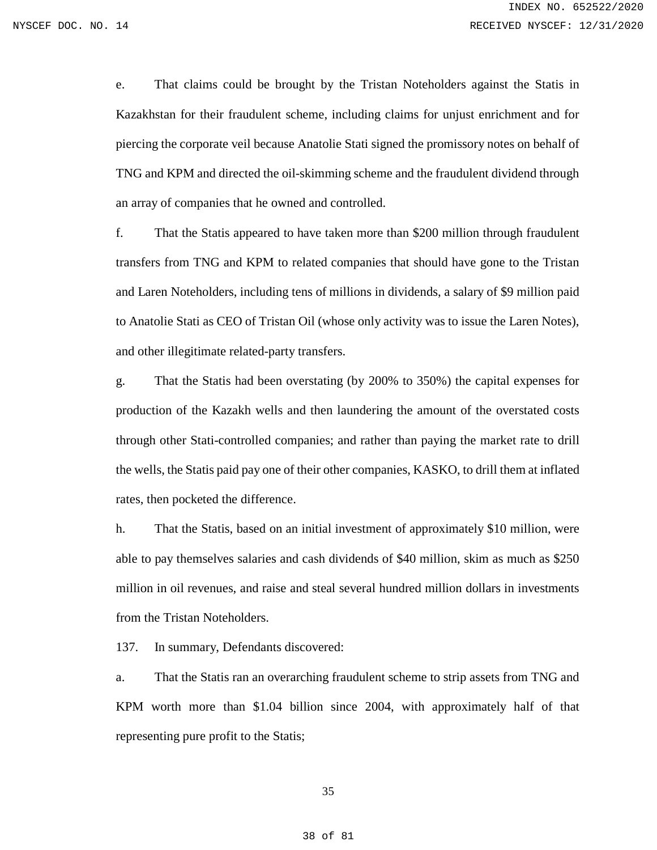e. That claims could be brought by the Tristan Noteholders against the Statis in Kazakhstan for their fraudulent scheme, including claims for unjust enrichment and for piercing the corporate veil because Anatolie Stati signed the promissory notes on behalf of TNG and KPM and directed the oil-skimming scheme and the fraudulent dividend through an array of companies that he owned and controlled.

f. That the Statis appeared to have taken more than \$200 million through fraudulent transfers from TNG and KPM to related companies that should have gone to the Tristan and Laren Noteholders, including tens of millions in dividends, a salary of \$9 million paid to Anatolie Stati as CEO of Tristan Oil (whose only activity was to issue the Laren Notes), and other illegitimate related-party transfers.

g. That the Statis had been overstating (by 200% to 350%) the capital expenses for production of the Kazakh wells and then laundering the amount of the overstated costs through other Stati-controlled companies; and rather than paying the market rate to drill the wells, the Statis paid pay one of their other companies, KASKO, to drill them at inflated rates, then pocketed the difference.

h. That the Statis, based on an initial investment of approximately \$10 million, were able to pay themselves salaries and cash dividends of \$40 million, skim as much as \$250 million in oil revenues, and raise and steal several hundred million dollars in investments from the Tristan Noteholders.

137. In summary, Defendants discovered:

a. That the Statis ran an overarching fraudulent scheme to strip assets from TNG and KPM worth more than \$1.04 billion since 2004, with approximately half of that representing pure profit to the Statis;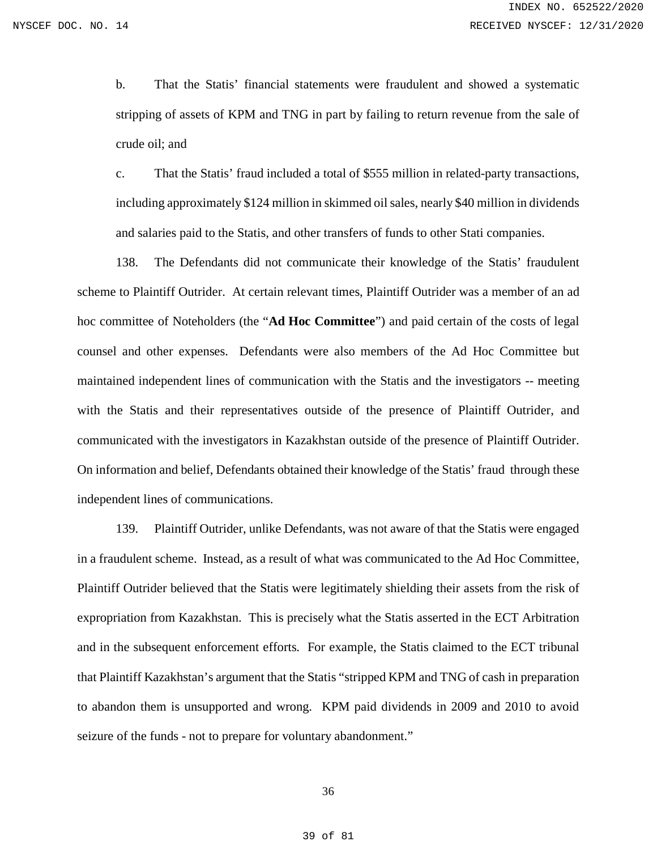b. That the Statis' financial statements were fraudulent and showed a systematic stripping of assets of KPM and TNG in part by failing to return revenue from the sale of crude oil; and

c. That the Statis' fraud included a total of \$555 million in related-party transactions, including approximately \$124 million in skimmed oil sales, nearly \$40 million in dividends and salaries paid to the Statis, and other transfers of funds to other Stati companies.

138. The Defendants did not communicate their knowledge of the Statis' fraudulent scheme to Plaintiff Outrider. At certain relevant times, Plaintiff Outrider was a member of an ad hoc committee of Noteholders (the "**Ad Hoc Committee**") and paid certain of the costs of legal counsel and other expenses. Defendants were also members of the Ad Hoc Committee but maintained independent lines of communication with the Statis and the investigators -- meeting with the Statis and their representatives outside of the presence of Plaintiff Outrider, and communicated with the investigators in Kazakhstan outside of the presence of Plaintiff Outrider. On information and belief, Defendants obtained their knowledge of the Statis' fraud through these independent lines of communications.

139. Plaintiff Outrider, unlike Defendants, was not aware of that the Statis were engaged in a fraudulent scheme. Instead, as a result of what was communicated to the Ad Hoc Committee, Plaintiff Outrider believed that the Statis were legitimately shielding their assets from the risk of expropriation from Kazakhstan. This is precisely what the Statis asserted in the ECT Arbitration and in the subsequent enforcement efforts. For example, the Statis claimed to the ECT tribunal that Plaintiff Kazakhstan's argument that the Statis "stripped KPM and TNG of cash in preparation to abandon them is unsupported and wrong. KPM paid dividends in 2009 and 2010 to avoid seizure of the funds - not to prepare for voluntary abandonment."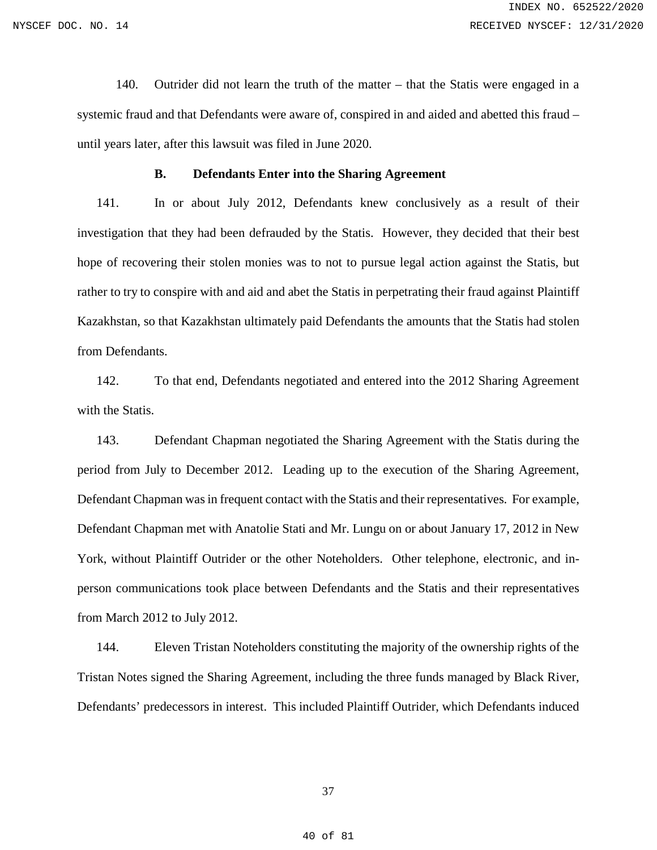140. Outrider did not learn the truth of the matter – that the Statis were engaged in a systemic fraud and that Defendants were aware of, conspired in and aided and abetted this fraud – until years later, after this lawsuit was filed in June 2020.

### **B. Defendants Enter into the Sharing Agreement**

141. In or about July 2012, Defendants knew conclusively as a result of their investigation that they had been defrauded by the Statis. However, they decided that their best hope of recovering their stolen monies was to not to pursue legal action against the Statis, but rather to try to conspire with and aid and abet the Statis in perpetrating their fraud against Plaintiff Kazakhstan, so that Kazakhstan ultimately paid Defendants the amounts that the Statis had stolen from Defendants.

142. To that end, Defendants negotiated and entered into the 2012 Sharing Agreement with the Statis.

143. Defendant Chapman negotiated the Sharing Agreement with the Statis during the period from July to December 2012. Leading up to the execution of the Sharing Agreement, Defendant Chapman was in frequent contact with the Statis and their representatives. For example, Defendant Chapman met with Anatolie Stati and Mr. Lungu on or about January 17, 2012 in New York, without Plaintiff Outrider or the other Noteholders. Other telephone, electronic, and inperson communications took place between Defendants and the Statis and their representatives from March 2012 to July 2012.

144. Eleven Tristan Noteholders constituting the majority of the ownership rights of the Tristan Notes signed the Sharing Agreement, including the three funds managed by Black River, Defendants' predecessors in interest. This included Plaintiff Outrider, which Defendants induced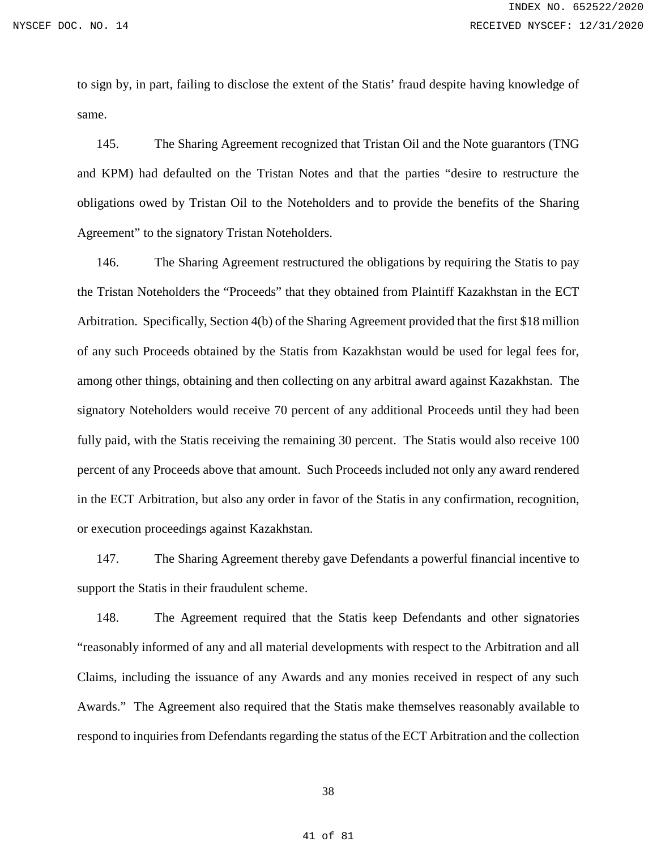to sign by, in part, failing to disclose the extent of the Statis' fraud despite having knowledge of same.

145. The Sharing Agreement recognized that Tristan Oil and the Note guarantors (TNG and KPM) had defaulted on the Tristan Notes and that the parties "desire to restructure the obligations owed by Tristan Oil to the Noteholders and to provide the benefits of the Sharing Agreement" to the signatory Tristan Noteholders.

146. The Sharing Agreement restructured the obligations by requiring the Statis to pay the Tristan Noteholders the "Proceeds" that they obtained from Plaintiff Kazakhstan in the ECT Arbitration. Specifically, Section 4(b) of the Sharing Agreement provided that the first \$18 million of any such Proceeds obtained by the Statis from Kazakhstan would be used for legal fees for, among other things, obtaining and then collecting on any arbitral award against Kazakhstan. The signatory Noteholders would receive 70 percent of any additional Proceeds until they had been fully paid, with the Statis receiving the remaining 30 percent. The Statis would also receive 100 percent of any Proceeds above that amount. Such Proceeds included not only any award rendered in the ECT Arbitration, but also any order in favor of the Statis in any confirmation, recognition, or execution proceedings against Kazakhstan.

147. The Sharing Agreement thereby gave Defendants a powerful financial incentive to support the Statis in their fraudulent scheme.

148. The Agreement required that the Statis keep Defendants and other signatories "reasonably informed of any and all material developments with respect to the Arbitration and all Claims, including the issuance of any Awards and any monies received in respect of any such Awards." The Agreement also required that the Statis make themselves reasonably available to respond to inquiries from Defendants regarding the status of the ECT Arbitration and the collection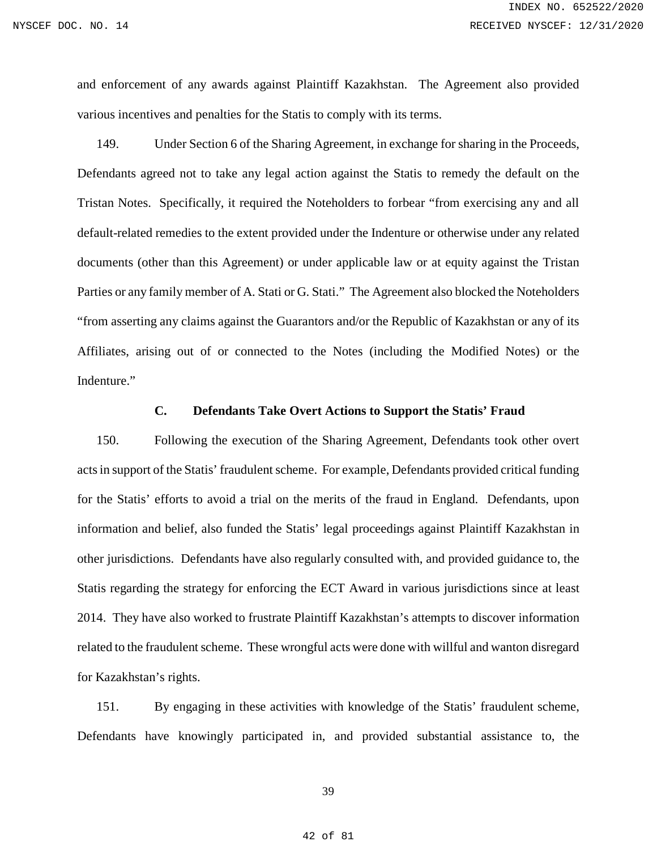and enforcement of any awards against Plaintiff Kazakhstan. The Agreement also provided various incentives and penalties for the Statis to comply with its terms.

149. Under Section 6 of the Sharing Agreement, in exchange for sharing in the Proceeds, Defendants agreed not to take any legal action against the Statis to remedy the default on the Tristan Notes. Specifically, it required the Noteholders to forbear "from exercising any and all default-related remedies to the extent provided under the Indenture or otherwise under any related documents (other than this Agreement) or under applicable law or at equity against the Tristan Parties or any family member of A. Stati or G. Stati." The Agreement also blocked the Noteholders "from asserting any claims against the Guarantors and/or the Republic of Kazakhstan or any of its Affiliates, arising out of or connected to the Notes (including the Modified Notes) or the Indenture."

### **C. Defendants Take Overt Actions to Support the Statis' Fraud**

150. Following the execution of the Sharing Agreement, Defendants took other overt acts in support of the Statis' fraudulent scheme. For example, Defendants provided critical funding for the Statis' efforts to avoid a trial on the merits of the fraud in England. Defendants, upon information and belief, also funded the Statis' legal proceedings against Plaintiff Kazakhstan in other jurisdictions. Defendants have also regularly consulted with, and provided guidance to, the Statis regarding the strategy for enforcing the ECT Award in various jurisdictions since at least 2014. They have also worked to frustrate Plaintiff Kazakhstan's attempts to discover information related to the fraudulent scheme. These wrongful acts were done with willful and wanton disregard for Kazakhstan's rights.

151. By engaging in these activities with knowledge of the Statis' fraudulent scheme, Defendants have knowingly participated in, and provided substantial assistance to, the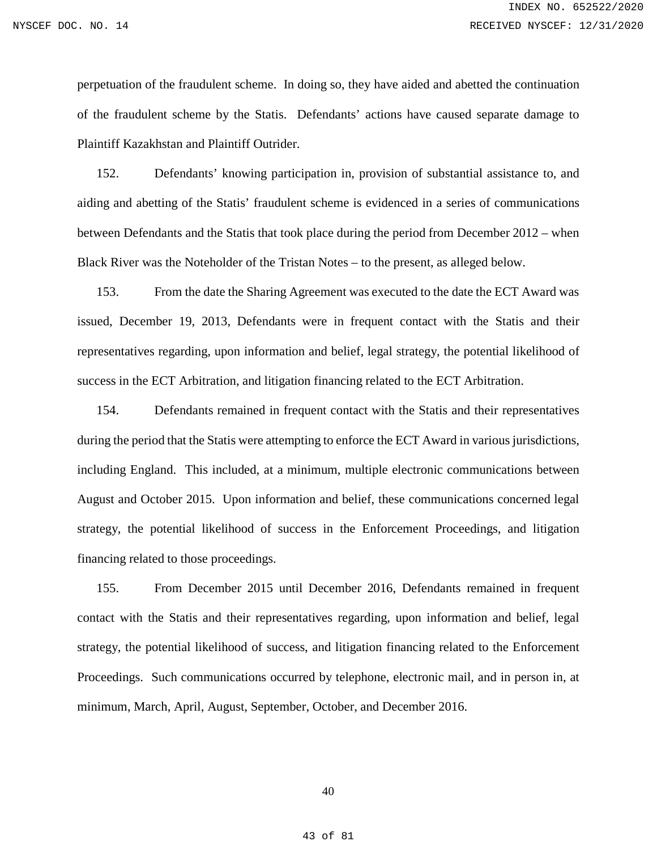perpetuation of the fraudulent scheme. In doing so, they have aided and abetted the continuation of the fraudulent scheme by the Statis. Defendants' actions have caused separate damage to Plaintiff Kazakhstan and Plaintiff Outrider.

152. Defendants' knowing participation in, provision of substantial assistance to, and aiding and abetting of the Statis' fraudulent scheme is evidenced in a series of communications between Defendants and the Statis that took place during the period from December 2012 – when Black River was the Noteholder of the Tristan Notes – to the present, as alleged below.

153. From the date the Sharing Agreement was executed to the date the ECT Award was issued, December 19, 2013, Defendants were in frequent contact with the Statis and their representatives regarding, upon information and belief, legal strategy, the potential likelihood of success in the ECT Arbitration, and litigation financing related to the ECT Arbitration.

154. Defendants remained in frequent contact with the Statis and their representatives during the period that the Statis were attempting to enforce the ECT Award in various jurisdictions, including England. This included, at a minimum, multiple electronic communications between August and October 2015. Upon information and belief, these communications concerned legal strategy, the potential likelihood of success in the Enforcement Proceedings, and litigation financing related to those proceedings.

155. From December 2015 until December 2016, Defendants remained in frequent contact with the Statis and their representatives regarding, upon information and belief, legal strategy, the potential likelihood of success, and litigation financing related to the Enforcement Proceedings. Such communications occurred by telephone, electronic mail, and in person in, at minimum, March, April, August, September, October, and December 2016.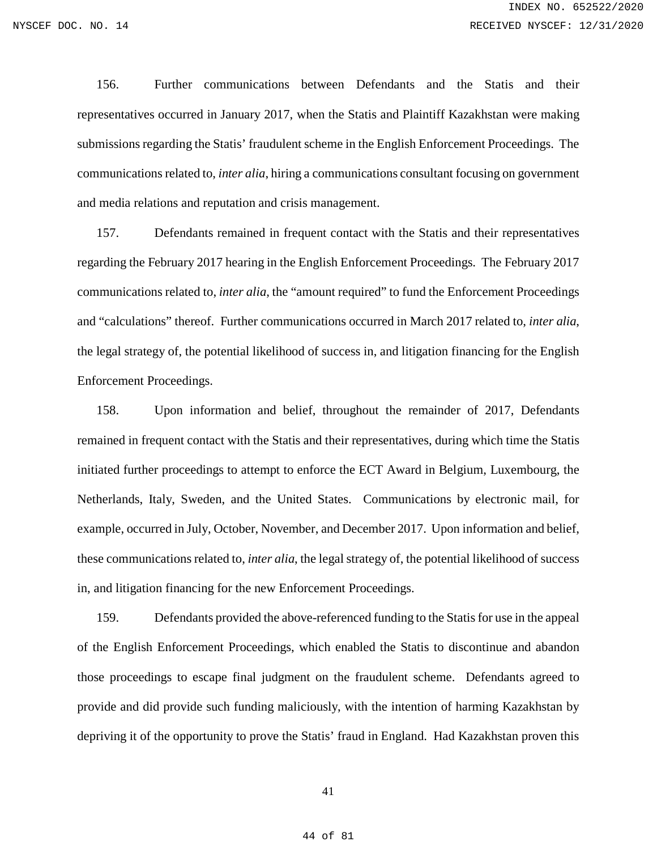156. Further communications between Defendants and the Statis and their representatives occurred in January 2017, when the Statis and Plaintiff Kazakhstan were making submissions regarding the Statis' fraudulent scheme in the English Enforcement Proceedings. The communications related to, *inter alia*, hiring a communications consultant focusing on government and media relations and reputation and crisis management.

157. Defendants remained in frequent contact with the Statis and their representatives regarding the February 2017 hearing in the English Enforcement Proceedings. The February 2017 communications related to, *inter alia*, the "amount required" to fund the Enforcement Proceedings and "calculations" thereof. Further communications occurred in March 2017 related to, *inter alia*, the legal strategy of, the potential likelihood of success in, and litigation financing for the English Enforcement Proceedings.

158. Upon information and belief, throughout the remainder of 2017, Defendants remained in frequent contact with the Statis and their representatives, during which time the Statis initiated further proceedings to attempt to enforce the ECT Award in Belgium, Luxembourg, the Netherlands, Italy, Sweden, and the United States. Communications by electronic mail, for example, occurred in July, October, November, and December 2017. Upon information and belief, these communications related to, *inter alia*, the legal strategy of, the potential likelihood of success in, and litigation financing for the new Enforcement Proceedings.

159. Defendants provided the above-referenced funding to the Statis for use in the appeal of the English Enforcement Proceedings, which enabled the Statis to discontinue and abandon those proceedings to escape final judgment on the fraudulent scheme. Defendants agreed to provide and did provide such funding maliciously, with the intention of harming Kazakhstan by depriving it of the opportunity to prove the Statis' fraud in England. Had Kazakhstan proven this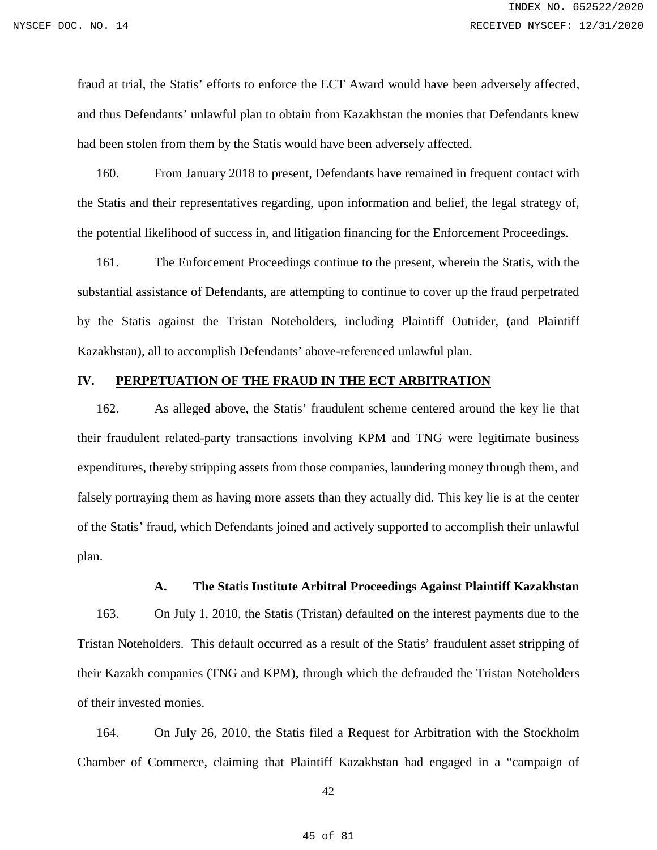fraud at trial, the Statis' efforts to enforce the ECT Award would have been adversely affected, and thus Defendants' unlawful plan to obtain from Kazakhstan the monies that Defendants knew had been stolen from them by the Statis would have been adversely affected.

160. From January 2018 to present, Defendants have remained in frequent contact with the Statis and their representatives regarding, upon information and belief, the legal strategy of, the potential likelihood of success in, and litigation financing for the Enforcement Proceedings.

161. The Enforcement Proceedings continue to the present, wherein the Statis, with the substantial assistance of Defendants, are attempting to continue to cover up the fraud perpetrated by the Statis against the Tristan Noteholders, including Plaintiff Outrider, (and Plaintiff Kazakhstan), all to accomplish Defendants' above-referenced unlawful plan.

# **IV. PERPETUATION OF THE FRAUD IN THE ECT ARBITRATION**

162. As alleged above, the Statis' fraudulent scheme centered around the key lie that their fraudulent related-party transactions involving KPM and TNG were legitimate business expenditures, thereby stripping assets from those companies, laundering money through them, and falsely portraying them as having more assets than they actually did. This key lie is at the center of the Statis' fraud, which Defendants joined and actively supported to accomplish their unlawful plan.

### **A. The Statis Institute Arbitral Proceedings Against Plaintiff Kazakhstan**

163. On July 1, 2010, the Statis (Tristan) defaulted on the interest payments due to the Tristan Noteholders. This default occurred as a result of the Statis' fraudulent asset stripping of their Kazakh companies (TNG and KPM), through which the defrauded the Tristan Noteholders of their invested monies.

164. On July 26, 2010, the Statis filed a Request for Arbitration with the Stockholm Chamber of Commerce, claiming that Plaintiff Kazakhstan had engaged in a "campaign of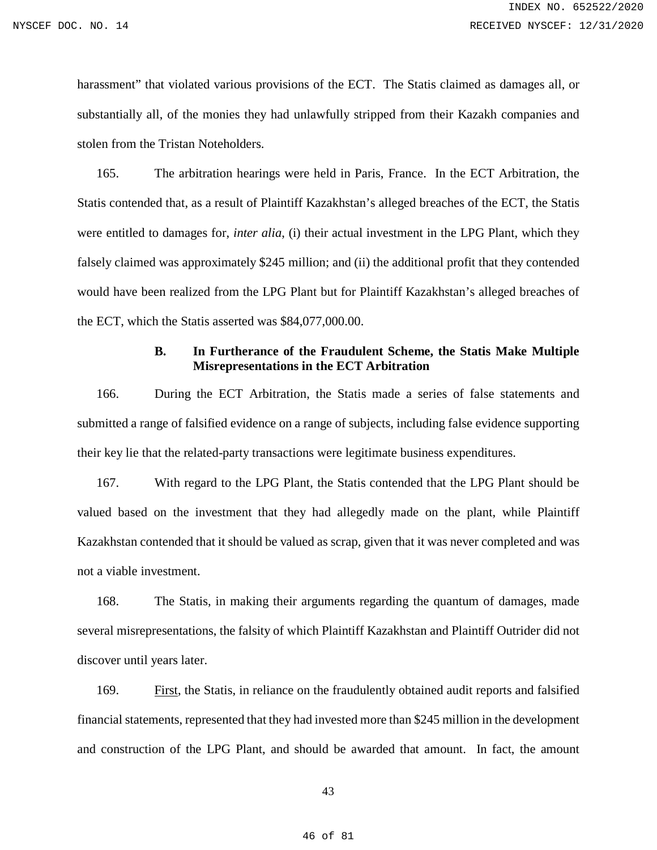harassment" that violated various provisions of the ECT. The Statis claimed as damages all, or substantially all, of the monies they had unlawfully stripped from their Kazakh companies and stolen from the Tristan Noteholders.

165. The arbitration hearings were held in Paris, France. In the ECT Arbitration, the Statis contended that, as a result of Plaintiff Kazakhstan's alleged breaches of the ECT, the Statis were entitled to damages for, *inter alia*, (i) their actual investment in the LPG Plant, which they falsely claimed was approximately \$245 million; and (ii) the additional profit that they contended would have been realized from the LPG Plant but for Plaintiff Kazakhstan's alleged breaches of the ECT, which the Statis asserted was \$84,077,000.00.

### **B. In Furtherance of the Fraudulent Scheme, the Statis Make Multiple Misrepresentations in the ECT Arbitration**

166. During the ECT Arbitration, the Statis made a series of false statements and submitted a range of falsified evidence on a range of subjects, including false evidence supporting their key lie that the related-party transactions were legitimate business expenditures.

167. With regard to the LPG Plant, the Statis contended that the LPG Plant should be valued based on the investment that they had allegedly made on the plant, while Plaintiff Kazakhstan contended that it should be valued as scrap, given that it was never completed and was not a viable investment.

168. The Statis, in making their arguments regarding the quantum of damages, made several misrepresentations, the falsity of which Plaintiff Kazakhstan and Plaintiff Outrider did not discover until years later.

169. First, the Statis, in reliance on the fraudulently obtained audit reports and falsified financial statements, represented that they had invested more than \$245 million in the development and construction of the LPG Plant, and should be awarded that amount. In fact, the amount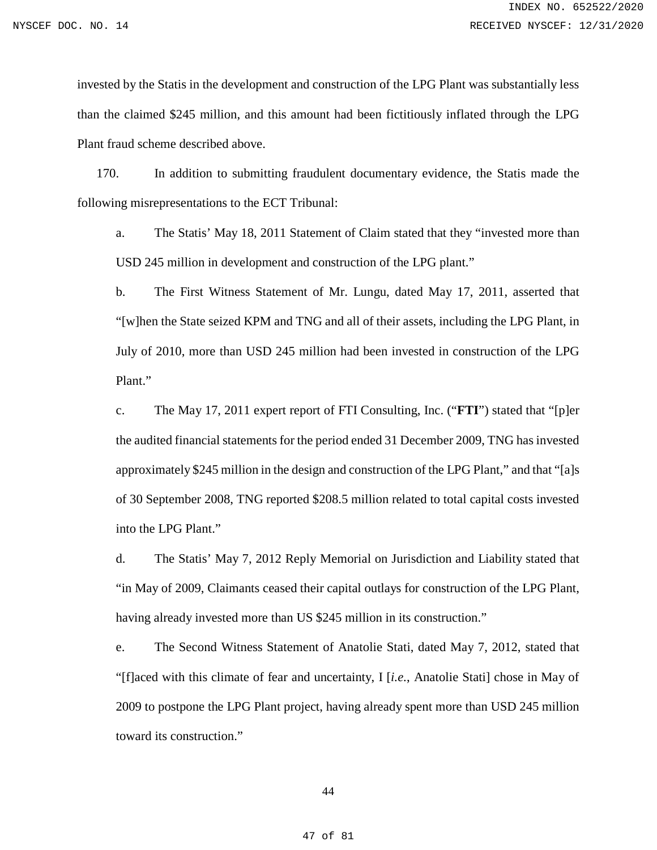invested by the Statis in the development and construction of the LPG Plant was substantially less than the claimed \$245 million, and this amount had been fictitiously inflated through the LPG Plant fraud scheme described above.

170. In addition to submitting fraudulent documentary evidence, the Statis made the following misrepresentations to the ECT Tribunal:

a. The Statis' May 18, 2011 Statement of Claim stated that they "invested more than USD 245 million in development and construction of the LPG plant."

b. The First Witness Statement of Mr. Lungu, dated May 17, 2011, asserted that "[w]hen the State seized KPM and TNG and all of their assets, including the LPG Plant, in July of 2010, more than USD 245 million had been invested in construction of the LPG Plant."

c. The May 17, 2011 expert report of FTI Consulting, Inc. ("**FTI**") stated that "[p]er the audited financial statements for the period ended 31 December 2009, TNG has invested approximately \$245 million in the design and construction of the LPG Plant," and that "[a]s of 30 September 2008, TNG reported \$208.5 million related to total capital costs invested into the LPG Plant."

d. The Statis' May 7, 2012 Reply Memorial on Jurisdiction and Liability stated that "in May of 2009, Claimants ceased their capital outlays for construction of the LPG Plant, having already invested more than US \$245 million in its construction."

e. The Second Witness Statement of Anatolie Stati, dated May 7, 2012, stated that "[f]aced with this climate of fear and uncertainty, I [*i.e.*, Anatolie Stati] chose in May of 2009 to postpone the LPG Plant project, having already spent more than USD 245 million toward its construction."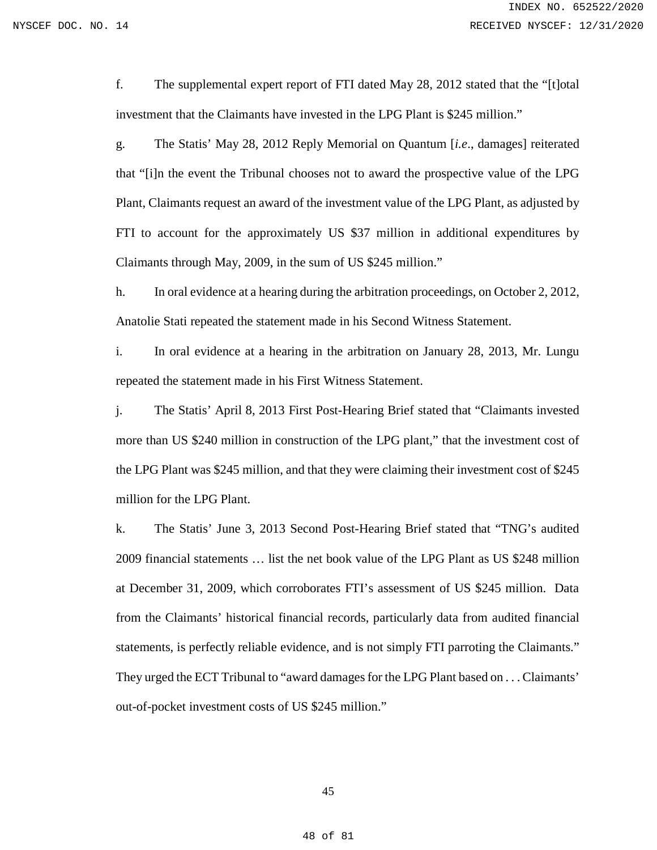f. The supplemental expert report of FTI dated May 28, 2012 stated that the "[t]otal investment that the Claimants have invested in the LPG Plant is \$245 million."

g. The Statis' May 28, 2012 Reply Memorial on Quantum [*i.e*., damages] reiterated that "[i]n the event the Tribunal chooses not to award the prospective value of the LPG Plant, Claimants request an award of the investment value of the LPG Plant, as adjusted by FTI to account for the approximately US \$37 million in additional expenditures by Claimants through May, 2009, in the sum of US \$245 million."

h. In oral evidence at a hearing during the arbitration proceedings, on October 2, 2012, Anatolie Stati repeated the statement made in his Second Witness Statement.

i. In oral evidence at a hearing in the arbitration on January 28, 2013, Mr. Lungu repeated the statement made in his First Witness Statement.

j. The Statis' April 8, 2013 First Post-Hearing Brief stated that "Claimants invested more than US \$240 million in construction of the LPG plant," that the investment cost of the LPG Plant was \$245 million, and that they were claiming their investment cost of \$245 million for the LPG Plant.

k. The Statis' June 3, 2013 Second Post-Hearing Brief stated that "TNG's audited 2009 financial statements … list the net book value of the LPG Plant as US \$248 million at December 31, 2009, which corroborates FTI's assessment of US \$245 million. Data from the Claimants' historical financial records, particularly data from audited financial statements, is perfectly reliable evidence, and is not simply FTI parroting the Claimants." They urged the ECT Tribunal to "award damages for the LPG Plant based on . . . Claimants' out-of-pocket investment costs of US \$245 million."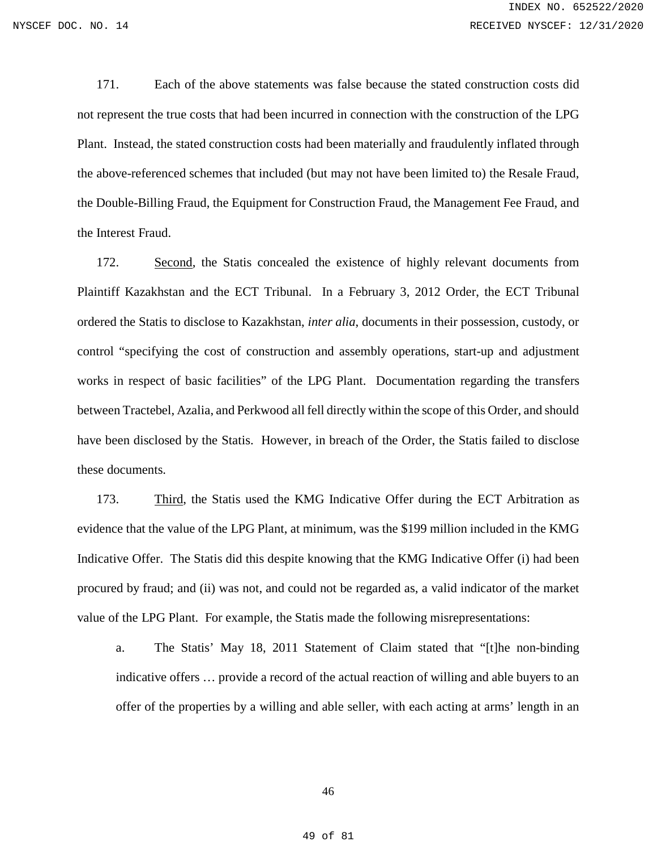171. Each of the above statements was false because the stated construction costs did not represent the true costs that had been incurred in connection with the construction of the LPG Plant. Instead, the stated construction costs had been materially and fraudulently inflated through the above-referenced schemes that included (but may not have been limited to) the Resale Fraud, the Double-Billing Fraud, the Equipment for Construction Fraud, the Management Fee Fraud, and the Interest Fraud.

172. Second, the Statis concealed the existence of highly relevant documents from Plaintiff Kazakhstan and the ECT Tribunal. In a February 3, 2012 Order, the ECT Tribunal ordered the Statis to disclose to Kazakhstan, *inter alia*, documents in their possession, custody, or control "specifying the cost of construction and assembly operations, start-up and adjustment works in respect of basic facilities" of the LPG Plant. Documentation regarding the transfers between Tractebel, Azalia, and Perkwood all fell directly within the scope of this Order, and should have been disclosed by the Statis. However, in breach of the Order, the Statis failed to disclose these documents.

173. Third, the Statis used the KMG Indicative Offer during the ECT Arbitration as evidence that the value of the LPG Plant, at minimum, was the \$199 million included in the KMG Indicative Offer. The Statis did this despite knowing that the KMG Indicative Offer (i) had been procured by fraud; and (ii) was not, and could not be regarded as, a valid indicator of the market value of the LPG Plant. For example, the Statis made the following misrepresentations:

a. The Statis' May 18, 2011 Statement of Claim stated that "[t]he non-binding indicative offers … provide a record of the actual reaction of willing and able buyers to an offer of the properties by a willing and able seller, with each acting at arms' length in an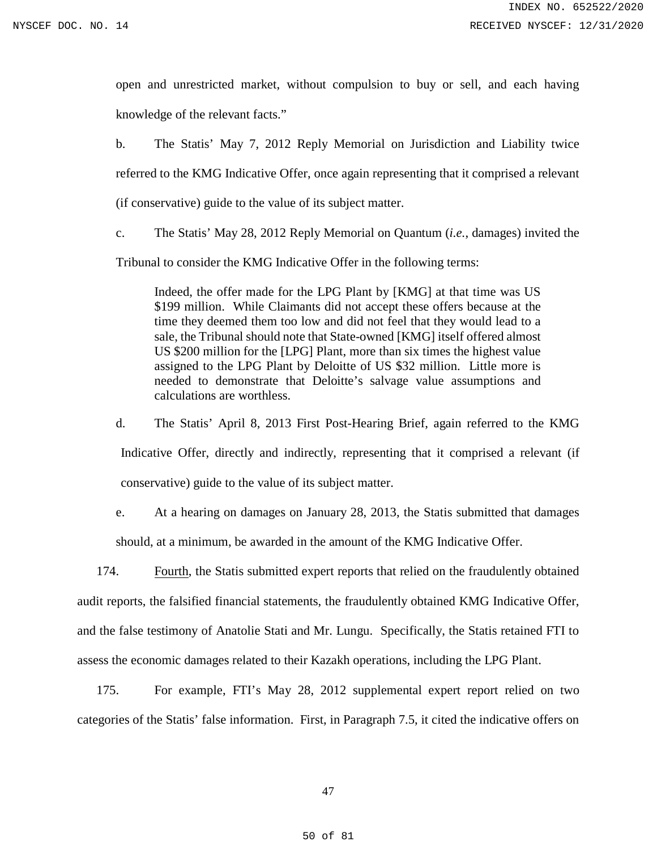open and unrestricted market, without compulsion to buy or sell, and each having knowledge of the relevant facts."

b. The Statis' May 7, 2012 Reply Memorial on Jurisdiction and Liability twice referred to the KMG Indicative Offer, once again representing that it comprised a relevant (if conservative) guide to the value of its subject matter.

c. The Statis' May 28, 2012 Reply Memorial on Quantum (*i.e.*, damages) invited the

Tribunal to consider the KMG Indicative Offer in the following terms:

Indeed, the offer made for the LPG Plant by [KMG] at that time was US \$199 million. While Claimants did not accept these offers because at the time they deemed them too low and did not feel that they would lead to a sale, the Tribunal should note that State-owned [KMG] itself offered almost US \$200 million for the [LPG] Plant, more than six times the highest value assigned to the LPG Plant by Deloitte of US \$32 million. Little more is needed to demonstrate that Deloitte's salvage value assumptions and calculations are worthless.

d. The Statis' April 8, 2013 First Post-Hearing Brief, again referred to the KMG Indicative Offer, directly and indirectly, representing that it comprised a relevant (if conservative) guide to the value of its subject matter.

e. At a hearing on damages on January 28, 2013, the Statis submitted that damages should, at a minimum, be awarded in the amount of the KMG Indicative Offer.

174. Fourth, the Statis submitted expert reports that relied on the fraudulently obtained audit reports, the falsified financial statements, the fraudulently obtained KMG Indicative Offer, and the false testimony of Anatolie Stati and Mr. Lungu. Specifically, the Statis retained FTI to assess the economic damages related to their Kazakh operations, including the LPG Plant.

175. For example, FTI's May 28, 2012 supplemental expert report relied on two categories of the Statis' false information. First, in Paragraph 7.5, it cited the indicative offers on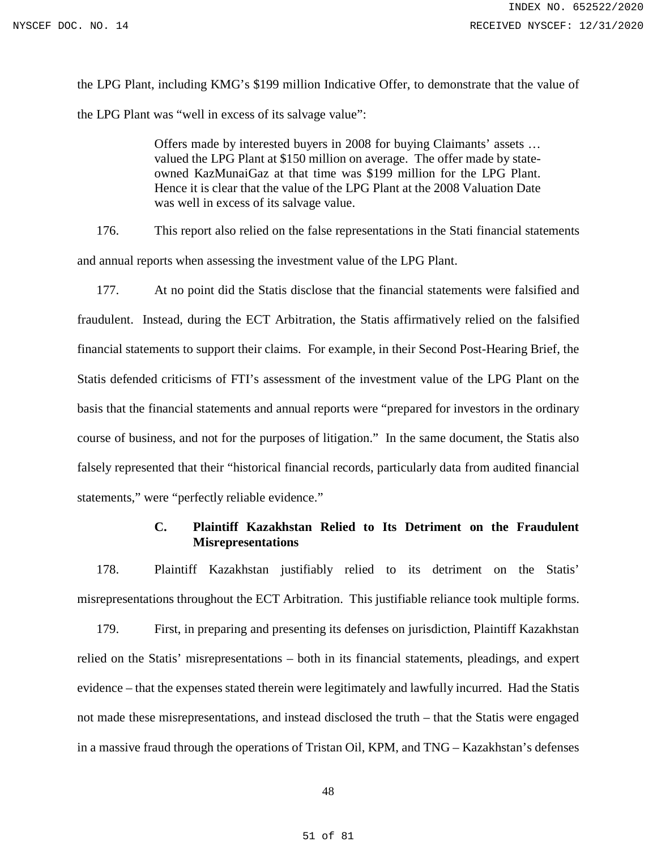the LPG Plant, including KMG's \$199 million Indicative Offer, to demonstrate that the value of the LPG Plant was "well in excess of its salvage value":

> Offers made by interested buyers in 2008 for buying Claimants' assets … valued the LPG Plant at \$150 million on average. The offer made by stateowned KazMunaiGaz at that time was \$199 million for the LPG Plant. Hence it is clear that the value of the LPG Plant at the 2008 Valuation Date was well in excess of its salvage value.

176. This report also relied on the false representations in the Stati financial statements and annual reports when assessing the investment value of the LPG Plant.

177. At no point did the Statis disclose that the financial statements were falsified and fraudulent. Instead, during the ECT Arbitration, the Statis affirmatively relied on the falsified financial statements to support their claims. For example, in their Second Post-Hearing Brief, the Statis defended criticisms of FTI's assessment of the investment value of the LPG Plant on the basis that the financial statements and annual reports were "prepared for investors in the ordinary course of business, and not for the purposes of litigation." In the same document, the Statis also falsely represented that their "historical financial records, particularly data from audited financial statements," were "perfectly reliable evidence."

# **C. Plaintiff Kazakhstan Relied to Its Detriment on the Fraudulent Misrepresentations**

178. Plaintiff Kazakhstan justifiably relied to its detriment on the Statis' misrepresentations throughout the ECT Arbitration. This justifiable reliance took multiple forms.

179. First, in preparing and presenting its defenses on jurisdiction, Plaintiff Kazakhstan relied on the Statis' misrepresentations – both in its financial statements, pleadings, and expert evidence – that the expenses stated therein were legitimately and lawfully incurred. Had the Statis not made these misrepresentations, and instead disclosed the truth – that the Statis were engaged in a massive fraud through the operations of Tristan Oil, KPM, and TNG – Kazakhstan's defenses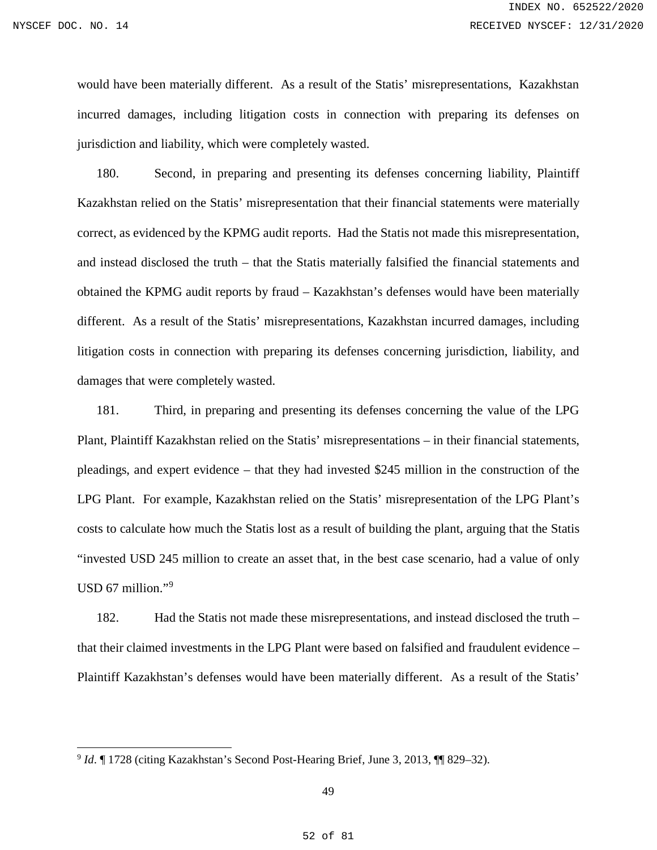$\overline{a}$ 

would have been materially different. As a result of the Statis' misrepresentations, Kazakhstan incurred damages, including litigation costs in connection with preparing its defenses on jurisdiction and liability, which were completely wasted.

180. Second, in preparing and presenting its defenses concerning liability, Plaintiff Kazakhstan relied on the Statis' misrepresentation that their financial statements were materially correct, as evidenced by the KPMG audit reports. Had the Statis not made this misrepresentation, and instead disclosed the truth – that the Statis materially falsified the financial statements and obtained the KPMG audit reports by fraud – Kazakhstan's defenses would have been materially different. As a result of the Statis' misrepresentations, Kazakhstan incurred damages, including litigation costs in connection with preparing its defenses concerning jurisdiction, liability, and damages that were completely wasted.

181. Third, in preparing and presenting its defenses concerning the value of the LPG Plant, Plaintiff Kazakhstan relied on the Statis' misrepresentations – in their financial statements, pleadings, and expert evidence – that they had invested \$245 million in the construction of the LPG Plant. For example, Kazakhstan relied on the Statis' misrepresentation of the LPG Plant's costs to calculate how much the Statis lost as a result of building the plant, arguing that the Statis "invested USD 245 million to create an asset that, in the best case scenario, had a value of only USD 67 million."<sup>[9](#page-51-0)</sup>

182. Had the Statis not made these misrepresentations, and instead disclosed the truth – that their claimed investments in the LPG Plant were based on falsified and fraudulent evidence – Plaintiff Kazakhstan's defenses would have been materially different. As a result of the Statis'

<span id="page-51-0"></span><sup>9</sup> *Id*. ¶ 1728 (citing Kazakhstan's Second Post-Hearing Brief, June 3, 2013, ¶¶ 829–32).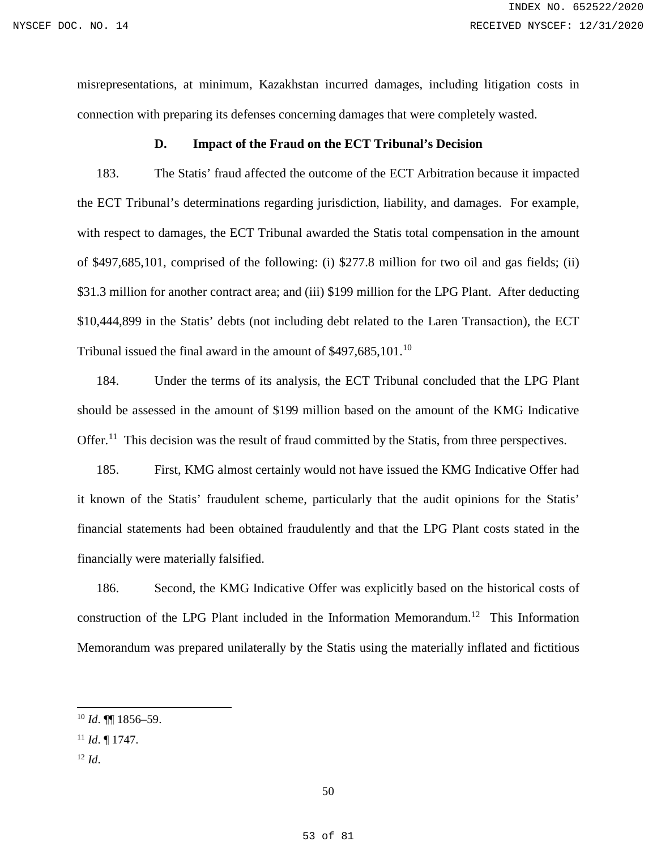misrepresentations, at minimum, Kazakhstan incurred damages, including litigation costs in connection with preparing its defenses concerning damages that were completely wasted.

### **D. Impact of the Fraud on the ECT Tribunal's Decision**

183. The Statis' fraud affected the outcome of the ECT Arbitration because it impacted the ECT Tribunal's determinations regarding jurisdiction, liability, and damages. For example, with respect to damages, the ECT Tribunal awarded the Statis total compensation in the amount of \$497,685,101, comprised of the following: (i) \$277.8 million for two oil and gas fields; (ii) \$31.3 million for another contract area; and (iii) \$199 million for the LPG Plant. After deducting \$10,444,899 in the Statis' debts (not including debt related to the Laren Transaction), the ECT Tribunal issued the final award in the amount of \$497,685,[10](#page-52-0)1.<sup>10</sup>

184. Under the terms of its analysis, the ECT Tribunal concluded that the LPG Plant should be assessed in the amount of \$199 million based on the amount of the KMG Indicative Offer.<sup>[11](#page-52-1)</sup> This decision was the result of fraud committed by the Statis, from three perspectives.

185. First, KMG almost certainly would not have issued the KMG Indicative Offer had it known of the Statis' fraudulent scheme, particularly that the audit opinions for the Statis' financial statements had been obtained fraudulently and that the LPG Plant costs stated in the financially were materially falsified.

186. Second, the KMG Indicative Offer was explicitly based on the historical costs of construction of the LPG Plant included in the Information Memorandum.<sup>[12](#page-52-2)</sup> This Information Memorandum was prepared unilaterally by the Statis using the materially inflated and fictitious

<span id="page-52-2"></span><sup>12</sup> *Id*.

 $\overline{a}$ 

<span id="page-52-0"></span><sup>10</sup> *Id*. ¶¶ 1856–59.

<span id="page-52-1"></span><sup>11</sup> *Id*. ¶ 1747.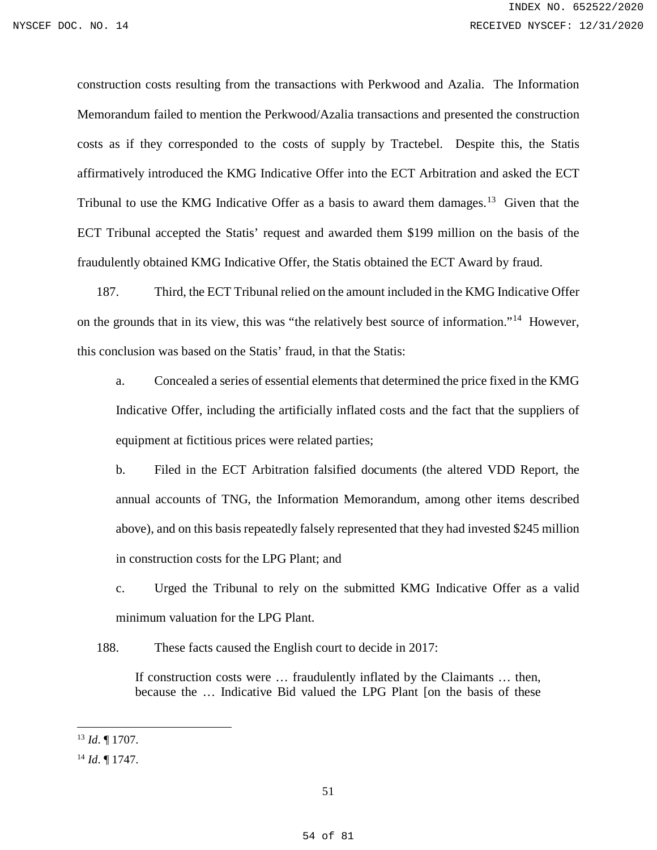construction costs resulting from the transactions with Perkwood and Azalia. The Information Memorandum failed to mention the Perkwood/Azalia transactions and presented the construction costs as if they corresponded to the costs of supply by Tractebel. Despite this, the Statis affirmatively introduced the KMG Indicative Offer into the ECT Arbitration and asked the ECT Tribunal to use the KMG Indicative Offer as a basis to award them damages.<sup>[13](#page-53-0)</sup> Given that the ECT Tribunal accepted the Statis' request and awarded them \$199 million on the basis of the fraudulently obtained KMG Indicative Offer, the Statis obtained the ECT Award by fraud.

187. Third, the ECT Tribunal relied on the amount included in the KMG Indicative Offer on the grounds that in its view, this was "the relatively best source of information."[14](#page-53-1) However, this conclusion was based on the Statis' fraud, in that the Statis:

a. Concealed a series of essential elements that determined the price fixed in the KMG Indicative Offer, including the artificially inflated costs and the fact that the suppliers of equipment at fictitious prices were related parties;

b. Filed in the ECT Arbitration falsified documents (the altered VDD Report, the annual accounts of TNG, the Information Memorandum, among other items described above), and on this basis repeatedly falsely represented that they had invested \$245 million in construction costs for the LPG Plant; and

c. Urged the Tribunal to rely on the submitted KMG Indicative Offer as a valid minimum valuation for the LPG Plant.

188. These facts caused the English court to decide in 2017:

If construction costs were … fraudulently inflated by the Claimants … then, because the … Indicative Bid valued the LPG Plant [on the basis of these

 $\overline{a}$ 

<span id="page-53-0"></span><sup>13</sup> *Id*. ¶ 1707.

<span id="page-53-1"></span><sup>14</sup> *Id*. ¶ 1747.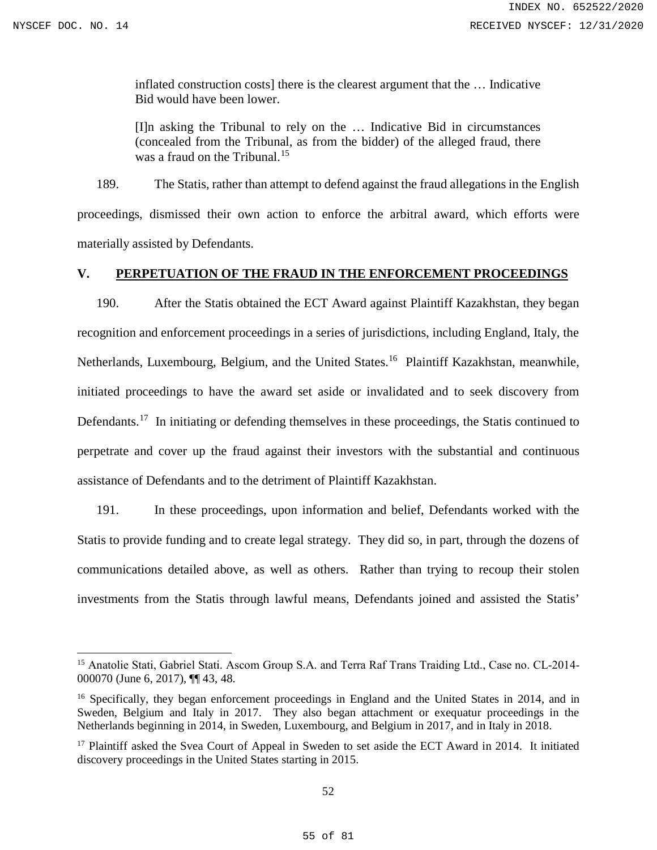$\overline{a}$ 

inflated construction costs] there is the clearest argument that the … Indicative Bid would have been lower.

[I]n asking the Tribunal to rely on the … Indicative Bid in circumstances (concealed from the Tribunal, as from the bidder) of the alleged fraud, there was a fraud on the Tribunal.<sup>[15](#page-54-0)</sup>

189. The Statis, rather than attempt to defend against the fraud allegations in the English proceedings, dismissed their own action to enforce the arbitral award, which efforts were materially assisted by Defendants.

# **V. PERPETUATION OF THE FRAUD IN THE ENFORCEMENT PROCEEDINGS**

190. After the Statis obtained the ECT Award against Plaintiff Kazakhstan, they began recognition and enforcement proceedings in a series of jurisdictions, including England, Italy, the Netherlands, Luxembourg, Belgium, and the United States.<sup>[16](#page-54-1)</sup> Plaintiff Kazakhstan, meanwhile, initiated proceedings to have the award set aside or invalidated and to seek discovery from Defendants.<sup>[17](#page-54-2)</sup> In initiating or defending themselves in these proceedings, the Statis continued to perpetrate and cover up the fraud against their investors with the substantial and continuous assistance of Defendants and to the detriment of Plaintiff Kazakhstan.

191. In these proceedings, upon information and belief, Defendants worked with the Statis to provide funding and to create legal strategy. They did so, in part, through the dozens of communications detailed above, as well as others. Rather than trying to recoup their stolen investments from the Statis through lawful means, Defendants joined and assisted the Statis'

<span id="page-54-0"></span><sup>15</sup> Anatolie Stati, Gabriel Stati. Ascom Group S.A. and Terra Raf Trans Traiding Ltd., Case no. CL‐2014‐ 000070 (June 6, 2017), ¶¶ 43, 48.

<span id="page-54-1"></span><sup>&</sup>lt;sup>16</sup> Specifically, they began enforcement proceedings in England and the United States in 2014, and in Sweden, Belgium and Italy in 2017. They also began attachment or exequatur proceedings in the Netherlands beginning in 2014, in Sweden, Luxembourg, and Belgium in 2017, and in Italy in 2018.

<span id="page-54-2"></span><sup>&</sup>lt;sup>17</sup> Plaintiff asked the Svea Court of Appeal in Sweden to set aside the ECT Award in 2014. It initiated discovery proceedings in the United States starting in 2015.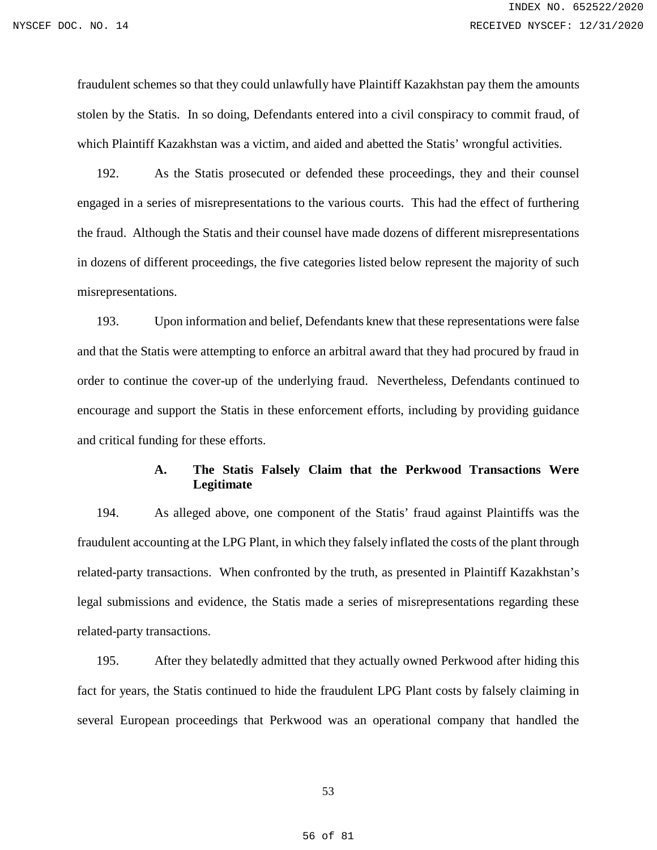fraudulent schemes so that they could unlawfully have Plaintiff Kazakhstan pay them the amounts stolen by the Statis. In so doing, Defendants entered into a civil conspiracy to commit fraud, of which Plaintiff Kazakhstan was a victim, and aided and abetted the Statis' wrongful activities.

192. As the Statis prosecuted or defended these proceedings, they and their counsel engaged in a series of misrepresentations to the various courts. This had the effect of furthering the fraud. Although the Statis and their counsel have made dozens of different misrepresentations in dozens of different proceedings, the five categories listed below represent the majority of such misrepresentations.

193. Upon information and belief, Defendants knew that these representations were false and that the Statis were attempting to enforce an arbitral award that they had procured by fraud in order to continue the cover-up of the underlying fraud. Nevertheless, Defendants continued to encourage and support the Statis in these enforcement efforts, including by providing guidance and critical funding for these efforts.

### **A. The Statis Falsely Claim that the Perkwood Transactions Were Legitimate**

194. As alleged above, one component of the Statis' fraud against Plaintiffs was the fraudulent accounting at the LPG Plant, in which they falsely inflated the costs of the plant through related-party transactions. When confronted by the truth, as presented in Plaintiff Kazakhstan's legal submissions and evidence, the Statis made a series of misrepresentations regarding these related-party transactions.

195. After they belatedly admitted that they actually owned Perkwood after hiding this fact for years, the Statis continued to hide the fraudulent LPG Plant costs by falsely claiming in several European proceedings that Perkwood was an operational company that handled the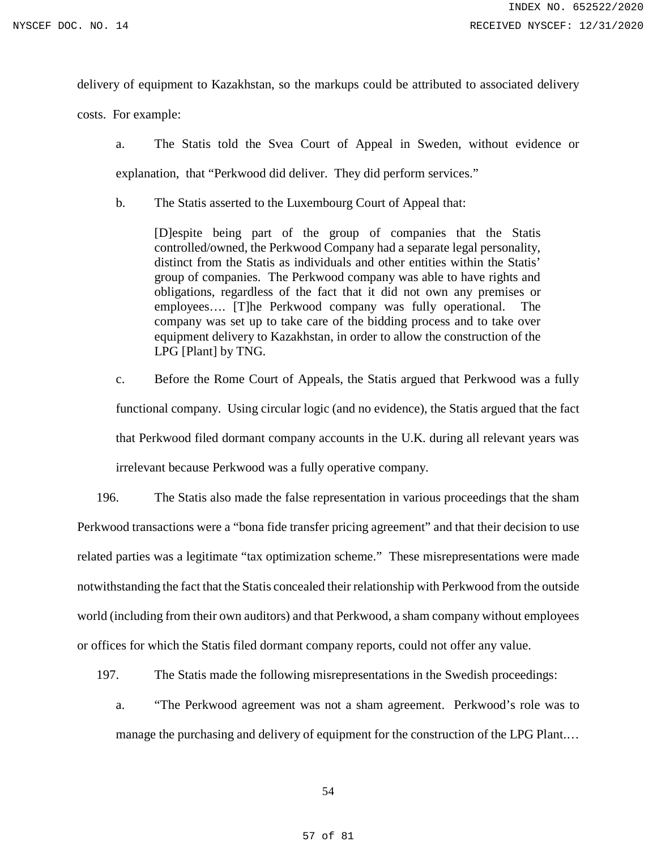delivery of equipment to Kazakhstan, so the markups could be attributed to associated delivery

costs. For example:

- a. The Statis told the Svea Court of Appeal in Sweden, without evidence or explanation, that "Perkwood did deliver. They did perform services."
- b. The Statis asserted to the Luxembourg Court of Appeal that:

[D]espite being part of the group of companies that the Statis controlled/owned, the Perkwood Company had a separate legal personality, distinct from the Statis as individuals and other entities within the Statis' group of companies. The Perkwood company was able to have rights and obligations, regardless of the fact that it did not own any premises or employees…. [T]he Perkwood company was fully operational. The company was set up to take care of the bidding process and to take over equipment delivery to Kazakhstan, in order to allow the construction of the LPG [Plant] by TNG.

c. Before the Rome Court of Appeals, the Statis argued that Perkwood was a fully functional company. Using circular logic (and no evidence), the Statis argued that the fact that Perkwood filed dormant company accounts in the U.K. during all relevant years was irrelevant because Perkwood was a fully operative company.

196. The Statis also made the false representation in various proceedings that the sham Perkwood transactions were a "bona fide transfer pricing agreement" and that their decision to use related parties was a legitimate "tax optimization scheme." These misrepresentations were made notwithstanding the fact that the Statis concealed their relationship with Perkwood from the outside world (including from their own auditors) and that Perkwood, a sham company without employees or offices for which the Statis filed dormant company reports, could not offer any value.

- 197. The Statis made the following misrepresentations in the Swedish proceedings:
	- a. "The Perkwood agreement was not a sham agreement. Perkwood's role was to manage the purchasing and delivery of equipment for the construction of the LPG Plant.…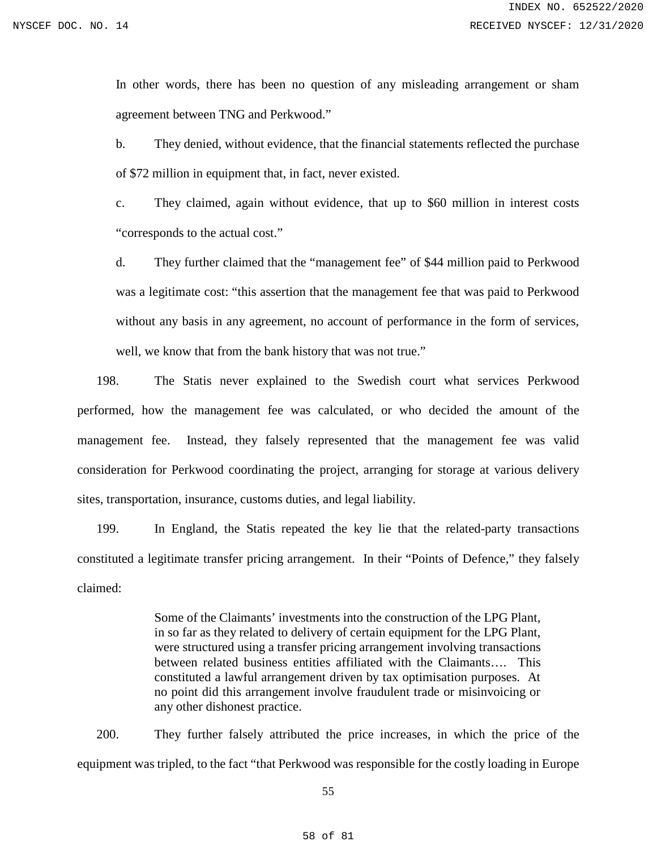In other words, there has been no question of any misleading arrangement or sham agreement between TNG and Perkwood."

b. They denied, without evidence, that the financial statements reflected the purchase of \$72 million in equipment that, in fact, never existed.

c. They claimed, again without evidence, that up to \$60 million in interest costs "corresponds to the actual cost."

d. They further claimed that the "management fee" of \$44 million paid to Perkwood was a legitimate cost: "this assertion that the management fee that was paid to Perkwood without any basis in any agreement, no account of performance in the form of services, well, we know that from the bank history that was not true."

198. The Statis never explained to the Swedish court what services Perkwood performed, how the management fee was calculated, or who decided the amount of the management fee. Instead, they falsely represented that the management fee was valid consideration for Perkwood coordinating the project, arranging for storage at various delivery sites, transportation, insurance, customs duties, and legal liability.

199. In England, the Statis repeated the key lie that the related-party transactions constituted a legitimate transfer pricing arrangement. In their "Points of Defence," they falsely claimed:

> Some of the Claimants' investments into the construction of the LPG Plant, in so far as they related to delivery of certain equipment for the LPG Plant, were structured using a transfer pricing arrangement involving transactions between related business entities affiliated with the Claimants…. This constituted a lawful arrangement driven by tax optimisation purposes. At no point did this arrangement involve fraudulent trade or misinvoicing or any other dishonest practice.

200. They further falsely attributed the price increases, in which the price of the equipment was tripled, to the fact "that Perkwood was responsible for the costly loading in Europe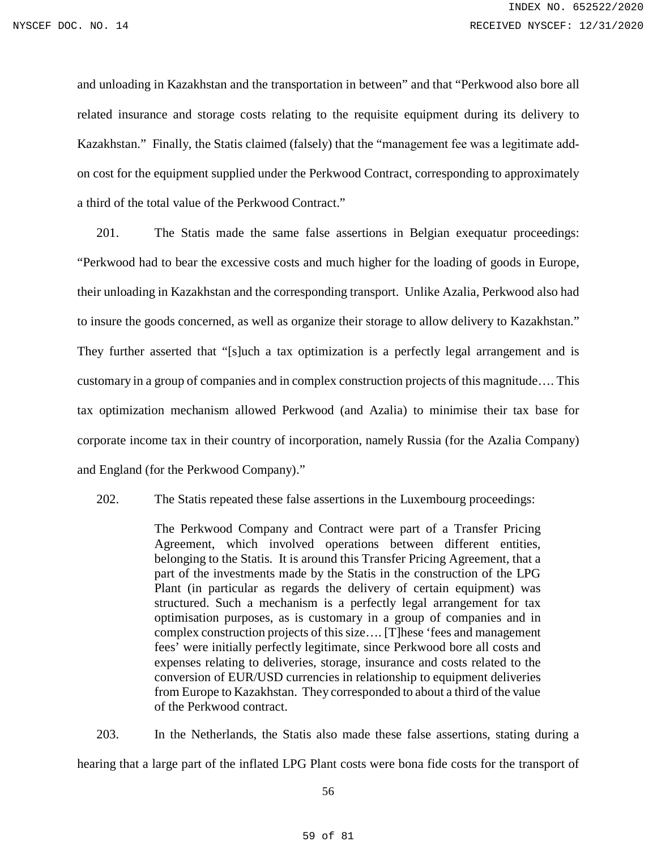and unloading in Kazakhstan and the transportation in between" and that "Perkwood also bore all related insurance and storage costs relating to the requisite equipment during its delivery to Kazakhstan." Finally, the Statis claimed (falsely) that the "management fee was a legitimate add‐ on cost for the equipment supplied under the Perkwood Contract, corresponding to approximately a third of the total value of the Perkwood Contract."

201. The Statis made the same false assertions in Belgian exequatur proceedings: "Perkwood had to bear the excessive costs and much higher for the loading of goods in Europe, their unloading in Kazakhstan and the corresponding transport. Unlike Azalia, Perkwood also had to insure the goods concerned, as well as organize their storage to allow delivery to Kazakhstan." They further asserted that "[s]uch a tax optimization is a perfectly legal arrangement and is customary in a group of companies and in complex construction projects of this magnitude…. This tax optimization mechanism allowed Perkwood (and Azalia) to minimise their tax base for corporate income tax in their country of incorporation, namely Russia (for the Azalia Company) and England (for the Perkwood Company)."

202. The Statis repeated these false assertions in the Luxembourg proceedings:

The Perkwood Company and Contract were part of a Transfer Pricing Agreement, which involved operations between different entities, belonging to the Statis. It is around this Transfer Pricing Agreement, that a part of the investments made by the Statis in the construction of the LPG Plant (in particular as regards the delivery of certain equipment) was structured. Such a mechanism is a perfectly legal arrangement for tax optimisation purposes, as is customary in a group of companies and in complex construction projects of this size…. [T]hese 'fees and management fees' were initially perfectly legitimate, since Perkwood bore all costs and expenses relating to deliveries, storage, insurance and costs related to the conversion of EUR/USD currencies in relationship to equipment deliveries from Europe to Kazakhstan. They corresponded to about a third of the value of the Perkwood contract.

203. In the Netherlands, the Statis also made these false assertions, stating during a hearing that a large part of the inflated LPG Plant costs were bona fide costs for the transport of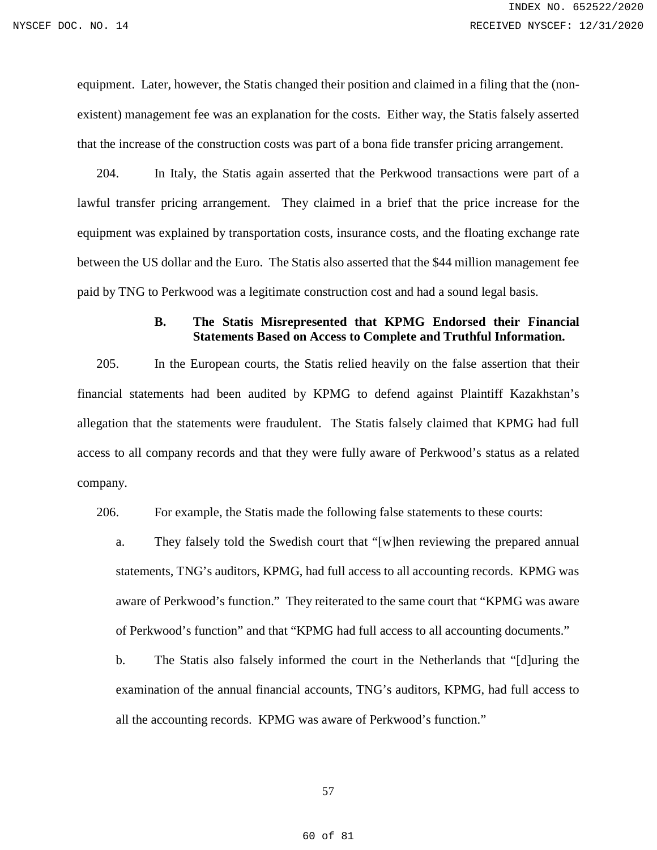equipment. Later, however, the Statis changed their position and claimed in a filing that the (nonexistent) management fee was an explanation for the costs. Either way, the Statis falsely asserted that the increase of the construction costs was part of a bona fide transfer pricing arrangement.

204. In Italy, the Statis again asserted that the Perkwood transactions were part of a lawful transfer pricing arrangement. They claimed in a brief that the price increase for the equipment was explained by transportation costs, insurance costs, and the floating exchange rate between the US dollar and the Euro. The Statis also asserted that the \$44 million management fee paid by TNG to Perkwood was a legitimate construction cost and had a sound legal basis.

# **B. The Statis Misrepresented that KPMG Endorsed their Financial Statements Based on Access to Complete and Truthful Information.**

205. In the European courts, the Statis relied heavily on the false assertion that their financial statements had been audited by KPMG to defend against Plaintiff Kazakhstan's allegation that the statements were fraudulent. The Statis falsely claimed that KPMG had full access to all company records and that they were fully aware of Perkwood's status as a related company.

206. For example, the Statis made the following false statements to these courts:

a. They falsely told the Swedish court that "[w]hen reviewing the prepared annual statements, TNG's auditors, KPMG, had full access to all accounting records. KPMG was aware of Perkwood's function." They reiterated to the same court that "KPMG was aware of Perkwood's function" and that "KPMG had full access to all accounting documents."

b. The Statis also falsely informed the court in the Netherlands that "[d]uring the examination of the annual financial accounts, TNG's auditors, KPMG, had full access to all the accounting records. KPMG was aware of Perkwood's function."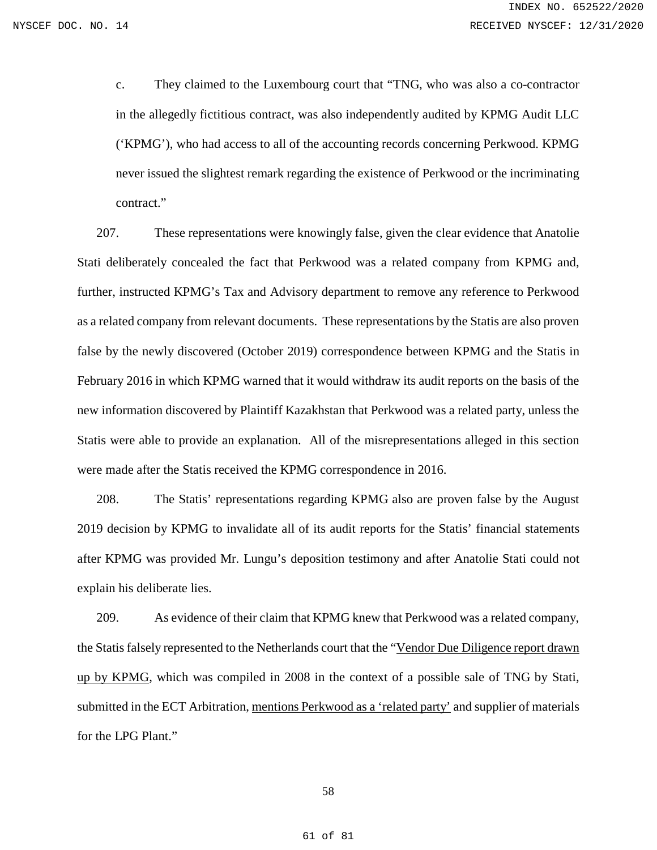c. They claimed to the Luxembourg court that "TNG, who was also a co-contractor in the allegedly fictitious contract, was also independently audited by KPMG Audit LLC ('KPMG'), who had access to all of the accounting records concerning Perkwood. KPMG never issued the slightest remark regarding the existence of Perkwood or the incriminating contract."

207. These representations were knowingly false, given the clear evidence that Anatolie Stati deliberately concealed the fact that Perkwood was a related company from KPMG and, further, instructed KPMG's Tax and Advisory department to remove any reference to Perkwood as a related company from relevant documents. These representations by the Statis are also proven false by the newly discovered (October 2019) correspondence between KPMG and the Statis in February 2016 in which KPMG warned that it would withdraw its audit reports on the basis of the new information discovered by Plaintiff Kazakhstan that Perkwood was a related party, unless the Statis were able to provide an explanation. All of the misrepresentations alleged in this section were made after the Statis received the KPMG correspondence in 2016.

208. The Statis' representations regarding KPMG also are proven false by the August 2019 decision by KPMG to invalidate all of its audit reports for the Statis' financial statements after KPMG was provided Mr. Lungu's deposition testimony and after Anatolie Stati could not explain his deliberate lies.

209. As evidence of their claim that KPMG knew that Perkwood was a related company, the Statis falsely represented to the Netherlands court that the "Vendor Due Diligence report drawn up by KPMG, which was compiled in 2008 in the context of a possible sale of TNG by Stati, submitted in the ECT Arbitration, mentions Perkwood as a 'related party' and supplier of materials for the LPG Plant."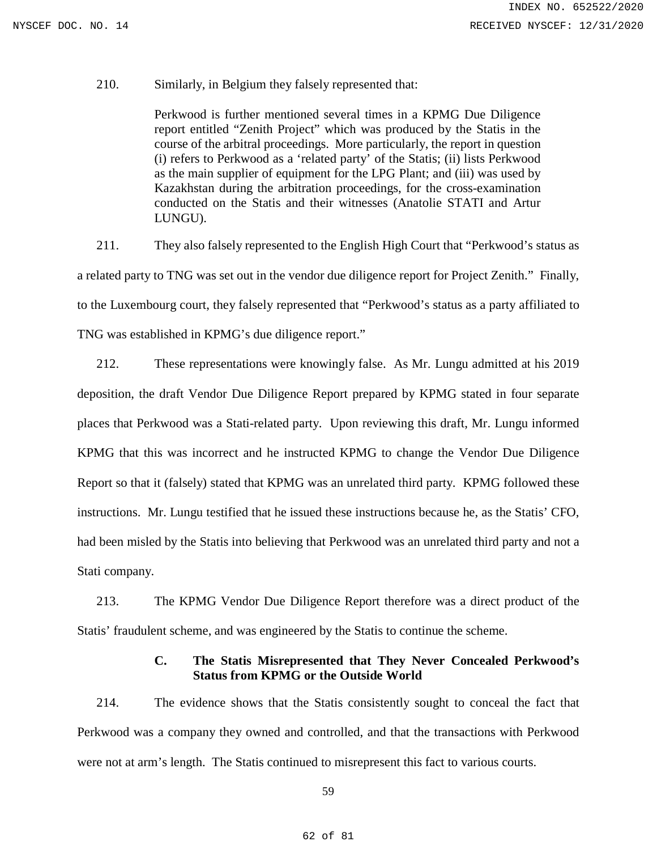### 210. Similarly, in Belgium they falsely represented that:

Perkwood is further mentioned several times in a KPMG Due Diligence report entitled "Zenith Project" which was produced by the Statis in the course of the arbitral proceedings. More particularly, the report in question (i) refers to Perkwood as a 'related party' of the Statis; (ii) lists Perkwood as the main supplier of equipment for the LPG Plant; and (iii) was used by Kazakhstan during the arbitration proceedings, for the cross-examination conducted on the Statis and their witnesses (Anatolie STATI and Artur LUNGU).

211. They also falsely represented to the English High Court that "Perkwood's status as a related party to TNG was set out in the vendor due diligence report for Project Zenith." Finally, to the Luxembourg court, they falsely represented that "Perkwood's status as a party affiliated to TNG was established in KPMG's due diligence report."

212. These representations were knowingly false. As Mr. Lungu admitted at his 2019 deposition, the draft Vendor Due Diligence Report prepared by KPMG stated in four separate places that Perkwood was a Stati-related party. Upon reviewing this draft, Mr. Lungu informed KPMG that this was incorrect and he instructed KPMG to change the Vendor Due Diligence Report so that it (falsely) stated that KPMG was an unrelated third party. KPMG followed these instructions. Mr. Lungu testified that he issued these instructions because he, as the Statis' CFO, had been misled by the Statis into believing that Perkwood was an unrelated third party and not a Stati company.

213. The KPMG Vendor Due Diligence Report therefore was a direct product of the Statis' fraudulent scheme, and was engineered by the Statis to continue the scheme.

# **C. The Statis Misrepresented that They Never Concealed Perkwood's Status from KPMG or the Outside World**

214. The evidence shows that the Statis consistently sought to conceal the fact that Perkwood was a company they owned and controlled, and that the transactions with Perkwood were not at arm's length. The Statis continued to misrepresent this fact to various courts.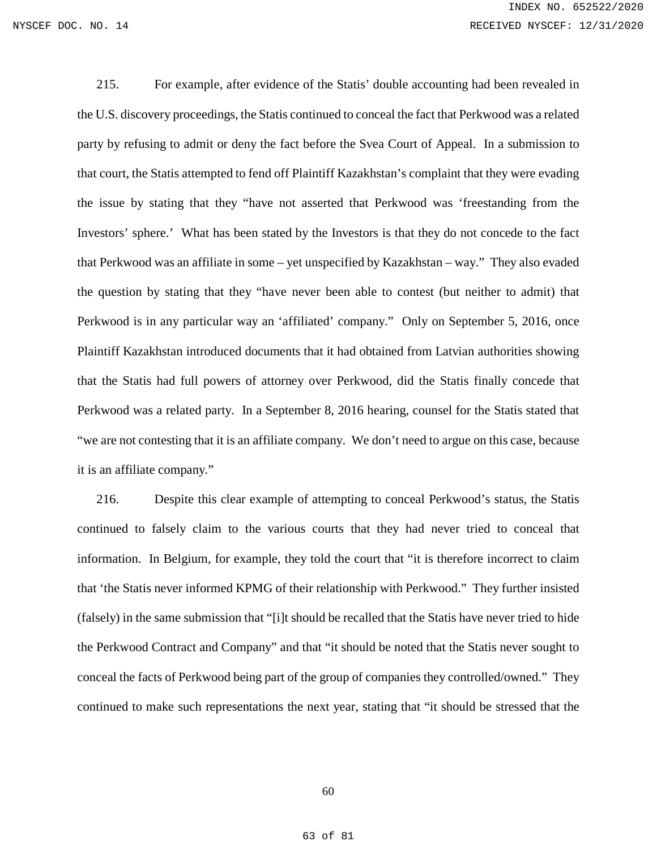215. For example, after evidence of the Statis' double accounting had been revealed in the U.S. discovery proceedings, the Statis continued to conceal the fact that Perkwood was a related party by refusing to admit or deny the fact before the Svea Court of Appeal. In a submission to that court, the Statis attempted to fend off Plaintiff Kazakhstan's complaint that they were evading the issue by stating that they "have not asserted that Perkwood was 'freestanding from the Investors' sphere.' What has been stated by the Investors is that they do not concede to the fact that Perkwood was an affiliate in some – yet unspecified by Kazakhstan – way." They also evaded the question by stating that they "have never been able to contest (but neither to admit) that Perkwood is in any particular way an 'affiliated' company." Only on September 5, 2016, once Plaintiff Kazakhstan introduced documents that it had obtained from Latvian authorities showing that the Statis had full powers of attorney over Perkwood, did the Statis finally concede that Perkwood was a related party. In a September 8, 2016 hearing, counsel for the Statis stated that "we are not contesting that it is an affiliate company. We don't need to argue on this case, because it is an affiliate company."

216. Despite this clear example of attempting to conceal Perkwood's status, the Statis continued to falsely claim to the various courts that they had never tried to conceal that information. In Belgium, for example, they told the court that "it is therefore incorrect to claim that 'the Statis never informed KPMG of their relationship with Perkwood." They further insisted (falsely) in the same submission that "[i]t should be recalled that the Statis have never tried to hide the Perkwood Contract and Company" and that "it should be noted that the Statis never sought to conceal the facts of Perkwood being part of the group of companies they controlled/owned." They continued to make such representations the next year, stating that "it should be stressed that the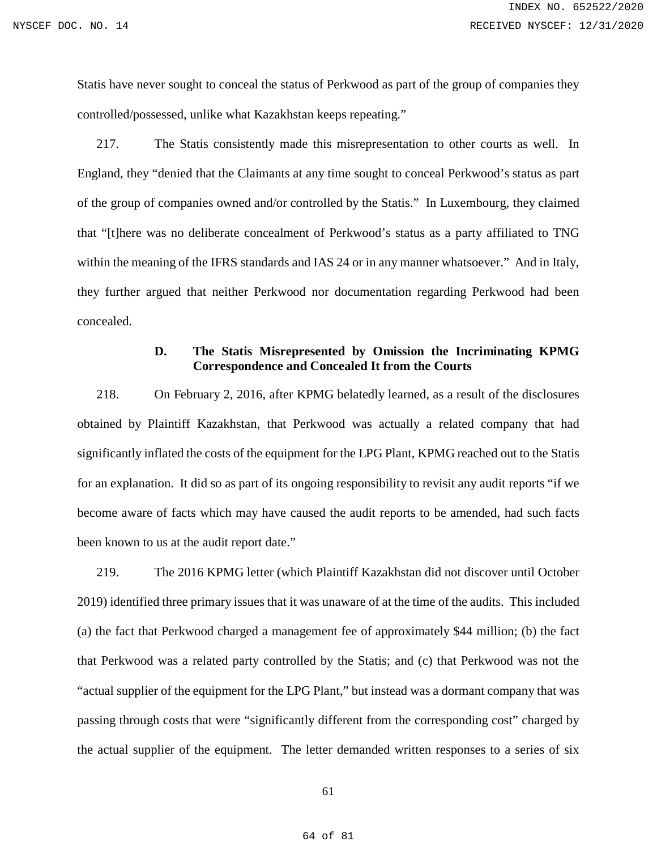Statis have never sought to conceal the status of Perkwood as part of the group of companies they controlled/possessed, unlike what Kazakhstan keeps repeating."

217. The Statis consistently made this misrepresentation to other courts as well. In England, they "denied that the Claimants at any time sought to conceal Perkwood's status as part of the group of companies owned and/or controlled by the Statis." In Luxembourg, they claimed that "[t]here was no deliberate concealment of Perkwood's status as a party affiliated to TNG within the meaning of the IFRS standards and IAS 24 or in any manner whatsoever." And in Italy, they further argued that neither Perkwood nor documentation regarding Perkwood had been concealed.

# **D. The Statis Misrepresented by Omission the Incriminating KPMG Correspondence and Concealed It from the Courts**

218. On February 2, 2016, after KPMG belatedly learned, as a result of the disclosures obtained by Plaintiff Kazakhstan, that Perkwood was actually a related company that had significantly inflated the costs of the equipment for the LPG Plant, KPMG reached out to the Statis for an explanation. It did so as part of its ongoing responsibility to revisit any audit reports "if we become aware of facts which may have caused the audit reports to be amended, had such facts been known to us at the audit report date."

219. The 2016 KPMG letter (which Plaintiff Kazakhstan did not discover until October 2019) identified three primary issues that it was unaware of at the time of the audits. This included (a) the fact that Perkwood charged a management fee of approximately \$44 million; (b) the fact that Perkwood was a related party controlled by the Statis; and (c) that Perkwood was not the "actual supplier of the equipment for the LPG Plant," but instead was a dormant company that was passing through costs that were "significantly different from the corresponding cost" charged by the actual supplier of the equipment. The letter demanded written responses to a series of six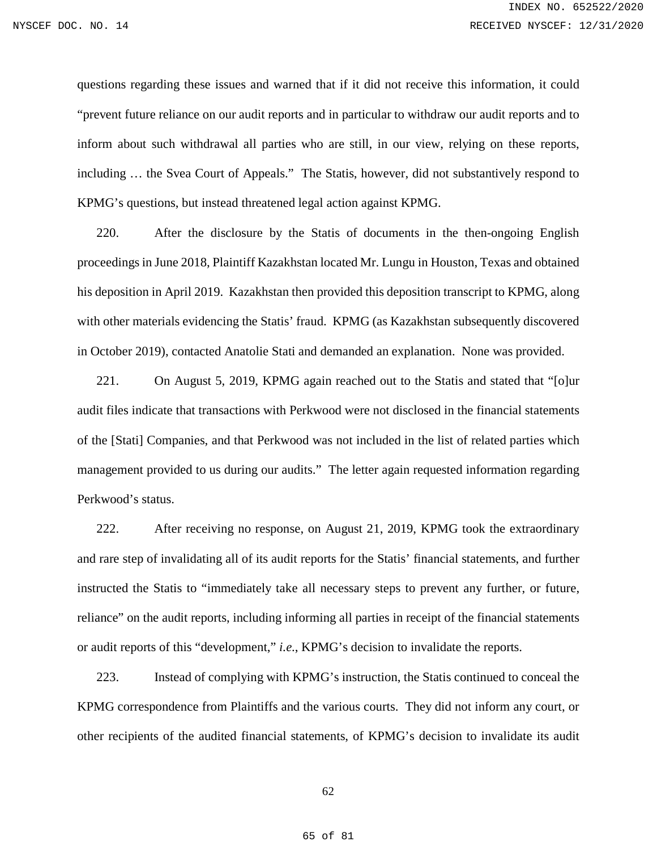questions regarding these issues and warned that if it did not receive this information, it could "prevent future reliance on our audit reports and in particular to withdraw our audit reports and to inform about such withdrawal all parties who are still, in our view, relying on these reports, including … the Svea Court of Appeals." The Statis, however, did not substantively respond to KPMG's questions, but instead threatened legal action against KPMG.

220. After the disclosure by the Statis of documents in the then-ongoing English proceedings in June 2018, Plaintiff Kazakhstan located Mr. Lungu in Houston, Texas and obtained his deposition in April 2019. Kazakhstan then provided this deposition transcript to KPMG, along with other materials evidencing the Statis' fraud. KPMG (as Kazakhstan subsequently discovered in October 2019), contacted Anatolie Stati and demanded an explanation. None was provided.

221. On August 5, 2019, KPMG again reached out to the Statis and stated that "[o]ur audit files indicate that transactions with Perkwood were not disclosed in the financial statements of the [Stati] Companies, and that Perkwood was not included in the list of related parties which management provided to us during our audits." The letter again requested information regarding Perkwood's status.

222. After receiving no response, on August 21, 2019, KPMG took the extraordinary and rare step of invalidating all of its audit reports for the Statis' financial statements, and further instructed the Statis to "immediately take all necessary steps to prevent any further, or future, reliance" on the audit reports, including informing all parties in receipt of the financial statements or audit reports of this "development," *i.e.*, KPMG's decision to invalidate the reports.

223. Instead of complying with KPMG's instruction, the Statis continued to conceal the KPMG correspondence from Plaintiffs and the various courts. They did not inform any court, or other recipients of the audited financial statements, of KPMG's decision to invalidate its audit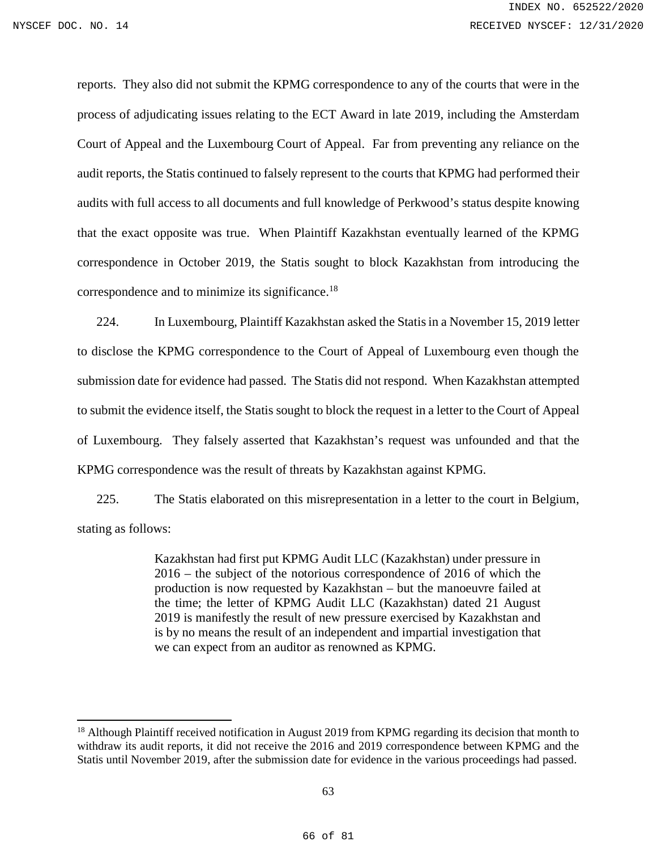$\overline{a}$ 

reports. They also did not submit the KPMG correspondence to any of the courts that were in the process of adjudicating issues relating to the ECT Award in late 2019, including the Amsterdam Court of Appeal and the Luxembourg Court of Appeal. Far from preventing any reliance on the audit reports, the Statis continued to falsely represent to the courts that KPMG had performed their audits with full access to all documents and full knowledge of Perkwood's status despite knowing that the exact opposite was true. When Plaintiff Kazakhstan eventually learned of the KPMG correspondence in October 2019, the Statis sought to block Kazakhstan from introducing the correspondence and to minimize its significance.[18](#page-65-0)

224. In Luxembourg, Plaintiff Kazakhstan asked the Statis in a November 15, 2019 letter to disclose the KPMG correspondence to the Court of Appeal of Luxembourg even though the submission date for evidence had passed. The Statis did not respond. When Kazakhstan attempted to submit the evidence itself, the Statis sought to block the request in a letter to the Court of Appeal of Luxembourg. They falsely asserted that Kazakhstan's request was unfounded and that the KPMG correspondence was the result of threats by Kazakhstan against KPMG.

225. The Statis elaborated on this misrepresentation in a letter to the court in Belgium, stating as follows:

> Kazakhstan had first put KPMG Audit LLC (Kazakhstan) under pressure in 2016 – the subject of the notorious correspondence of 2016 of which the production is now requested by Kazakhstan – but the manoeuvre failed at the time; the letter of KPMG Audit LLC (Kazakhstan) dated 21 August 2019 is manifestly the result of new pressure exercised by Kazakhstan and is by no means the result of an independent and impartial investigation that we can expect from an auditor as renowned as KPMG.

<span id="page-65-0"></span><sup>&</sup>lt;sup>18</sup> Although Plaintiff received notification in August 2019 from KPMG regarding its decision that month to withdraw its audit reports, it did not receive the 2016 and 2019 correspondence between KPMG and the Statis until November 2019, after the submission date for evidence in the various proceedings had passed.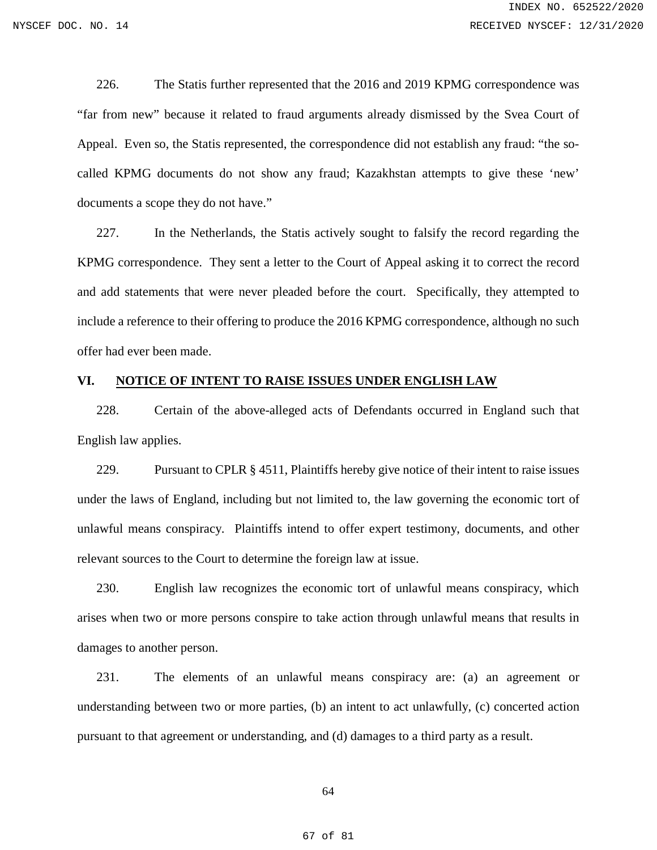226. The Statis further represented that the 2016 and 2019 KPMG correspondence was "far from new" because it related to fraud arguments already dismissed by the Svea Court of Appeal. Even so, the Statis represented, the correspondence did not establish any fraud: "the socalled KPMG documents do not show any fraud; Kazakhstan attempts to give these 'new' documents a scope they do not have."

227. In the Netherlands, the Statis actively sought to falsify the record regarding the KPMG correspondence. They sent a letter to the Court of Appeal asking it to correct the record and add statements that were never pleaded before the court. Specifically, they attempted to include a reference to their offering to produce the 2016 KPMG correspondence, although no such offer had ever been made.

### **VI. NOTICE OF INTENT TO RAISE ISSUES UNDER ENGLISH LAW**

228. Certain of the above-alleged acts of Defendants occurred in England such that English law applies.

229. Pursuant to CPLR § 4511, Plaintiffs hereby give notice of their intent to raise issues under the laws of England, including but not limited to, the law governing the economic tort of unlawful means conspiracy. Plaintiffs intend to offer expert testimony, documents, and other relevant sources to the Court to determine the foreign law at issue.

230. English law recognizes the economic tort of unlawful means conspiracy, which arises when two or more persons conspire to take action through unlawful means that results in damages to another person.

231. The elements of an unlawful means conspiracy are: (a) an agreement or understanding between two or more parties, (b) an intent to act unlawfully, (c) concerted action pursuant to that agreement or understanding, and (d) damages to a third party as a result.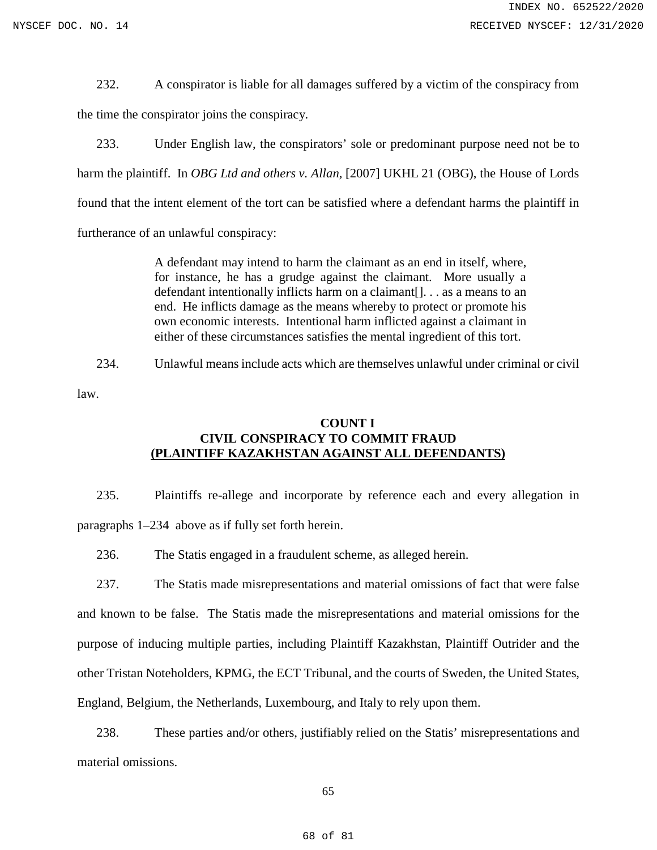232. A conspirator is liable for all damages suffered by a victim of the conspiracy from the time the conspirator joins the conspiracy.

233. Under English law, the conspirators' sole or predominant purpose need not be to harm the plaintiff. In *OBG Ltd and others v. Allan*, [2007] UKHL 21 (OBG), the House of Lords found that the intent element of the tort can be satisfied where a defendant harms the plaintiff in furtherance of an unlawful conspiracy:

> A defendant may intend to harm the claimant as an end in itself, where, for instance, he has a grudge against the claimant. More usually a defendant intentionally inflicts harm on a claimant[]. . . as a means to an end. He inflicts damage as the means whereby to protect or promote his own economic interests. Intentional harm inflicted against a claimant in either of these circumstances satisfies the mental ingredient of this tort.

234. Unlawful means include acts which are themselves unlawful under criminal or civil

law.

# **COUNT I CIVIL CONSPIRACY TO COMMIT FRAUD (PLAINTIFF KAZAKHSTAN AGAINST ALL DEFENDANTS)**

235. Plaintiffs re-allege and incorporate by reference each and every allegation in paragraphs 1–234 above as if fully set forth herein.

236. The Statis engaged in a fraudulent scheme, as alleged herein.

237. The Statis made misrepresentations and material omissions of fact that were false and known to be false. The Statis made the misrepresentations and material omissions for the purpose of inducing multiple parties, including Plaintiff Kazakhstan, Plaintiff Outrider and the other Tristan Noteholders, KPMG, the ECT Tribunal, and the courts of Sweden, the United States, England, Belgium, the Netherlands, Luxembourg, and Italy to rely upon them.

238. These parties and/or others, justifiably relied on the Statis' misrepresentations and material omissions.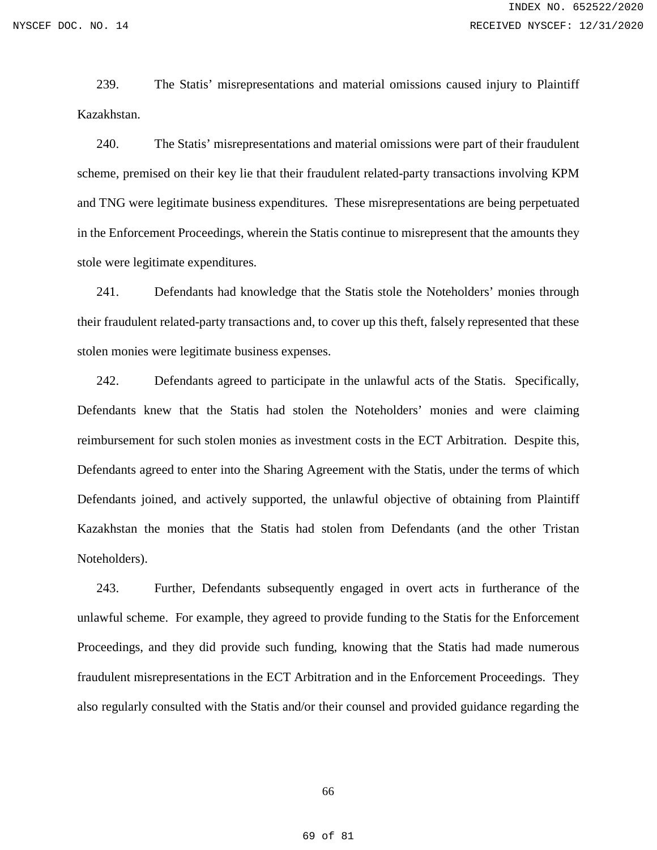239. The Statis' misrepresentations and material omissions caused injury to Plaintiff Kazakhstan.

240. The Statis' misrepresentations and material omissions were part of their fraudulent scheme, premised on their key lie that their fraudulent related-party transactions involving KPM and TNG were legitimate business expenditures. These misrepresentations are being perpetuated in the Enforcement Proceedings, wherein the Statis continue to misrepresent that the amounts they stole were legitimate expenditures.

241. Defendants had knowledge that the Statis stole the Noteholders' monies through their fraudulent related-party transactions and, to cover up this theft, falsely represented that these stolen monies were legitimate business expenses.

242. Defendants agreed to participate in the unlawful acts of the Statis. Specifically, Defendants knew that the Statis had stolen the Noteholders' monies and were claiming reimbursement for such stolen monies as investment costs in the ECT Arbitration. Despite this, Defendants agreed to enter into the Sharing Agreement with the Statis, under the terms of which Defendants joined, and actively supported, the unlawful objective of obtaining from Plaintiff Kazakhstan the monies that the Statis had stolen from Defendants (and the other Tristan Noteholders).

243. Further, Defendants subsequently engaged in overt acts in furtherance of the unlawful scheme. For example, they agreed to provide funding to the Statis for the Enforcement Proceedings, and they did provide such funding, knowing that the Statis had made numerous fraudulent misrepresentations in the ECT Arbitration and in the Enforcement Proceedings. They also regularly consulted with the Statis and/or their counsel and provided guidance regarding the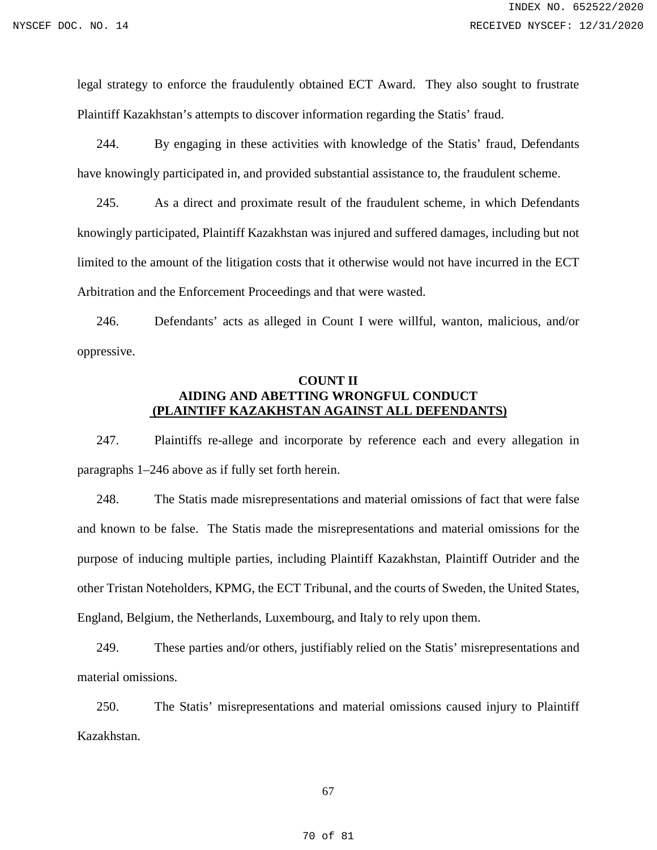legal strategy to enforce the fraudulently obtained ECT Award. They also sought to frustrate Plaintiff Kazakhstan's attempts to discover information regarding the Statis' fraud.

244. By engaging in these activities with knowledge of the Statis' fraud, Defendants have knowingly participated in, and provided substantial assistance to, the fraudulent scheme.

245. As a direct and proximate result of the fraudulent scheme, in which Defendants knowingly participated, Plaintiff Kazakhstan was injured and suffered damages, including but not limited to the amount of the litigation costs that it otherwise would not have incurred in the ECT Arbitration and the Enforcement Proceedings and that were wasted.

246. Defendants' acts as alleged in Count I were willful, wanton, malicious, and/or oppressive.

# **COUNT II AIDING AND ABETTING WRONGFUL CONDUCT (PLAINTIFF KAZAKHSTAN AGAINST ALL DEFENDANTS)**

247. Plaintiffs re-allege and incorporate by reference each and every allegation in paragraphs 1–246 above as if fully set forth herein.

248. The Statis made misrepresentations and material omissions of fact that were false and known to be false. The Statis made the misrepresentations and material omissions for the purpose of inducing multiple parties, including Plaintiff Kazakhstan, Plaintiff Outrider and the other Tristan Noteholders, KPMG, the ECT Tribunal, and the courts of Sweden, the United States, England, Belgium, the Netherlands, Luxembourg, and Italy to rely upon them.

249. These parties and/or others, justifiably relied on the Statis' misrepresentations and material omissions.

250. The Statis' misrepresentations and material omissions caused injury to Plaintiff Kazakhstan.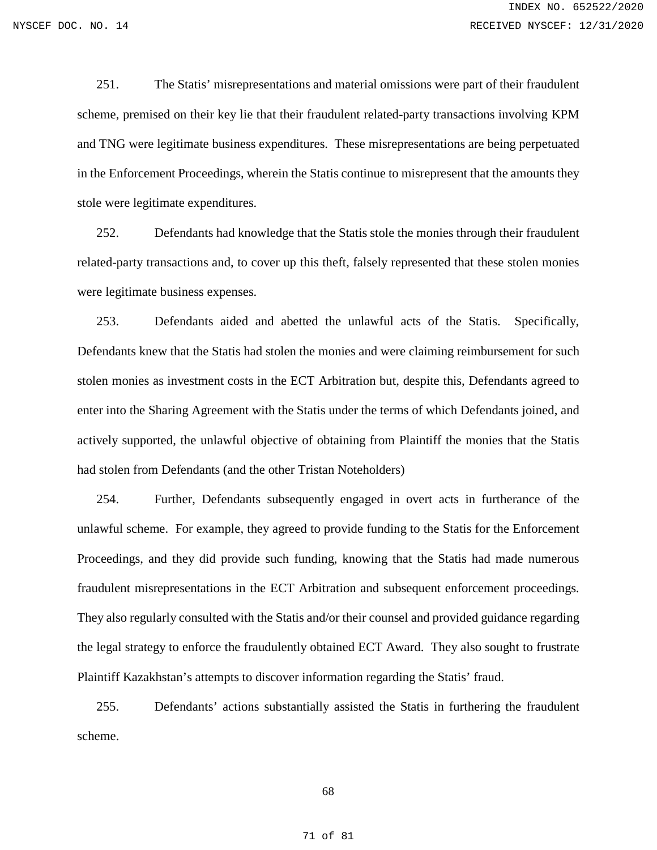251. The Statis' misrepresentations and material omissions were part of their fraudulent scheme, premised on their key lie that their fraudulent related-party transactions involving KPM and TNG were legitimate business expenditures. These misrepresentations are being perpetuated in the Enforcement Proceedings, wherein the Statis continue to misrepresent that the amounts they stole were legitimate expenditures.

252. Defendants had knowledge that the Statis stole the monies through their fraudulent related-party transactions and, to cover up this theft, falsely represented that these stolen monies were legitimate business expenses.

253. Defendants aided and abetted the unlawful acts of the Statis. Specifically, Defendants knew that the Statis had stolen the monies and were claiming reimbursement for such stolen monies as investment costs in the ECT Arbitration but, despite this, Defendants agreed to enter into the Sharing Agreement with the Statis under the terms of which Defendants joined, and actively supported, the unlawful objective of obtaining from Plaintiff the monies that the Statis had stolen from Defendants (and the other Tristan Noteholders)

254. Further, Defendants subsequently engaged in overt acts in furtherance of the unlawful scheme. For example, they agreed to provide funding to the Statis for the Enforcement Proceedings, and they did provide such funding, knowing that the Statis had made numerous fraudulent misrepresentations in the ECT Arbitration and subsequent enforcement proceedings. They also regularly consulted with the Statis and/or their counsel and provided guidance regarding the legal strategy to enforce the fraudulently obtained ECT Award. They also sought to frustrate Plaintiff Kazakhstan's attempts to discover information regarding the Statis' fraud.

255. Defendants' actions substantially assisted the Statis in furthering the fraudulent scheme.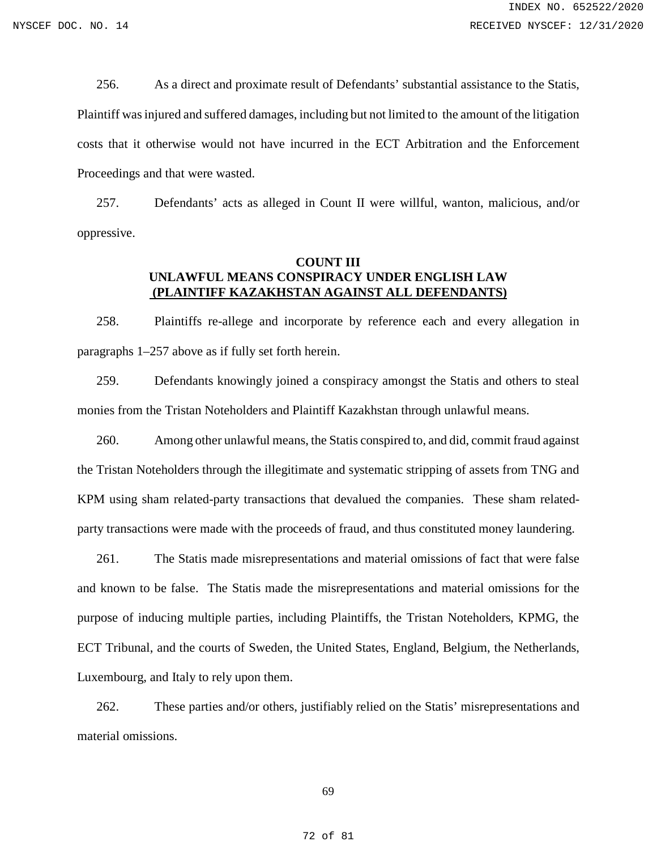256. As a direct and proximate result of Defendants' substantial assistance to the Statis, Plaintiff was injured and suffered damages, including but not limited to the amount of the litigation costs that it otherwise would not have incurred in the ECT Arbitration and the Enforcement Proceedings and that were wasted.

257. Defendants' acts as alleged in Count II were willful, wanton, malicious, and/or oppressive.

# **COUNT III UNLAWFUL MEANS CONSPIRACY UNDER ENGLISH LAW (PLAINTIFF KAZAKHSTAN AGAINST ALL DEFENDANTS)**

258. Plaintiffs re-allege and incorporate by reference each and every allegation in paragraphs 1–257 above as if fully set forth herein.

259. Defendants knowingly joined a conspiracy amongst the Statis and others to steal monies from the Tristan Noteholders and Plaintiff Kazakhstan through unlawful means.

260. Among other unlawful means, the Statis conspired to, and did, commit fraud against the Tristan Noteholders through the illegitimate and systematic stripping of assets from TNG and KPM using sham related-party transactions that devalued the companies. These sham relatedparty transactions were made with the proceeds of fraud, and thus constituted money laundering.

261. The Statis made misrepresentations and material omissions of fact that were false and known to be false. The Statis made the misrepresentations and material omissions for the purpose of inducing multiple parties, including Plaintiffs, the Tristan Noteholders, KPMG, the ECT Tribunal, and the courts of Sweden, the United States, England, Belgium, the Netherlands, Luxembourg, and Italy to rely upon them.

262. These parties and/or others, justifiably relied on the Statis' misrepresentations and material omissions.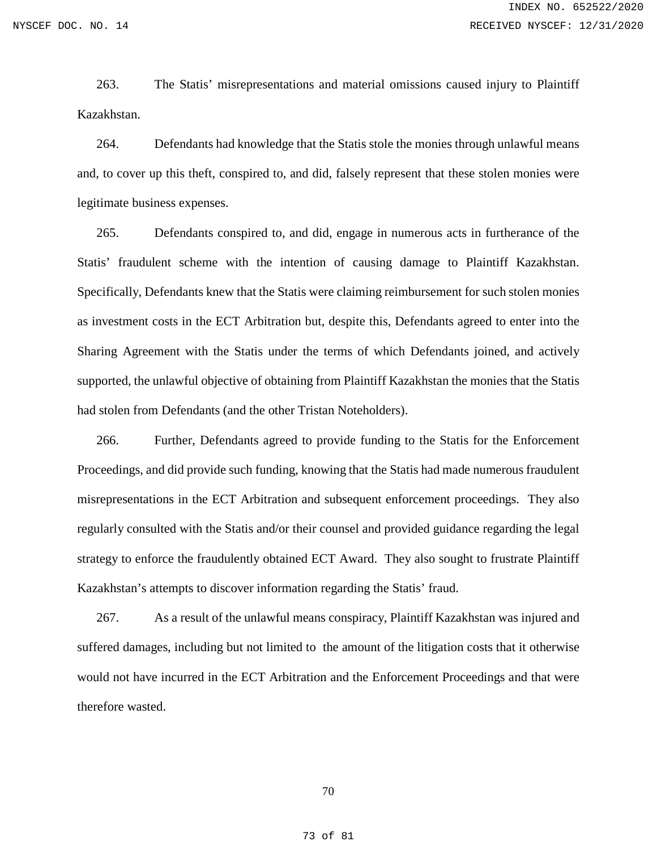263. The Statis' misrepresentations and material omissions caused injury to Plaintiff Kazakhstan.

264. Defendants had knowledge that the Statis stole the monies through unlawful means and, to cover up this theft, conspired to, and did, falsely represent that these stolen monies were legitimate business expenses.

265. Defendants conspired to, and did, engage in numerous acts in furtherance of the Statis' fraudulent scheme with the intention of causing damage to Plaintiff Kazakhstan. Specifically, Defendants knew that the Statis were claiming reimbursement for such stolen monies as investment costs in the ECT Arbitration but, despite this, Defendants agreed to enter into the Sharing Agreement with the Statis under the terms of which Defendants joined, and actively supported, the unlawful objective of obtaining from Plaintiff Kazakhstan the monies that the Statis had stolen from Defendants (and the other Tristan Noteholders).

266. Further, Defendants agreed to provide funding to the Statis for the Enforcement Proceedings, and did provide such funding, knowing that the Statis had made numerous fraudulent misrepresentations in the ECT Arbitration and subsequent enforcement proceedings. They also regularly consulted with the Statis and/or their counsel and provided guidance regarding the legal strategy to enforce the fraudulently obtained ECT Award. They also sought to frustrate Plaintiff Kazakhstan's attempts to discover information regarding the Statis' fraud.

267. As a result of the unlawful means conspiracy, Plaintiff Kazakhstan was injured and suffered damages, including but not limited to the amount of the litigation costs that it otherwise would not have incurred in the ECT Arbitration and the Enforcement Proceedings and that were therefore wasted.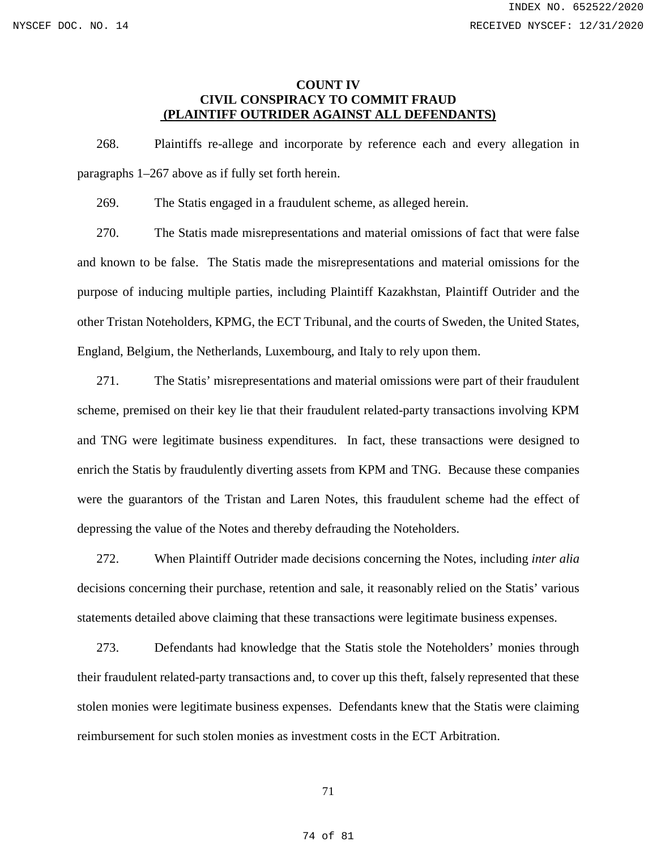### **COUNT IV CIVIL CONSPIRACY TO COMMIT FRAUD (PLAINTIFF OUTRIDER AGAINST ALL DEFENDANTS)**

268. Plaintiffs re-allege and incorporate by reference each and every allegation in paragraphs 1–267 above as if fully set forth herein.

269. The Statis engaged in a fraudulent scheme, as alleged herein.

270. The Statis made misrepresentations and material omissions of fact that were false and known to be false. The Statis made the misrepresentations and material omissions for the purpose of inducing multiple parties, including Plaintiff Kazakhstan, Plaintiff Outrider and the other Tristan Noteholders, KPMG, the ECT Tribunal, and the courts of Sweden, the United States, England, Belgium, the Netherlands, Luxembourg, and Italy to rely upon them.

271. The Statis' misrepresentations and material omissions were part of their fraudulent scheme, premised on their key lie that their fraudulent related-party transactions involving KPM and TNG were legitimate business expenditures. In fact, these transactions were designed to enrich the Statis by fraudulently diverting assets from KPM and TNG. Because these companies were the guarantors of the Tristan and Laren Notes, this fraudulent scheme had the effect of depressing the value of the Notes and thereby defrauding the Noteholders.

272. When Plaintiff Outrider made decisions concerning the Notes, including *inter alia* decisions concerning their purchase, retention and sale, it reasonably relied on the Statis' various statements detailed above claiming that these transactions were legitimate business expenses.

273. Defendants had knowledge that the Statis stole the Noteholders' monies through their fraudulent related-party transactions and, to cover up this theft, falsely represented that these stolen monies were legitimate business expenses. Defendants knew that the Statis were claiming reimbursement for such stolen monies as investment costs in the ECT Arbitration.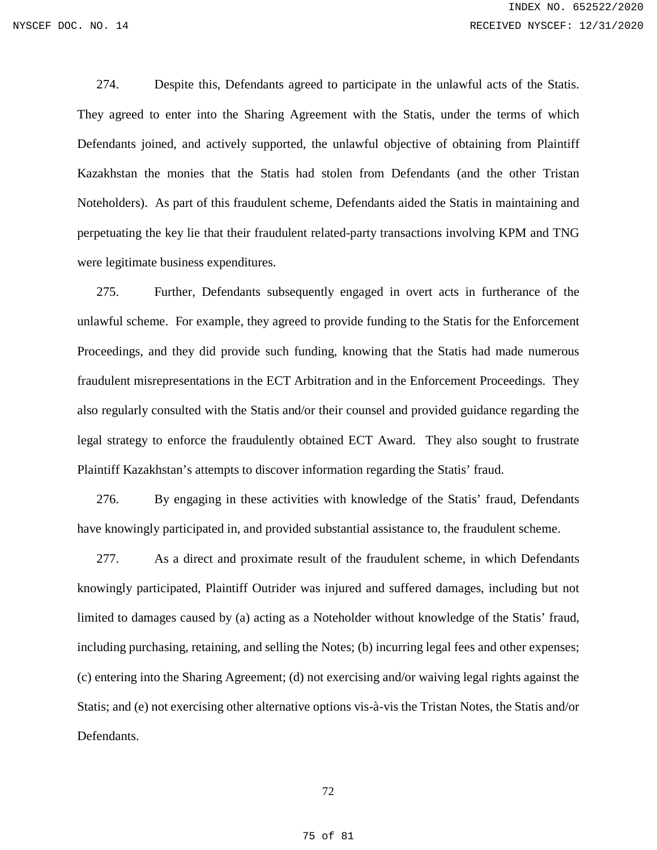274. Despite this, Defendants agreed to participate in the unlawful acts of the Statis. They agreed to enter into the Sharing Agreement with the Statis, under the terms of which Defendants joined, and actively supported, the unlawful objective of obtaining from Plaintiff Kazakhstan the monies that the Statis had stolen from Defendants (and the other Tristan Noteholders). As part of this fraudulent scheme, Defendants aided the Statis in maintaining and perpetuating the key lie that their fraudulent related-party transactions involving KPM and TNG were legitimate business expenditures.

275. Further, Defendants subsequently engaged in overt acts in furtherance of the unlawful scheme. For example, they agreed to provide funding to the Statis for the Enforcement Proceedings, and they did provide such funding, knowing that the Statis had made numerous fraudulent misrepresentations in the ECT Arbitration and in the Enforcement Proceedings. They also regularly consulted with the Statis and/or their counsel and provided guidance regarding the legal strategy to enforce the fraudulently obtained ECT Award. They also sought to frustrate Plaintiff Kazakhstan's attempts to discover information regarding the Statis' fraud.

276. By engaging in these activities with knowledge of the Statis' fraud, Defendants have knowingly participated in, and provided substantial assistance to, the fraudulent scheme.

277. As a direct and proximate result of the fraudulent scheme, in which Defendants knowingly participated, Plaintiff Outrider was injured and suffered damages, including but not limited to damages caused by (a) acting as a Noteholder without knowledge of the Statis' fraud, including purchasing, retaining, and selling the Notes; (b) incurring legal fees and other expenses; (c) entering into the Sharing Agreement; (d) not exercising and/or waiving legal rights against the Statis; and (e) not exercising other alternative options vis-à-vis the Tristan Notes, the Statis and/or Defendants.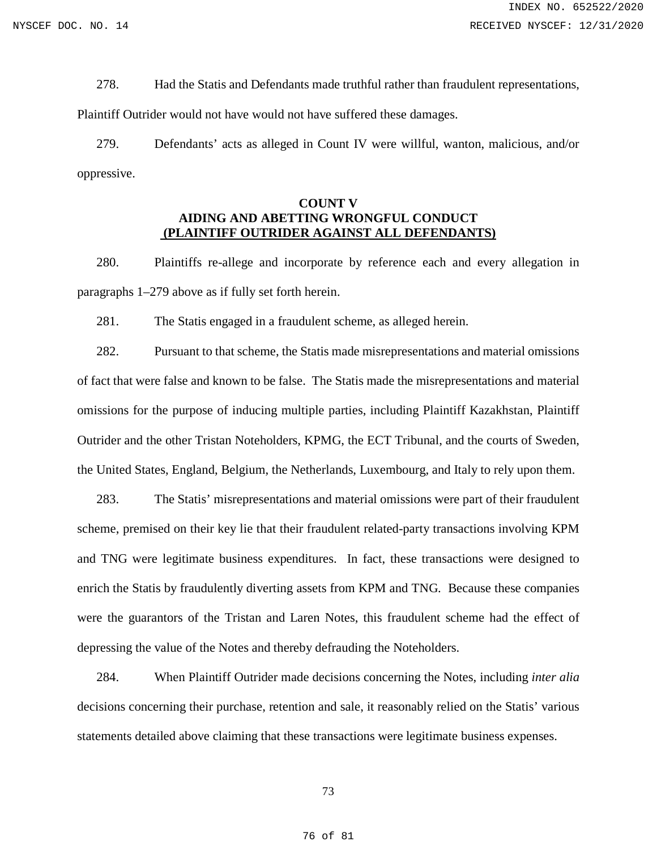278. Had the Statis and Defendants made truthful rather than fraudulent representations,

Plaintiff Outrider would not have would not have suffered these damages.

279. Defendants' acts as alleged in Count IV were willful, wanton, malicious, and/or oppressive.

# **COUNT V AIDING AND ABETTING WRONGFUL CONDUCT (PLAINTIFF OUTRIDER AGAINST ALL DEFENDANTS)**

280. Plaintiffs re-allege and incorporate by reference each and every allegation in paragraphs 1–279 above as if fully set forth herein.

281. The Statis engaged in a fraudulent scheme, as alleged herein.

282. Pursuant to that scheme, the Statis made misrepresentations and material omissions of fact that were false and known to be false. The Statis made the misrepresentations and material omissions for the purpose of inducing multiple parties, including Plaintiff Kazakhstan, Plaintiff Outrider and the other Tristan Noteholders, KPMG, the ECT Tribunal, and the courts of Sweden, the United States, England, Belgium, the Netherlands, Luxembourg, and Italy to rely upon them.

283. The Statis' misrepresentations and material omissions were part of their fraudulent scheme, premised on their key lie that their fraudulent related-party transactions involving KPM and TNG were legitimate business expenditures. In fact, these transactions were designed to enrich the Statis by fraudulently diverting assets from KPM and TNG. Because these companies were the guarantors of the Tristan and Laren Notes, this fraudulent scheme had the effect of depressing the value of the Notes and thereby defrauding the Noteholders.

284. When Plaintiff Outrider made decisions concerning the Notes, including *inter alia* decisions concerning their purchase, retention and sale, it reasonably relied on the Statis' various statements detailed above claiming that these transactions were legitimate business expenses.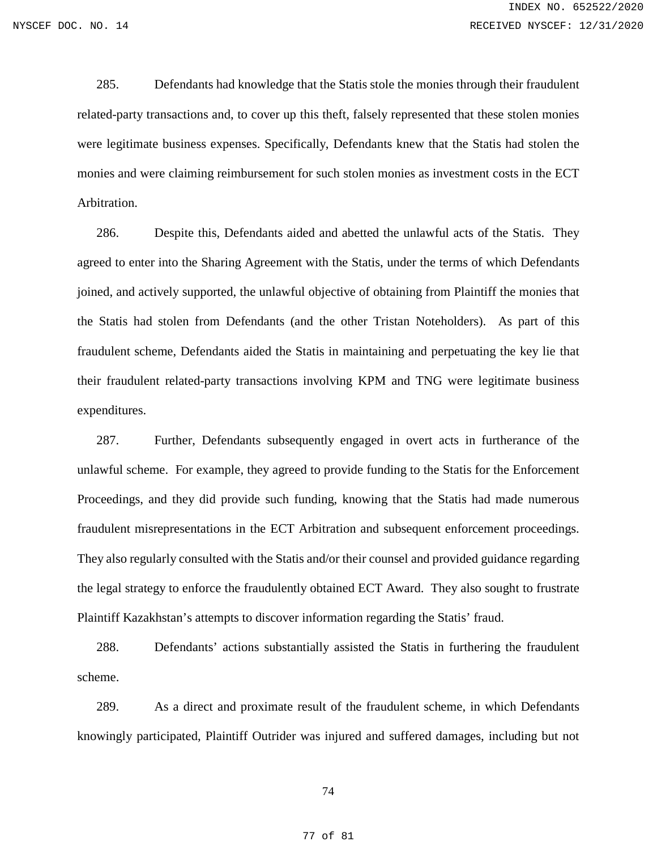285. Defendants had knowledge that the Statis stole the monies through their fraudulent related-party transactions and, to cover up this theft, falsely represented that these stolen monies were legitimate business expenses. Specifically, Defendants knew that the Statis had stolen the monies and were claiming reimbursement for such stolen monies as investment costs in the ECT Arbitration.

286. Despite this, Defendants aided and abetted the unlawful acts of the Statis. They agreed to enter into the Sharing Agreement with the Statis, under the terms of which Defendants joined, and actively supported, the unlawful objective of obtaining from Plaintiff the monies that the Statis had stolen from Defendants (and the other Tristan Noteholders). As part of this fraudulent scheme, Defendants aided the Statis in maintaining and perpetuating the key lie that their fraudulent related-party transactions involving KPM and TNG were legitimate business expenditures.

287. Further, Defendants subsequently engaged in overt acts in furtherance of the unlawful scheme. For example, they agreed to provide funding to the Statis for the Enforcement Proceedings, and they did provide such funding, knowing that the Statis had made numerous fraudulent misrepresentations in the ECT Arbitration and subsequent enforcement proceedings. They also regularly consulted with the Statis and/or their counsel and provided guidance regarding the legal strategy to enforce the fraudulently obtained ECT Award. They also sought to frustrate Plaintiff Kazakhstan's attempts to discover information regarding the Statis' fraud.

288. Defendants' actions substantially assisted the Statis in furthering the fraudulent scheme.

289. As a direct and proximate result of the fraudulent scheme, in which Defendants knowingly participated, Plaintiff Outrider was injured and suffered damages, including but not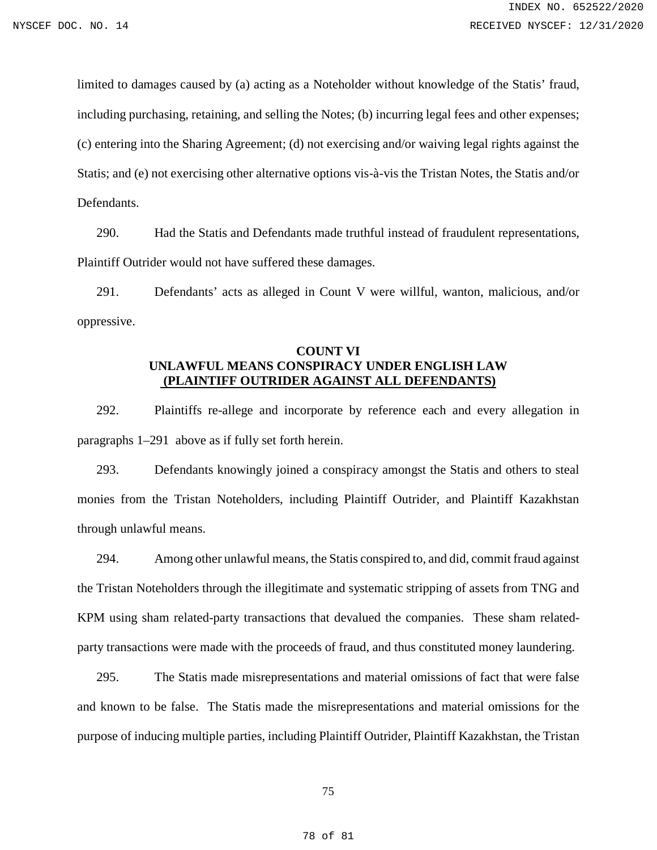limited to damages caused by (a) acting as a Noteholder without knowledge of the Statis' fraud, including purchasing, retaining, and selling the Notes; (b) incurring legal fees and other expenses; (c) entering into the Sharing Agreement; (d) not exercising and/or waiving legal rights against the Statis; and (e) not exercising other alternative options vis-à-vis the Tristan Notes, the Statis and/or Defendants.

290. Had the Statis and Defendants made truthful instead of fraudulent representations, Plaintiff Outrider would not have suffered these damages.

291. Defendants' acts as alleged in Count V were willful, wanton, malicious, and/or oppressive.

## **COUNT VI UNLAWFUL MEANS CONSPIRACY UNDER ENGLISH LAW (PLAINTIFF OUTRIDER AGAINST ALL DEFENDANTS)**

292. Plaintiffs re-allege and incorporate by reference each and every allegation in paragraphs 1–291 above as if fully set forth herein.

293. Defendants knowingly joined a conspiracy amongst the Statis and others to steal monies from the Tristan Noteholders, including Plaintiff Outrider, and Plaintiff Kazakhstan through unlawful means.

294. Among other unlawful means, the Statis conspired to, and did, commit fraud against the Tristan Noteholders through the illegitimate and systematic stripping of assets from TNG and KPM using sham related-party transactions that devalued the companies. These sham relatedparty transactions were made with the proceeds of fraud, and thus constituted money laundering.

295. The Statis made misrepresentations and material omissions of fact that were false and known to be false. The Statis made the misrepresentations and material omissions for the purpose of inducing multiple parties, including Plaintiff Outrider, Plaintiff Kazakhstan, the Tristan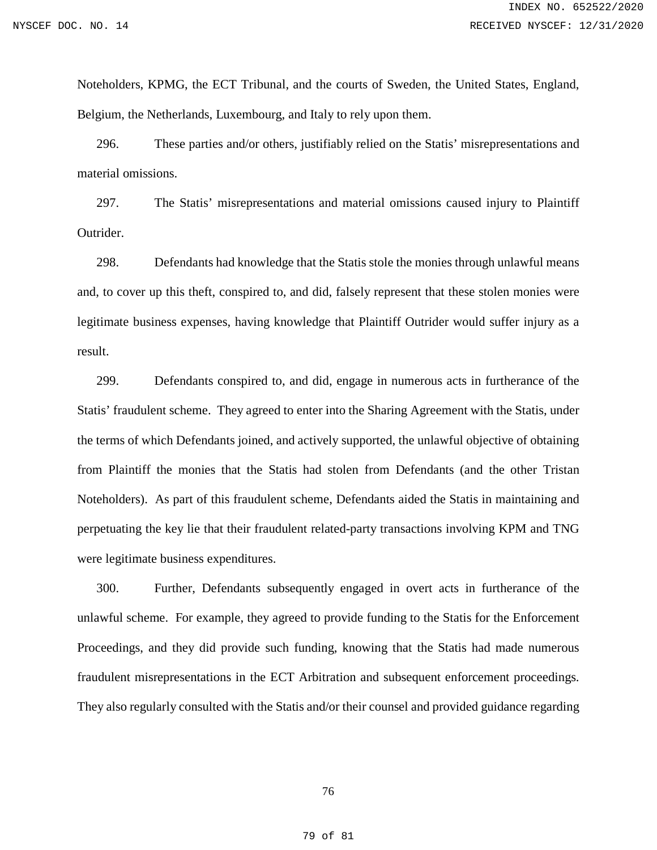Noteholders, KPMG, the ECT Tribunal, and the courts of Sweden, the United States, England, Belgium, the Netherlands, Luxembourg, and Italy to rely upon them.

296. These parties and/or others, justifiably relied on the Statis' misrepresentations and material omissions.

297. The Statis' misrepresentations and material omissions caused injury to Plaintiff Outrider.

298. Defendants had knowledge that the Statis stole the monies through unlawful means and, to cover up this theft, conspired to, and did, falsely represent that these stolen monies were legitimate business expenses, having knowledge that Plaintiff Outrider would suffer injury as a result.

299. Defendants conspired to, and did, engage in numerous acts in furtherance of the Statis' fraudulent scheme. They agreed to enter into the Sharing Agreement with the Statis, under the terms of which Defendants joined, and actively supported, the unlawful objective of obtaining from Plaintiff the monies that the Statis had stolen from Defendants (and the other Tristan Noteholders). As part of this fraudulent scheme, Defendants aided the Statis in maintaining and perpetuating the key lie that their fraudulent related-party transactions involving KPM and TNG were legitimate business expenditures.

300. Further, Defendants subsequently engaged in overt acts in furtherance of the unlawful scheme. For example, they agreed to provide funding to the Statis for the Enforcement Proceedings, and they did provide such funding, knowing that the Statis had made numerous fraudulent misrepresentations in the ECT Arbitration and subsequent enforcement proceedings. They also regularly consulted with the Statis and/or their counsel and provided guidance regarding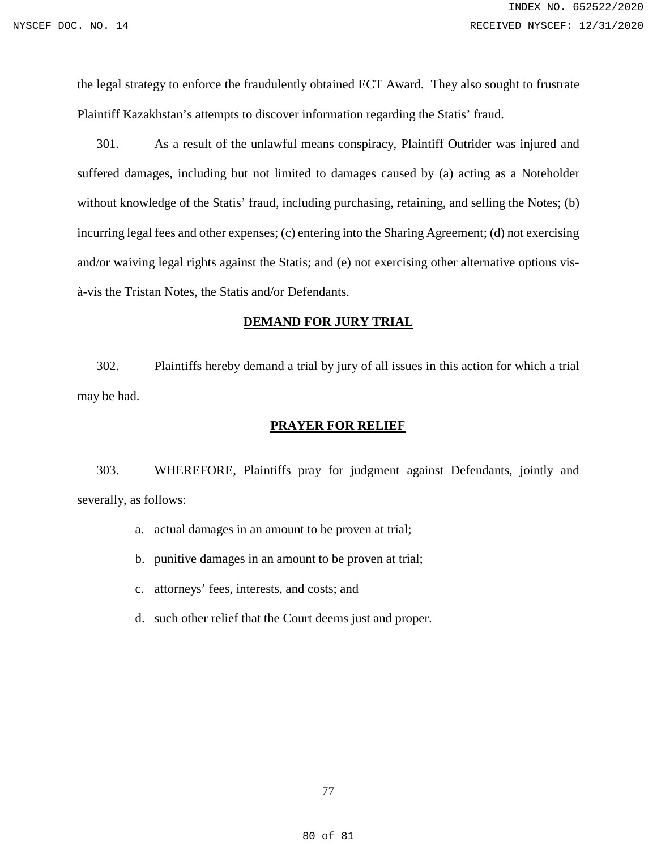the legal strategy to enforce the fraudulently obtained ECT Award. They also sought to frustrate Plaintiff Kazakhstan's attempts to discover information regarding the Statis' fraud.

301. As a result of the unlawful means conspiracy, Plaintiff Outrider was injured and suffered damages, including but not limited to damages caused by (a) acting as a Noteholder without knowledge of the Statis' fraud, including purchasing, retaining, and selling the Notes; (b) incurring legal fees and other expenses; (c) entering into the Sharing Agreement; (d) not exercising and/or waiving legal rights against the Statis; and (e) not exercising other alternative options visà-vis the Tristan Notes, the Statis and/or Defendants.

#### **DEMAND FOR JURY TRIAL**

302. Plaintiffs hereby demand a trial by jury of all issues in this action for which a trial may be had.

### **PRAYER FOR RELIEF**

303. WHEREFORE, Plaintiffs pray for judgment against Defendants, jointly and severally, as follows:

- a. actual damages in an amount to be proven at trial;
- b. punitive damages in an amount to be proven at trial;
- c. attorneys' fees, interests, and costs; and
- d. such other relief that the Court deems just and proper.